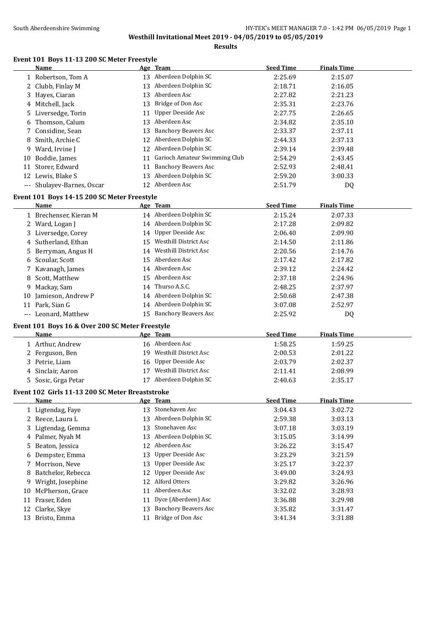**Results**

### **Event 101 Boys 11-13 200 SC Meter Freestyle**

|    | <b>Name</b>                                             |    | Age Team                      | <b>Seed Time</b> | <b>Finals Time</b> |
|----|---------------------------------------------------------|----|-------------------------------|------------------|--------------------|
|    | 1 Robertson, Tom A                                      |    | 13 Aberdeen Dolphin SC        | 2:25.69          | 2:15.07            |
|    | 2 Clubb, Finlay M                                       |    | 13 Aberdeen Dolphin SC        | 2:18.71          | 2:16.05            |
| 3  | Hayes, Ciaran                                           |    | 13 Aberdeen Asc               | 2:27.82          | 2:21.23            |
|    | 4 Mitchell, Jack                                        | 13 | Bridge of Don Asc             | 2:35.31          | 2:23.76            |
| 5  | Liversedge, Torin                                       | 11 | <b>Upper Deeside Asc</b>      | 2:27.75          | 2:26.65            |
| 6  | Thomson, Calum                                          |    | 13 Aberdeen Asc               | 2:34.82          | 2:35.10            |
|    | 7 Considine, Sean                                       | 13 | <b>Banchory Beavers Asc</b>   | 2:33.37          | 2:37.11            |
| 8  | Smith, Archie C                                         |    | 12 Aberdeen Dolphin SC        | 2:44.33          | 2:37.13            |
| 9  | Ward, Irvine J                                          |    | 12 Aberdeen Dolphin SC        | 2:39.14          | 2:39.48            |
| 10 | Boddie, James                                           | 11 | Garioch Amateur Swimming Club | 2:54.29          | 2:43.45            |
| 11 | Storer, Edward                                          | 11 | <b>Banchory Beavers Asc</b>   | 2:52.93          | 2:48.41            |
|    | 12 Lewis, Blake S                                       |    | 13 Aberdeen Dolphin SC        | 2:59.20          | 3:00.33            |
|    | --- Shulayev-Barnes, Oscar                              |    | 12 Aberdeen Asc               | 2:51.79          | DQ                 |
|    | Event 101 Boys 14-15 200 SC Meter Freestyle             |    |                               |                  |                    |
|    | Name                                                    |    | Age Team                      | <b>Seed Time</b> | <b>Finals Time</b> |
|    | 1 Brechenser, Kieran M                                  |    | 14 Aberdeen Dolphin SC        | 2:15.24          | 2:07.33            |
|    | 2 Ward, Logan J                                         |    | 14 Aberdeen Dolphin SC        | 2:17.28          | 2:09.82            |
|    | 3 Liversedge, Corey                                     |    | 14 Upper Deeside Asc          | 2:06.40          | 2:09.90            |
|    | 4 Sutherland, Ethan                                     |    | 15 Westhill District Asc      | 2:14.50          | 2:11.86            |
|    | 5 Berryman, Angus H                                     |    | 14 Westhill District Asc      | 2:20.56          | 2:14.76            |
|    | 6 Scoular, Scott                                        |    | 15 Aberdeen Asc               | 2:17.42          | 2:17.82            |
| 7  | Kavanagh, James                                         |    | 14 Aberdeen Asc               | 2:39.12          | 2:24.42            |
| 8  | Scott, Matthew                                          |    | 15 Aberdeen Asc               | 2:37.18          | 2:24.96            |
| 9. | Mackay, Sam                                             |    | 14 Thurso A.S.C.              | 2:48.25          | 2:37.97            |
| 10 | Jamieson, Andrew P                                      |    | 14 Aberdeen Dolphin SC        | 2:50.68          | 2:47.38            |
|    | 11 Park, Sian G                                         |    | 14 Aberdeen Dolphin SC        | 3:07.08          | 2:52.97            |
|    | --- Leonard, Matthew                                    |    | 15 Banchory Beavers Asc       | 2:25.92          | DQ                 |
|    |                                                         |    |                               |                  |                    |
|    | Event 101 Boys 16 & Over 200 SC Meter Freestyle<br>Name |    | Age Team                      | <b>Seed Time</b> | <b>Finals Time</b> |
|    | 1 Arthur, Andrew                                        |    | 16 Aberdeen Asc               | 1:58.25          | 1:59.25            |
|    | 2 Ferguson, Ben                                         |    | 19 Westhill District Asc      | 2:00.53          | 2:01.22            |
| 3  | Petrie, Liam                                            |    | 16 Upper Deeside Asc          | 2:03.79          | 2:02.37            |
| 4  | Sinclair, Aaron                                         |    | 17 Westhill District Asc      | 2:11.41          | 2:08.99            |
|    | 5 Sosic, Grga Petar                                     |    | 17 Aberdeen Dolphin SC        | 2:40.63          | 2:35.17            |
|    |                                                         |    |                               |                  |                    |
|    | Event 102 Girls 11-13 200 SC Meter Breaststroke         |    |                               | <b>Seed Time</b> |                    |
|    | <b>Name</b>                                             |    | Age Team<br>13 Stonehaven Asc |                  | <b>Finals Time</b> |
|    | 1 Ligtendag, Faye                                       |    | 13 Aberdeen Dolphin SC        | 3:04.43          | 3:02.72            |
|    | 2 Reece, Laura L                                        |    | Stonehaven Asc                | 2:59.38          | 3:03.13            |
| 3  | Ligtendag, Gemma                                        | 13 |                               | 3:07.18          | 3:03.19            |
|    | 4 Palmer, Nyah M                                        |    | 13 Aberdeen Dolphin SC        | 3:15.05          | 3:14.99            |
| 5. | Beaton, Jessica                                         |    | 12 Aberdeen Asc               | 3:26.22          | 3:15.47            |
| 6  | Dempster, Emma                                          | 13 | <b>Upper Deeside Asc</b>      | 3:23.29          | 3:21.59            |
| 7  | Morrison, Neve                                          | 13 | <b>Upper Deeside Asc</b>      | 3:25.17          | 3:22.37            |
| 8  | Batchelor, Rebecca                                      | 12 | <b>Upper Deeside Asc</b>      | 3:49.00          | 3:24.93            |
| 9. | Wright, Josephine                                       | 12 | Alford Otters                 | 3:29.82          | 3:26.96            |
| 10 | McPherson, Grace                                        |    | 11 Aberdeen Asc               | 3:32.02          | 3:28.93            |
|    | 11 Fraser, Eden                                         | 11 | Dyce (Aberdeen) Asc           | 3:36.88          | 3:29.98            |
|    | 12 Clarke, Skye                                         | 13 | <b>Banchory Beavers Asc</b>   | 3:35.82          | 3:31.47            |
|    | 13 Bristo, Emma                                         |    | 11 Bridge of Don Asc          | 3:41.34          | 3:31.88            |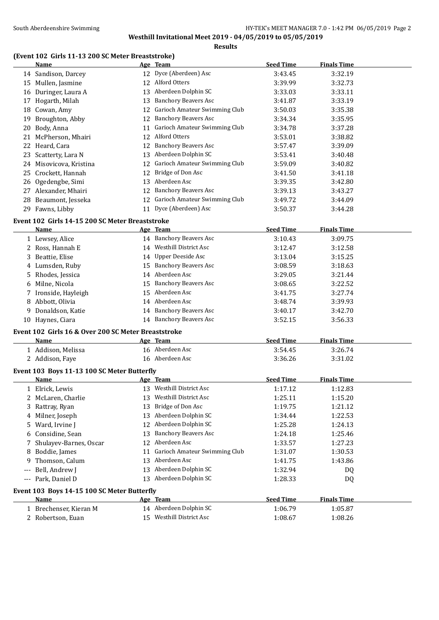#### **Results**

# **(Event 102 Girls 11-13 200 SC Meter Breaststroke)**

|       | Name                                                        |    | Age Team                         | <b>Seed Time</b> | <b>Finals Time</b> |
|-------|-------------------------------------------------------------|----|----------------------------------|------------------|--------------------|
|       | 14 Sandison, Darcey                                         |    | 12 Dyce (Aberdeen) Asc           | 3:43.45          | 3:32.19            |
|       | 15 Mullen, Jasmine                                          |    | 12 Alford Otters                 | 3:39.99          | 3:32.73            |
|       | 16 Duringer, Laura A                                        |    | 13 Aberdeen Dolphin SC           | 3:33.03          | 3:33.11            |
|       | 17 Hogarth, Milah                                           |    | 13 Banchory Beavers Asc          | 3:41.87          | 3:33.19            |
|       | 18 Cowan, Amy                                               |    | 12 Garioch Amateur Swimming Club | 3:50.03          | 3:35.38            |
|       | 19 Broughton, Abby                                          |    | 12 Banchory Beavers Asc          | 3:34.34          | 3:35.95            |
|       | 20 Body, Anna                                               |    | 11 Garioch Amateur Swimming Club | 3:34.78          | 3:37.28            |
|       | 21 McPherson, Mhairi                                        |    | 12 Alford Otters                 | 3:53.01          | 3:38.82            |
|       | 22 Heard, Cara                                              |    | 12 Banchory Beavers Asc          | 3:57.47          | 3:39.09            |
|       | 23 Scatterty, Lara N                                        |    | 13 Aberdeen Dolphin SC           | 3:53.41          | 3:40.48            |
|       | 24 Misovicova, Kristina                                     |    | 12 Garioch Amateur Swimming Club | 3:59.09          | 3:40.82            |
|       | 25 Crockett, Hannah                                         |    | 12 Bridge of Don Asc             | 3:41.50          | 3:41.18            |
|       | 26 Ogedengbe, Simi                                          |    | 13 Aberdeen Asc                  | 3:39.35          | 3:42.80            |
|       | 27 Alexander, Mhairi                                        |    | 12 Banchory Beavers Asc          | 3:39.13          | 3:43.27            |
|       | 28 Beaumont, Jesseka                                        |    | 12 Garioch Amateur Swimming Club | 3:49.72          | 3:44.09            |
|       | 29 Fawns, Libby                                             |    | 11 Dyce (Aberdeen) Asc           | 3:50.37          | 3:44.28            |
|       | Event 102 Girls 14-15 200 SC Meter Breaststroke             |    |                                  |                  |                    |
|       | Name                                                        |    | Age Team                         | <b>Seed Time</b> | <b>Finals Time</b> |
|       | 1 Lewsey, Alice                                             |    | 14 Banchory Beavers Asc          | 3:10.43          | 3:09.75            |
|       | 2 Ross, Hannah E                                            |    | 14 Westhill District Asc         | 3:12.47          | 3:12.58            |
|       | 3 Beattie, Elise                                            |    | 14 Upper Deeside Asc             | 3:13.04          | 3:15.25            |
|       | 4 Lumsden, Ruby                                             |    | 15 Banchory Beavers Asc          | 3:08.59          | 3:18.63            |
|       | 5 Rhodes, Jessica                                           |    | 14 Aberdeen Asc                  | 3:29.05          | 3:21.44            |
|       | 6 Milne, Nicola                                             |    | 15 Banchory Beavers Asc          | 3:08.65          | 3:22.52            |
|       | 7 Ironside, Hayleigh                                        |    | 15 Aberdeen Asc                  | 3:41.75          | 3:27.74            |
|       | 8 Abbott, Olivia                                            |    | 14 Aberdeen Asc                  | 3:48.74          | 3:39.93            |
|       | 9 Donaldson, Katie                                          |    | 14 Banchory Beavers Asc          | 3:40.17          | 3:42.70            |
|       | 10 Haynes, Ciara                                            |    | 14 Banchory Beavers Asc          | 3:52.15          | 3:56.33            |
|       |                                                             |    |                                  |                  |                    |
|       | Event 102 Girls 16 & Over 200 SC Meter Breaststroke<br>Name |    |                                  | <b>Seed Time</b> | <b>Finals Time</b> |
|       | 1 Addison, Melissa                                          |    | Age Team<br>16 Aberdeen Asc      | 3:54.45          | 3:26.74            |
|       | 2 Addison, Faye                                             |    | 16 Aberdeen Asc                  | 3:36.26          |                    |
|       |                                                             |    |                                  |                  | 3:31.02            |
|       | Event 103 Boys 11-13 100 SC Meter Butterfly                 |    |                                  |                  |                    |
|       | <b>Name</b>                                                 |    | Age Team                         | <b>Seed Time</b> | <b>Finals Time</b> |
|       | 1 Elrick, Lewis                                             |    | 13 Westhill District Asc         | 1:17.12          | 1:12.83            |
|       | 2 McLaren, Charlie                                          |    | 13 Westhill District Asc         | 1:25.11          | 1:15.20            |
|       | 3 Rattray, Ryan                                             | 13 | Bridge of Don Asc                | 1:19.75          | 1:21.12            |
|       | 4 Milner, Joseph                                            | 13 | Aberdeen Dolphin SC              | 1:34.44          | 1:22.53            |
|       | 5 Ward, Irvine J                                            |    | 12 Aberdeen Dolphin SC           | 1:25.28          | 1:24.13            |
| 6     | Considine, Sean                                             | 13 | <b>Banchory Beavers Asc</b>      | 1:24.18          | 1:25.46            |
| 7     | Shulayev-Barnes, Oscar                                      | 12 | Aberdeen Asc                     | 1:33.57          | 1:27.23            |
| 8     | Boddie, James                                               | 11 | Garioch Amateur Swimming Club    | 1:31.07          | 1:30.53            |
| 9     | Thomson, Calum                                              | 13 | Aberdeen Asc                     | 1:41.75          | 1:43.86            |
|       | Bell, Andrew J                                              | 13 | Aberdeen Dolphin SC              | 1:32.94          | DQ                 |
| $---$ | Park, Daniel D                                              |    | 13 Aberdeen Dolphin SC           | 1:28.33          | DQ                 |
|       | Event 103 Boys 14-15 100 SC Meter Butterfly                 |    |                                  |                  |                    |
|       | <u>Name</u>                                                 |    | Age Team                         | <b>Seed Time</b> | <b>Finals Time</b> |
|       | 1 Brechenser, Kieran M                                      |    | 14 Aberdeen Dolphin SC           | 1:06.79          | 1:05.87            |
|       | 2 Robertson, Euan                                           |    | 15 Westhill District Asc         | 1:08.67          | 1:08.26            |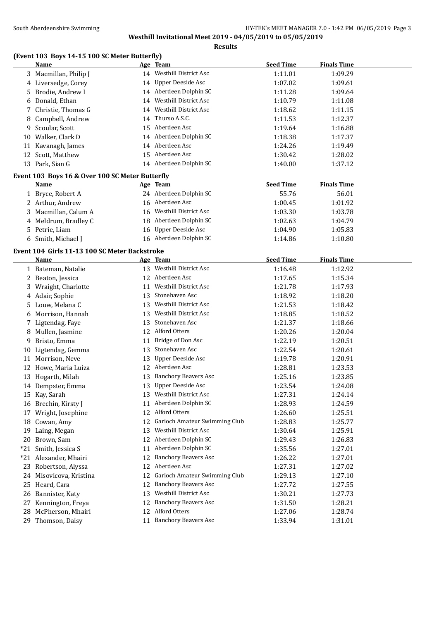## South Aberdeenshire Swimming **Supplemance 2018** HY-TEK's MEET MANAGER 7.0 - 1:42 PM 06/05/2019 Page 3 **Westhill Invitational Meet 2019 - 04/05/2019 to 05/05/2019**

**Results**

# **(Event 103 Boys 14-15 100 SC Meter Butterfly)**

|       | <b>Name</b>                                     |    | Age Team                         | <b>Seed Time</b> | <b>Finals Time</b> |  |
|-------|-------------------------------------------------|----|----------------------------------|------------------|--------------------|--|
|       | 3 Macmillan, Philip J                           |    | 14 Westhill District Asc         | 1:11.01          | 1:09.29            |  |
|       | 4 Liversedge, Corey                             |    | 14 Upper Deeside Asc             | 1:07.02          | 1:09.61            |  |
|       | 5 Brodie, Andrew I                              |    | 14 Aberdeen Dolphin SC           | 1:11.28          | 1:09.64            |  |
|       | 6 Donald, Ethan                                 |    | 14 Westhill District Asc         | 1:10.79          | 1:11.08            |  |
|       | 7 Christie, Thomas G                            |    | 14 Westhill District Asc         | 1:18.62          | 1:11.15            |  |
| 8     | Campbell, Andrew                                | 14 | Thurso A.S.C.                    | 1:11.53          | 1:12.37            |  |
| 9     | Scoular, Scott                                  |    | 15 Aberdeen Asc                  | 1:19.64          | 1:16.88            |  |
|       | 10 Walker, Clark D                              |    | 14 Aberdeen Dolphin SC           | 1:18.38          | 1:17.37            |  |
|       | 11 Kavanagh, James                              |    | 14 Aberdeen Asc                  | 1:24.26          | 1:19.49            |  |
|       | 12 Scott, Matthew                               |    | 15 Aberdeen Asc                  | 1:30.42          | 1:28.02            |  |
|       | 13 Park, Sian G                                 |    | 14 Aberdeen Dolphin SC           | 1:40.00          | 1:37.12            |  |
|       |                                                 |    |                                  |                  |                    |  |
|       | Event 103 Boys 16 & Over 100 SC Meter Butterfly |    |                                  |                  |                    |  |
|       | <u>Name</u>                                     |    | Age Team                         | <b>Seed Time</b> | <b>Finals Time</b> |  |
|       | 1 Bryce, Robert A                               |    | 24 Aberdeen Dolphin SC           | 55.76            | 56.01              |  |
|       | 2 Arthur, Andrew                                |    | 16 Aberdeen Asc                  | 1:00.45          | 1:01.92            |  |
|       | 3 Macmillan, Calum A                            |    | 16 Westhill District Asc         | 1:03.30          | 1:03.78            |  |
|       | 4 Meldrum, Bradley C                            |    | 18 Aberdeen Dolphin SC           | 1:02.63          | 1:04.79            |  |
|       | 5 Petrie, Liam                                  |    | 16 Upper Deeside Asc             | 1:04.90          | 1:05.83            |  |
|       | 6 Smith, Michael J                              |    | 16 Aberdeen Dolphin SC           | 1:14.86          | 1:10.80            |  |
|       | Event 104 Girls 11-13 100 SC Meter Backstroke   |    |                                  |                  |                    |  |
|       | Name                                            |    | Age Team                         | <b>Seed Time</b> | <b>Finals Time</b> |  |
|       | 1 Bateman, Natalie                              |    | 13 Westhill District Asc         | 1:16.48          | 1:12.92            |  |
|       | 2 Beaton, Jessica                               |    | 12 Aberdeen Asc                  | 1:17.65          | 1:15.34            |  |
|       | 3 Wraight, Charlotte                            | 11 | <b>Westhill District Asc</b>     | 1:21.78          | 1:17.93            |  |
|       | 4 Adair, Sophie                                 | 13 | Stonehaven Asc                   | 1:18.92          | 1:18.20            |  |
|       | 5 Louw, Melana C                                | 13 | <b>Westhill District Asc</b>     | 1:21.53          | 1:18.42            |  |
| 6     | Morrison, Hannah                                | 13 | <b>Westhill District Asc</b>     | 1:18.85          | 1:18.52            |  |
|       | 7 Ligtendag, Faye                               | 13 | Stonehaven Asc                   | 1:21.37          | 1:18.66            |  |
| 8     | Mullen, Jasmine                                 |    | 12 Alford Otters                 | 1:20.26          | 1:20.04            |  |
| 9     | Bristo, Emma                                    | 11 | Bridge of Don Asc                | 1:22.19          | 1:20.51            |  |
| 10    | Ligtendag, Gemma                                | 13 | Stonehaven Asc                   | 1:22.54          | 1:20.61            |  |
|       | 11 Morrison, Neve                               | 13 | <b>Upper Deeside Asc</b>         | 1:19.78          | 1:20.91            |  |
|       | 12 Howe, Maria Luiza                            |    | 12 Aberdeen Asc                  | 1:28.81          | 1:23.53            |  |
|       |                                                 | 13 | <b>Banchory Beavers Asc</b>      |                  | 1:23.85            |  |
|       | 13 Hogarth, Milah                               |    | 13 Upper Deeside Asc             | 1:25.16          |                    |  |
|       | 14 Dempster, Emma                               |    | 13 Westhill District Asc         | 1:23.54          | 1:24.08            |  |
|       | 15 Kay, Sarah                                   |    |                                  | 1:27.31          | 1:24.14            |  |
|       | 16 Brechin, Kirsty J                            |    | 11 Aberdeen Dolphin SC           | 1:28.93          | 1:24.59            |  |
|       | 17 Wright, Josephine                            |    | 12 Alford Otters                 | 1:26.60          | 1:25.51            |  |
|       | 18 Cowan, Amy                                   |    | 12 Garioch Amateur Swimming Club | 1:28.83          | 1:25.77            |  |
|       | 19 Laing, Megan                                 | 13 | Westhill District Asc            | 1:30.64          | 1:25.91            |  |
| 20    | Brown, Sam                                      |    | 12 Aberdeen Dolphin SC           | 1:29.43          | 1:26.83            |  |
| $*21$ | Smith, Jessica S                                | 11 | Aberdeen Dolphin SC              | 1:35.56          | 1:27.01            |  |
|       | *21 Alexander, Mhairi                           | 12 | <b>Banchory Beavers Asc</b>      | 1:26.22          | 1:27.01            |  |
|       | 23 Robertson, Alyssa                            | 12 | Aberdeen Asc                     | 1:27.31          | 1:27.02            |  |
|       | 24 Misovicova, Kristina                         | 12 | Garioch Amateur Swimming Club    | 1:29.13          | 1:27.10            |  |
|       | 25 Heard, Cara                                  | 12 | <b>Banchory Beavers Asc</b>      | 1:27.72          | 1:27.55            |  |
| 26    | Bannister, Katy                                 | 13 | Westhill District Asc            | 1:30.21          | 1:27.73            |  |
|       | 27 Kennington, Freya                            | 12 | <b>Banchory Beavers Asc</b>      | 1:31.50          | 1:28.21            |  |
| 28    | McPherson, Mhairi                               | 12 | Alford Otters                    | 1:27.06          | 1:28.74            |  |
|       | 29 Thomson, Daisy                               |    | 11 Banchory Beavers Asc          | 1:33.94          | 1:31.01            |  |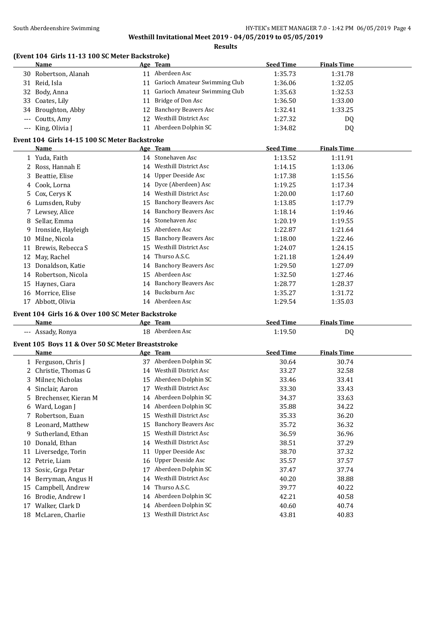## South Aberdeenshire Swimming **Supplemance 2018** HY-TEK's MEET MANAGER 7.0 - 1:42 PM 06/05/2019 Page 4 **Westhill Invitational Meet 2019 - 04/05/2019 to 05/05/2019**

**Results**

# **(Event 104 Girls 11-13 100 SC Meter Backstroke)**

|       | <b>Name</b>                                       |    | Age Team                         | <b>Seed Time</b> | <b>Finals Time</b> |  |
|-------|---------------------------------------------------|----|----------------------------------|------------------|--------------------|--|
|       | 30 Robertson, Alanah                              |    | 11 Aberdeen Asc                  | 1:35.73          | 1:31.78            |  |
| 31    | Reid, Isla                                        |    | 11 Garioch Amateur Swimming Club | 1:36.06          | 1:32.05            |  |
| 32    | Body, Anna                                        |    | 11 Garioch Amateur Swimming Club | 1:35.63          | 1:32.53            |  |
| 33    | Coates, Lily                                      | 11 | Bridge of Don Asc                | 1:36.50          | 1:33.00            |  |
| 34    | Broughton, Abby                                   | 12 | <b>Banchory Beavers Asc</b>      | 1:32.41          | 1:33.25            |  |
| $---$ | Coutts, Amy                                       | 12 | <b>Westhill District Asc</b>     | 1:27.32          | DQ.                |  |
|       | --- King, Olivia J                                |    | 11 Aberdeen Dolphin SC           | 1:34.82          | DQ                 |  |
|       | Event 104 Girls 14-15 100 SC Meter Backstroke     |    |                                  |                  |                    |  |
|       | <b>Name</b>                                       |    | Age Team                         | <b>Seed Time</b> | <b>Finals Time</b> |  |
|       | 1 Yuda, Faith                                     |    | 14 Stonehaven Asc                | 1:13.52          | 1:11.91            |  |
|       | 2 Ross, Hannah E                                  |    | 14 Westhill District Asc         | 1:14.15          | 1:13.06            |  |
| 3     | Beattie, Elise                                    |    | 14 Upper Deeside Asc             | 1:17.38          | 1:15.56            |  |
| 4     | Cook, Lorna                                       |    | 14 Dyce (Aberdeen) Asc           | 1:19.25          | 1:17.34            |  |
| 5.    | Cox, Cerys K                                      | 14 | <b>Westhill District Asc</b>     | 1:20.00          | 1:17.60            |  |
|       | 6 Lumsden, Ruby                                   | 15 | <b>Banchory Beavers Asc</b>      | 1:13.85          | 1:17.79            |  |
|       | 7 Lewsey, Alice                                   | 14 | <b>Banchory Beavers Asc</b>      | 1:18.14          | 1:19.46            |  |
|       | 8 Sellar, Emma                                    | 14 | Stonehaven Asc                   | 1:20.19          | 1:19.55            |  |
| 9     | Ironside, Hayleigh                                | 15 | Aberdeen Asc                     | 1:22.87          | 1:21.64            |  |
|       | 10 Milne, Nicola                                  | 15 | <b>Banchory Beavers Asc</b>      | 1:18.00          | 1:22.46            |  |
| 11    | Brewis, Rebecca S                                 | 15 | <b>Westhill District Asc</b>     | 1:24.07          | 1:24.15            |  |
| 12    | May, Rachel                                       | 14 | Thurso A.S.C.                    | 1:21.18          | 1:24.49            |  |
| 13    | Donaldson, Katie                                  |    | 14 Banchory Beavers Asc          | 1:29.50          | 1:27.09            |  |
|       | 14 Robertson, Nicola                              | 15 | Aberdeen Asc                     | 1:32.50          | 1:27.46            |  |
|       | 15 Haynes, Ciara                                  | 14 | <b>Banchory Beavers Asc</b>      | 1:28.77          | 1:28.37            |  |
|       | 16 Morrice, Elise                                 | 14 | Bucksburn Asc                    | 1:35.27          | 1:31.72            |  |
|       | 17 Abbott, Olivia                                 |    | 14 Aberdeen Asc                  | 1:29.54          | 1:35.03            |  |
|       | Event 104 Girls 16 & Over 100 SC Meter Backstroke |    |                                  |                  |                    |  |
|       | Name                                              |    | Age Team                         | <b>Seed Time</b> | <b>Finals Time</b> |  |
|       | --- Assady, Ronya                                 |    | 18 Aberdeen Asc                  | 1:19.50          | DQ                 |  |
|       | Event 105 Boys 11 & Over 50 SC Meter Breaststroke |    |                                  |                  |                    |  |
|       |                                                   |    |                                  |                  |                    |  |

|    | <b>Name</b>          |    | Age Team                     | <b>Seed Time</b> | <b>Finals Time</b> |
|----|----------------------|----|------------------------------|------------------|--------------------|
|    | 1 Ferguson, Chris J  | 37 | Aberdeen Dolphin SC          | 30.64            | 30.74              |
|    | Christie, Thomas G   | 14 | Westhill District Asc        | 33.27            | 32.58              |
| 3  | Milner, Nicholas     | 15 | Aberdeen Dolphin SC          | 33.46            | 33.41              |
| 4  | Sinclair, Aaron      | 17 | Westhill District Asc        | 33.30            | 33.43              |
| 5  | Brechenser, Kieran M | 14 | Aberdeen Dolphin SC          | 34.37            | 33.63              |
| 6  | Ward, Logan J        | 14 | Aberdeen Dolphin SC          | 35.88            | 34.22              |
|    | 7 Robertson, Euan    | 15 | Westhill District Asc        | 35.33            | 36.20              |
| 8  | Leonard, Matthew     | 15 | <b>Banchory Beavers Asc</b>  | 35.72            | 36.32              |
| 9  | Sutherland, Ethan    | 15 | Westhill District Asc        | 36.59            | 36.96              |
| 10 | Donald, Ethan        | 14 | Westhill District Asc        | 38.51            | 37.29              |
| 11 | Liversedge, Torin    | 11 | Upper Deeside Asc            | 38.70            | 37.32              |
| 12 | Petrie, Liam         | 16 | Upper Deeside Asc            | 35.57            | 37.57              |
| 13 | Sosic, Grga Petar    | 17 | Aberdeen Dolphin SC          | 37.47            | 37.74              |
| 14 | Berryman, Angus H    | 14 | <b>Westhill District Asc</b> | 40.20            | 38.88              |
| 15 | Campbell, Andrew     | 14 | Thurso A.S.C.                | 39.77            | 40.22              |
| 16 | Brodie, Andrew I     | 14 | Aberdeen Dolphin SC          | 42.21            | 40.58              |
| 17 | Walker, Clark D      | 14 | Aberdeen Dolphin SC          | 40.60            | 40.74              |
| 18 | McLaren, Charlie     | 13 | <b>Westhill District Asc</b> | 43.81            | 40.83              |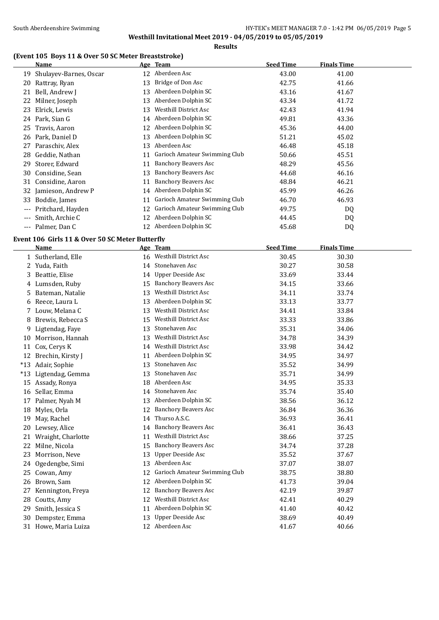# **(Event 105 Boys 11 & Over 50 SC Meter Breaststroke)**

|     | Name                   |    | Age Team                      | <b>Seed Time</b> | <b>Finals Time</b> |  |
|-----|------------------------|----|-------------------------------|------------------|--------------------|--|
| 19  | Shulayev-Barnes, Oscar |    | 12 Aberdeen Asc               | 43.00            | 41.00              |  |
| 20  | Rattray, Ryan          | 13 | Bridge of Don Asc             | 42.75            | 41.66              |  |
| 21  | Bell, Andrew J         | 13 | Aberdeen Dolphin SC           | 43.16            | 41.67              |  |
| 22  | Milner, Joseph         | 13 | Aberdeen Dolphin SC           | 43.34            | 41.72              |  |
| 23  | Elrick, Lewis          | 13 | <b>Westhill District Asc</b>  | 42.43            | 41.94              |  |
|     | 24 Park, Sian G        |    | 14 Aberdeen Dolphin SC        | 49.81            | 43.36              |  |
| 25  | Travis, Aaron          | 12 | Aberdeen Dolphin SC           | 45.36            | 44.00              |  |
| 26  | Park, Daniel D         | 13 | Aberdeen Dolphin SC           | 51.21            | 45.02              |  |
| 27  | Paraschiv, Alex        | 13 | Aberdeen Asc                  | 46.48            | 45.18              |  |
|     | 28 Geddie, Nathan      | 11 | Garioch Amateur Swimming Club | 50.66            | 45.51              |  |
| 29  | Storer, Edward         | 11 | <b>Banchory Beavers Asc</b>   | 48.29            | 45.56              |  |
| 30  | Considine, Sean        | 13 | <b>Banchory Beavers Asc</b>   | 44.68            | 46.16              |  |
|     | 31 Considine, Aaron    | 11 | <b>Banchory Beavers Asc</b>   | 48.84            | 46.21              |  |
|     | 32 Jamieson, Andrew P  | 14 | Aberdeen Dolphin SC           | 45.99            | 46.26              |  |
| 33  | Boddie, James          | 11 | Garioch Amateur Swimming Club | 46.70            | 46.93              |  |
|     | Pritchard, Hayden      | 12 | Garioch Amateur Swimming Club | 49.75            | DQ                 |  |
|     | Smith, Archie C        | 12 | Aberdeen Dolphin SC           | 44.45            | DQ                 |  |
| --- | Palmer, Dan C          | 12 | Aberdeen Dolphin SC           | 45.68            | DQ                 |  |

#### **Event 106 Girls 11 & Over 50 SC Meter Butterfly**

|       | Name                 |    | Age Team                      | <b>Seed Time</b> | <b>Finals Time</b> |
|-------|----------------------|----|-------------------------------|------------------|--------------------|
|       | 1 Sutherland, Elle   | 16 | <b>Westhill District Asc</b>  | 30.45            | 30.30              |
| 2     | Yuda, Faith          | 14 | Stonehaven Asc                | 30.27            | 30.58              |
| 3     | Beattie, Elise       | 14 | <b>Upper Deeside Asc</b>      | 33.69            | 33.44              |
| 4     | Lumsden, Ruby        | 15 | <b>Banchory Beavers Asc</b>   | 34.15            | 33.66              |
| 5     | Bateman, Natalie     | 13 | Westhill District Asc         | 34.11            | 33.74              |
| 6     | Reece, Laura L       | 13 | Aberdeen Dolphin SC           | 33.13            | 33.77              |
| 7     | Louw, Melana C       | 13 | <b>Westhill District Asc</b>  | 34.41            | 33.84              |
| 8     | Brewis, Rebecca S    | 15 | <b>Westhill District Asc</b>  | 33.33            | 33.86              |
| 9     | Ligtendag, Faye      | 13 | Stonehaven Asc                | 35.31            | 34.06              |
| 10    | Morrison, Hannah     | 13 | <b>Westhill District Asc</b>  | 34.78            | 34.39              |
| 11    | Cox, Cerys K         | 14 | <b>Westhill District Asc</b>  | 33.98            | 34.42              |
| 12    | Brechin, Kirsty J    | 11 | Aberdeen Dolphin SC           | 34.95            | 34.97              |
| $*13$ | Adair, Sophie        | 13 | Stonehaven Asc                | 35.52            | 34.99              |
| $*13$ | Ligtendag, Gemma     | 13 | Stonehaven Asc                | 35.71            | 34.99              |
| 15    | Assady, Ronya        | 18 | Aberdeen Asc                  | 34.95            | 35.33              |
| 16    | Sellar, Emma         | 14 | Stonehaven Asc                | 35.74            | 35.40              |
| 17    | Palmer, Nyah M       | 13 | Aberdeen Dolphin SC           | 38.56            | 36.12              |
| 18    | Myles, Orla          | 12 | <b>Banchory Beavers Asc</b>   | 36.84            | 36.36              |
| 19    | May, Rachel          | 14 | Thurso A.S.C.                 | 36.93            | 36.41              |
| 20    | Lewsey, Alice        | 14 | <b>Banchory Beavers Asc</b>   | 36.41            | 36.43              |
| 21    | Wraight, Charlotte   | 11 | Westhill District Asc         | 38.66            | 37.25              |
| 22    | Milne, Nicola        | 15 | <b>Banchory Beavers Asc</b>   | 34.74            | 37.28              |
| 23    | Morrison, Neve       | 13 | Upper Deeside Asc             | 35.52            | 37.67              |
| 24    | Ogedengbe, Simi      | 13 | Aberdeen Asc                  | 37.07            | 38.07              |
| 25    | Cowan, Amy           | 12 | Garioch Amateur Swimming Club | 38.75            | 38.80              |
| 26    | Brown, Sam           | 12 | Aberdeen Dolphin SC           | 41.73            | 39.04              |
| 27    | Kennington, Freya    | 12 | <b>Banchory Beavers Asc</b>   | 42.19            | 39.87              |
| 28    | Coutts, Amy          | 12 | <b>Westhill District Asc</b>  | 42.41            | 40.29              |
| 29    | Smith, Jessica S     | 11 | Aberdeen Dolphin SC           | 41.40            | 40.42              |
| 30    | Dempster, Emma       | 13 | <b>Upper Deeside Asc</b>      | 38.69            | 40.49              |
|       | 31 Howe, Maria Luiza | 12 | Aberdeen Asc                  | 41.67            | 40.66              |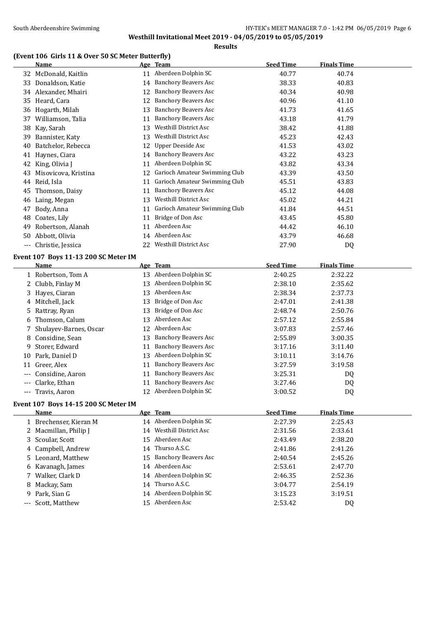**Results**

# **(Event 106 Girls 11 & Over 50 SC Meter Butterfly)**

|     | <b>Name</b>                                  |          | Age Team                         | <b>Seed Time</b>   | <b>Finals Time</b> |  |
|-----|----------------------------------------------|----------|----------------------------------|--------------------|--------------------|--|
|     | 32 McDonald, Kaitlin                         |          | 11 Aberdeen Dolphin SC           | 40.77              | 40.74              |  |
|     | 33 Donaldson, Katie                          |          | 14 Banchory Beavers Asc          | 38.33              | 40.83              |  |
|     | 34 Alexander, Mhairi                         | 12       | <b>Banchory Beavers Asc</b>      | 40.34              | 40.98              |  |
|     | 35 Heard, Cara                               | 12       | <b>Banchory Beavers Asc</b>      | 40.96              | 41.10              |  |
| 36  | Hogarth, Milah                               | 13       | <b>Banchory Beavers Asc</b>      | 41.73              | 41.65              |  |
| 37  | Williamson, Talia                            | 11       | <b>Banchory Beavers Asc</b>      | 43.18              | 41.79              |  |
| 38  | Kay, Sarah                                   | 13       | Westhill District Asc            | 38.42              | 41.88              |  |
| 39  | Bannister, Katy                              | 13       | Westhill District Asc            | 45.23              | 42.43              |  |
| 40  | Batchelor, Rebecca                           | 12       | <b>Upper Deeside Asc</b>         | 41.53              | 43.02              |  |
| 41  | Haynes, Ciara                                | 14       | <b>Banchory Beavers Asc</b>      | 43.22              | 43.23              |  |
| 42  | King, Olivia J                               | 11       | Aberdeen Dolphin SC              | 43.82              | 43.34              |  |
| 43  | Misovicova, Kristina                         |          | 12 Garioch Amateur Swimming Club | 43.39              | 43.50              |  |
|     | 44 Reid, Isla                                | 11       | Garioch Amateur Swimming Club    | 45.51              | 43.83              |  |
| 45  | Thomson, Daisy                               | 11       | <b>Banchory Beavers Asc</b>      | 45.12              | 44.08              |  |
| 46  | Laing, Megan                                 | 13       | Westhill District Asc            | 45.02              | 44.21              |  |
| 47  | Body, Anna                                   |          | 11 Garioch Amateur Swimming Club | 41.84              | 44.51              |  |
| 48  | Coates, Lily                                 | 11       | Bridge of Don Asc                | 43.45              | 45.80              |  |
| 49  | Robertson, Alanah                            | 11       | Aberdeen Asc                     | 44.42              | 46.10              |  |
| 50  | Abbott, Olivia                               |          | 14 Aberdeen Asc                  | 43.79              | 46.68              |  |
|     | --- Christie, Jessica                        |          | 22 Westhill District Asc         | 27.90              | DQ                 |  |
|     |                                              |          |                                  |                    |                    |  |
|     | Event 107 Boys 11-13 200 SC Meter IM<br>Name |          | Age Team                         | <b>Seed Time</b>   | <b>Finals Time</b> |  |
|     |                                              |          | 13 Aberdeen Dolphin SC           | 2:40.25            | 2:32.22            |  |
|     | 1 Robertson, Tom A<br>2 Clubb, Finlay M      |          | 13 Aberdeen Dolphin SC           | 2:38.10            | 2:35.62            |  |
|     | Hayes, Ciaran                                | 13       | Aberdeen Asc                     | 2:38.34            |                    |  |
| 3   |                                              |          | Bridge of Don Asc                |                    | 2:37.73            |  |
| 4   | Mitchell, Jack                               | 13       | Bridge of Don Asc                | 2:47.01<br>2:48.74 | 2:41.38            |  |
| 5   | Rattray, Ryan<br>Thomson, Calum              | 13<br>13 | Aberdeen Asc                     | 2:57.12            | 2:50.76            |  |
| 6   | Shulayev-Barnes, Oscar                       | 12       | Aberdeen Asc                     | 3:07.83            | 2:55.84            |  |
| 7   | Considine, Sean                              |          | <b>Banchory Beavers Asc</b>      | 2:55.89            | 2:57.46            |  |
| 8   | Storer, Edward                               | 13       | <b>Banchory Beavers Asc</b>      | 3:17.16            | 3:00.35            |  |
| 9   | Park, Daniel D                               | 11<br>13 | Aberdeen Dolphin SC              | 3:10.11            | 3:11.40            |  |
| 10  | 11 Greer, Alex                               |          | <b>Banchory Beavers Asc</b>      |                    | 3:14.76            |  |
|     | Considine, Aaron                             | 11       | 11 Banchory Beavers Asc          | 3:27.59<br>3:25.31 | 3:19.58            |  |
| --- | Clarke, Ethan                                |          | 11 Banchory Beavers Asc          | 3:27.46            | DQ                 |  |
|     | Travis, Aaron                                |          | 12 Aberdeen Dolphin SC           | 3:00.52            | DQ                 |  |
|     |                                              |          |                                  |                    | DQ                 |  |
|     | Event 107 Boys 14-15 200 SC Meter IM         |          |                                  |                    |                    |  |
|     | <b>Name</b>                                  |          | Age Team                         | <b>Seed Time</b>   | <b>Finals Time</b> |  |
|     | 1 Brechenser, Kieran M                       |          | 14 Aberdeen Dolphin SC           | 2:27.39            | 2:25.43            |  |
| 2   | Macmillan, Philip J                          |          | 14 Westhill District Asc         | 2:31.56            | 2:33.61            |  |
| 3   | Scoular, Scott                               |          | 15 Aberdeen Asc                  | 2:43.49            | 2:38.20            |  |
| 4   | Campbell, Andrew                             |          | 14 Thurso A.S.C.                 | 2:41.86            | 2:41.26            |  |
|     | 5 Leonard, Matthew                           | 15       | <b>Banchory Beavers Asc</b>      | 2:40.54            | 2:45.26            |  |
|     | 6 Kavanagh, James                            |          | 14 Aberdeen Asc                  | 2:53.61            | 2:47.70            |  |
| 7   | Walker, Clark D                              |          | 14 Aberdeen Dolphin SC           | 2:46.35            | 2:52.36            |  |
| 8.  | Mackay, Sam                                  |          | 14 Thurso A.S.C.                 | 3:04.77            | 2:54.19            |  |
| 9.  | Park, Sian G                                 |          | 14 Aberdeen Dolphin SC           | 3:15.23            | 3:19.51            |  |
| --- | Scott, Matthew                               |          | 15 Aberdeen Asc                  | 2:53.42            | DQ                 |  |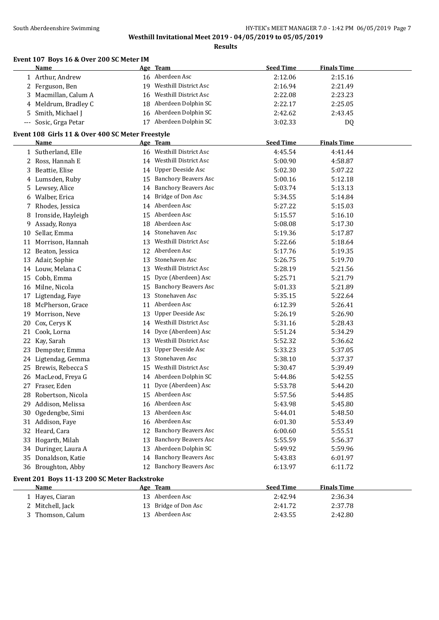**Results**

# **Event 107 Boys 16 & Over 200 SC Meter IM**

|                     | <b>Name</b>                                      |    | Age Team                                | <b>Seed Time</b> | <b>Finals Time</b> |
|---------------------|--------------------------------------------------|----|-----------------------------------------|------------------|--------------------|
|                     | 1 Arthur, Andrew                                 |    | 16 Aberdeen Asc                         | 2:12.06          | 2:15.16            |
|                     | 2 Ferguson, Ben                                  | 19 | Westhill District Asc                   | 2:16.94          | 2:21.49            |
| 3                   | Macmillan, Calum A                               | 16 | Westhill District Asc                   | 2:22.08          | 2:23.23            |
|                     | 4 Meldrum, Bradley C                             | 18 | Aberdeen Dolphin SC                     | 2:22.17          | 2:25.05            |
| 5.                  | Smith, Michael J                                 |    | 16 Aberdeen Dolphin SC                  | 2:42.62          | 2:43.45            |
| $\qquad \qquad - -$ | Sosic, Grga Petar                                |    | 17 Aberdeen Dolphin SC                  | 3:02.33          | DQ                 |
|                     | Event 108 Girls 11 & Over 400 SC Meter Freestyle |    |                                         |                  |                    |
|                     | Name                                             |    | Age Team                                | <b>Seed Time</b> | <b>Finals Time</b> |
|                     | 1 Sutherland, Elle                               |    | 16 Westhill District Asc                | 4:45.54          | 4:41.44            |
|                     | 2 Ross, Hannah E                                 |    | 14 Westhill District Asc                | 5:00.90          | 4:58.87            |
|                     | 3 Beattie, Elise                                 |    | 14 Upper Deeside Asc                    | 5:02.30          |                    |
|                     |                                                  | 15 | Banchory Beavers Asc                    |                  | 5:07.22            |
|                     | 4 Lumsden, Ruby                                  |    | 14 Banchory Beavers Asc                 | 5:00.16          | 5:12.18            |
|                     | 5 Lewsey, Alice                                  |    |                                         | 5:03.74          | 5:13.13            |
|                     | 6 Walber, Erica                                  |    | 14 Bridge of Don Asc<br>14 Aberdeen Asc | 5:34.55          | 5:14.84            |
|                     | 7 Rhodes, Jessica                                |    | Aberdeen Asc                            | 5:27.22          | 5:15.03            |
|                     | 8 Ironside, Hayleigh                             | 15 | Aberdeen Asc                            | 5:15.57          | 5:16.10            |
| 9                   | Assady, Ronya                                    | 18 | 14 Stonehaven Asc                       | 5:08.08          | 5:17.30            |
|                     | 10 Sellar, Emma                                  |    |                                         | 5:19.36          | 5:17.87            |
|                     | 11 Morrison, Hannah                              |    | 13 Westhill District Asc                | 5:22.66          | 5:18.64            |
|                     | 12 Beaton, Jessica                               |    | 12 Aberdeen Asc                         | 5:17.76          | 5:19.35            |
|                     | 13 Adair, Sophie                                 |    | 13 Stonehaven Asc                       | 5:26.75          | 5:19.70            |
|                     | 14 Louw, Melana C                                |    | 13 Westhill District Asc                | 5:28.19          | 5:21.56            |
|                     | 15 Cobb, Emma                                    |    | 15 Dyce (Aberdeen) Asc                  | 5:25.71          | 5:21.79            |
|                     | 16 Milne, Nicola                                 |    | 15 Banchory Beavers Asc                 | 5:01.33          | 5:21.89            |
|                     | 17 Ligtendag, Faye                               | 13 | Stonehaven Asc                          | 5:35.15          | 5:22.64            |
|                     | 18 McPherson, Grace                              | 11 | Aberdeen Asc                            | 6:12.39          | 5:26.41            |
| 19                  | Morrison, Neve                                   | 13 | <b>Upper Deeside Asc</b>                | 5:26.19          | 5:26.90            |
| 20                  | Cox, Cerys K                                     |    | 14 Westhill District Asc                | 5:31.16          | 5:28.43            |
|                     | 21 Cook, Lorna                                   | 14 | Dyce (Aberdeen) Asc                     | 5:51.24          | 5:34.29            |
| 22                  | Kay, Sarah                                       | 13 | Westhill District Asc                   | 5:52.32          | 5:36.62            |
|                     | 23 Dempster, Emma                                | 13 | <b>Upper Deeside Asc</b>                | 5:33.23          | 5:37.05            |
|                     | 24 Ligtendag, Gemma                              | 13 | Stonehaven Asc                          | 5:38.10          | 5:37.37            |
|                     | 25 Brewis, Rebecca S                             | 15 | Westhill District Asc                   | 5:30.47          | 5:39.49            |
|                     | 26 MacLeod, Freya G                              |    | 14 Aberdeen Dolphin SC                  | 5:44.86          | 5:42.55            |
|                     | 27 Fraser, Eden                                  |    | 11 Dyce (Aberdeen) Asc                  | 5:53.78          | 5:44.20            |
|                     | 28 Robertson, Nicola                             |    | 15 Aberdeen Asc                         | 5:57.56          | 5:44.85            |
|                     | 29 Addison, Melissa                              |    | 16 Aberdeen Asc                         | 5:43.98          | 5:45.80            |
|                     | 30 Ogedengbe, Simi                               |    | 13 Aberdeen Asc                         | 5:44.01          | 5:48.50            |
|                     | 31 Addison, Faye                                 |    | 16 Aberdeen Asc                         | 6:01.30          | 5:53.49            |
|                     | 32 Heard, Cara                                   | 12 | <b>Banchory Beavers Asc</b>             | 6:00.60          | 5:55.51            |
|                     | 33 Hogarth, Milah                                | 13 | <b>Banchory Beavers Asc</b>             | 5:55.59          | 5:56.37            |
|                     | 34 Duringer, Laura A                             | 13 | Aberdeen Dolphin SC                     | 5:49.92          | 5:59.96            |
|                     | 35 Donaldson, Katie                              |    | 14 Banchory Beavers Asc                 | 5:43.83          | 6:01.97            |
|                     | 36 Broughton, Abby                               |    | 12 Banchory Beavers Asc                 | 6:13.97          | 6:11.72            |
|                     | Event 201 Boys 11-13 200 SC Meter Backstroke     |    |                                         |                  |                    |
|                     | <b>Name</b>                                      |    | Age Team                                | <b>Seed Time</b> | <b>Finals Time</b> |
|                     | 1 Hayes, Ciaran                                  |    | 13 Aberdeen Asc                         | 2:42.94          | 2:36.34            |
|                     | 2 Mitchell, Jack                                 |    | 13 Bridge of Don Asc                    | 2:41.72          | 2:37.78            |
|                     | 3 Thomson, Calum                                 |    | 13 Aberdeen Asc                         | 2:43.55          | 2:42.80            |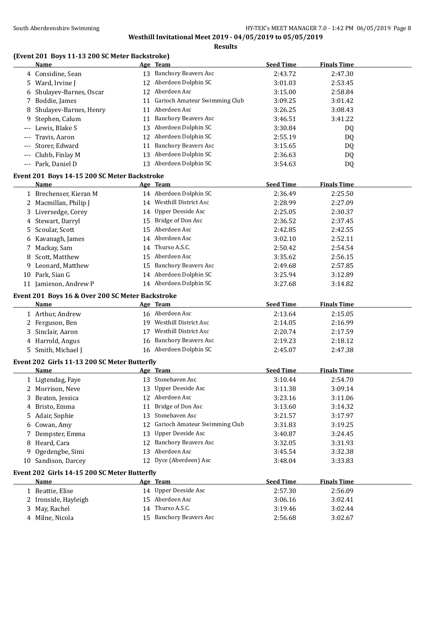#### **Results**

# **(Event 201 Boys 11-13 200 SC Meter Backstroke)**

|       | Name                                                     |    | Age Team                         | <b>Seed Time</b> | <b>Finals Time</b> |  |
|-------|----------------------------------------------------------|----|----------------------------------|------------------|--------------------|--|
|       | 4 Considine, Sean                                        |    | 13 Banchory Beavers Asc          | 2:43.72          | 2:47.30            |  |
|       | 5 Ward, Irvine J                                         | 12 | Aberdeen Dolphin SC              | 3:01.03          | 2:53.45            |  |
|       | 6 Shulayev-Barnes, Oscar                                 |    | 12 Aberdeen Asc                  | 3:15.00          | 2:58.84            |  |
| 7     | Boddie, James                                            | 11 | Garioch Amateur Swimming Club    | 3:09.25          | 3:01.42            |  |
| 8     | Shulayev-Barnes, Henry                                   | 11 | Aberdeen Asc                     | 3:26.25          | 3:08.43            |  |
| 9     | Stephen, Calum                                           | 11 | <b>Banchory Beavers Asc</b>      | 3:46.51          | 3:41.22            |  |
|       | Lewis, Blake S                                           |    | 13 Aberdeen Dolphin SC           | 3:30.84          | DQ                 |  |
| ---   | Travis, Aaron                                            |    | 12 Aberdeen Dolphin SC           | 2:55.19          | DQ                 |  |
| $---$ | Storer, Edward                                           | 11 | <b>Banchory Beavers Asc</b>      | 3:15.65          | DQ                 |  |
| $---$ | Clubb, Finlay M                                          |    | 13 Aberdeen Dolphin SC           | 2:36.63          | DQ                 |  |
|       | --- Park, Daniel D                                       |    | 13 Aberdeen Dolphin SC           | 3:54.63          | DQ                 |  |
|       | Event 201 Boys 14-15 200 SC Meter Backstroke             |    |                                  |                  |                    |  |
|       | Name                                                     |    | Age Team                         | <b>Seed Time</b> | <b>Finals Time</b> |  |
|       | 1 Brechenser, Kieran M                                   |    | 14 Aberdeen Dolphin SC           | 2:36.49          | 2:25.50            |  |
|       | 2 Macmillan, Philip J                                    |    | 14 Westhill District Asc         | 2:28.99          | 2:27.09            |  |
|       | 3 Liversedge, Corey                                      |    | 14 Upper Deeside Asc             | 2:25.05          | 2:30.37            |  |
|       | 4 Stewart, Darryl                                        |    | 15 Bridge of Don Asc             | 2:36.52          | 2:37.45            |  |
|       | 5 Scoular, Scott                                         |    | 15 Aberdeen Asc                  | 2:42.85          | 2:42.55            |  |
|       | 6 Kavanagh, James                                        |    | 14 Aberdeen Asc                  | 3:02.10          | 2:52.11            |  |
| 7     | Mackay, Sam                                              |    | 14 Thurso A.S.C.                 | 2:50.42          | 2:54.54            |  |
| 8     | Scott, Matthew                                           |    | 15 Aberdeen Asc                  | 3:35.62          | 2:56.15            |  |
| 9.    | Leonard, Matthew                                         |    | 15 Banchory Beavers Asc          | 2:49.68          | 2:57.85            |  |
| 10    | Park, Sian G                                             |    | 14 Aberdeen Dolphin SC           | 3:25.94          | 3:12.89            |  |
|       | 11 Jamieson, Andrew P                                    |    | 14 Aberdeen Dolphin SC           | 3:27.68          | 3:14.82            |  |
|       |                                                          |    |                                  |                  |                    |  |
|       | Event 201 Boys 16 & Over 200 SC Meter Backstroke<br>Name |    | Age Team                         | <b>Seed Time</b> | <b>Finals Time</b> |  |
|       | 1 Arthur, Andrew                                         |    | 16 Aberdeen Asc                  | 2:13.64          | 2:15.05            |  |
|       | 2 Ferguson, Ben                                          |    | 19 Westhill District Asc         | 2:14.05          | 2:16.99            |  |
|       | 3 Sinclair, Aaron                                        |    | 17 Westhill District Asc         | 2:20.74          | 2:17.59            |  |
|       | 4 Harrold, Angus                                         |    | 16 Banchory Beavers Asc          | 2:19.23          | 2:18.12            |  |
|       | 5 Smith, Michael J                                       |    | 16 Aberdeen Dolphin SC           | 2:45.07          | 2:47.38            |  |
|       |                                                          |    |                                  |                  |                    |  |
|       | Event 202 Girls 11-13 200 SC Meter Butterfly             |    |                                  |                  |                    |  |
|       | Name                                                     |    | Age Team                         | <b>Seed Time</b> | <b>Finals Time</b> |  |
|       | 1 Ligtendag, Faye                                        |    | 13 Stonehaven Asc                | 3:10.44          | 2:54.70            |  |
|       | 2 Morrison, Neve                                         |    | 13 Upper Deeside Asc             | 3:11.38          | 3:09.14            |  |
|       | 3 Beaton, Jessica                                        |    | 12 Aberdeen Asc                  | 3:23.16          | 3:11.06            |  |
|       | 4 Bristo, Emma                                           | 11 | Bridge of Don Asc                | 3:13.60          | 3:14.32            |  |
|       | 5 Adair, Sophie                                          | 13 | Stonehaven Asc                   | 3:21.57          | 3:17.97            |  |
|       | 6 Cowan, Amy                                             |    | 12 Garioch Amateur Swimming Club | 3:31.83          | 3:19.25            |  |
| 7     | Dempster, Emma                                           | 13 | Upper Deeside Asc                | 3:40.87          | 3:24.45            |  |
| 8     | Heard, Cara                                              | 12 | <b>Banchory Beavers Asc</b>      | 3:32.05          | 3:31.93            |  |
| 9     | Ogedengbe, Simi                                          |    | 13 Aberdeen Asc                  | 3:45.54          | 3:32.38            |  |
|       | 10 Sandison, Darcey                                      |    | 12 Dyce (Aberdeen) Asc           | 3:48.04          | 3:33.83            |  |
|       | Event 202 Girls 14-15 200 SC Meter Butterfly             |    |                                  |                  |                    |  |
|       | Name                                                     |    | Age Team                         | <b>Seed Time</b> | <b>Finals Time</b> |  |
|       | 1 Beattie, Elise                                         |    | 14 Upper Deeside Asc             | 2:57.30          | 2:56.09            |  |
|       | 2 Ironside, Hayleigh                                     |    | 15 Aberdeen Asc                  | 3:06.16          | 3:02.41            |  |
|       | 3 May, Rachel                                            |    | 14 Thurso A.S.C.                 | 3:19.46          | 3:02.44            |  |
|       | 4 Milne, Nicola                                          |    | 15 Banchory Beavers Asc          | 2:56.68          | 3:02.67            |  |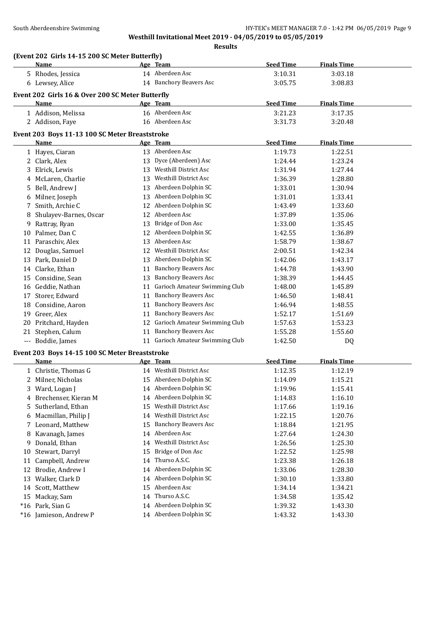**Results**

|    | (Event 202 Girls 14-15 200 SC Meter Butterfly)         |    |                                                              |                  |                    |  |
|----|--------------------------------------------------------|----|--------------------------------------------------------------|------------------|--------------------|--|
|    | Name                                                   |    | Age Team                                                     | <b>Seed Time</b> | <b>Finals Time</b> |  |
|    | 5 Rhodes, Jessica                                      |    | 14 Aberdeen Asc                                              | 3:10.31          | 3:03.18            |  |
|    | 6 Lewsey, Alice                                        |    | 14 Banchory Beavers Asc                                      | 3:05.75          | 3:08.83            |  |
|    | Event 202 Girls 16 & Over 200 SC Meter Butterfly       |    |                                                              |                  |                    |  |
|    | Name                                                   |    | Age Team                                                     | <b>Seed Time</b> | <b>Finals Time</b> |  |
|    | 1 Addison, Melissa                                     |    | 16 Aberdeen Asc                                              | 3:21.23          | 3:17.35            |  |
|    | 2 Addison, Faye                                        |    | 16 Aberdeen Asc                                              | 3:31.73          | 3:20.48            |  |
|    |                                                        |    |                                                              |                  |                    |  |
|    | Event 203 Boys 11-13 100 SC Meter Breaststroke<br>Name |    | Age Team                                                     | <b>Seed Time</b> | <b>Finals Time</b> |  |
|    |                                                        |    | 13 Aberdeen Asc                                              | 1:19.73          | 1:22.51            |  |
|    | 1 Hayes, Ciaran<br>2 Clark, Alex                       | 13 | Dyce (Aberdeen) Asc                                          | 1:24.44          | 1:23.24            |  |
|    | Elrick, Lewis                                          |    | 13 Westhill District Asc                                     | 1:31.94          | 1:27.44            |  |
| 3  |                                                        | 13 | <b>Westhill District Asc</b>                                 |                  |                    |  |
| 4  | McLaren, Charlie                                       |    | Aberdeen Dolphin SC                                          | 1:36.39          | 1:28.80            |  |
| 5  | Bell, Andrew J                                         | 13 | Aberdeen Dolphin SC                                          | 1:33.01          | 1:30.94            |  |
| 6  | Milner, Joseph                                         | 13 | Aberdeen Dolphin SC                                          | 1:31.01          | 1:33.41            |  |
| 7  | Smith, Archie C                                        | 12 | Aberdeen Asc                                                 | 1:43.49          | 1:33.60            |  |
| 8  | Shulayev-Barnes, Oscar                                 | 12 |                                                              | 1:37.89          | 1:35.06            |  |
|    | 9 Rattray, Ryan<br>10 Palmer, Dan C                    | 13 | Bridge of Don Asc<br>12 Aberdeen Dolphin SC                  | 1:33.00          | 1:35.45            |  |
|    |                                                        |    | Aberdeen Asc                                                 | 1:42.55          | 1:36.89            |  |
|    | 11 Paraschiv, Alex                                     | 13 | 12 Westhill District Asc                                     | 1:58.79          | 1:38.67            |  |
|    | 12 Douglas, Samuel                                     |    |                                                              | 2:00.51          | 1:42.34            |  |
|    | 13 Park, Daniel D                                      | 13 | Aberdeen Dolphin SC                                          | 1:42.06          | 1:43.17            |  |
|    | 14 Clarke, Ethan                                       |    | 11 Banchory Beavers Asc                                      | 1:44.78          | 1:43.90            |  |
|    | 15 Considine, Sean                                     | 13 | <b>Banchory Beavers Asc</b>                                  | 1:38.39          | 1:44.45            |  |
|    | 16 Geddie, Nathan                                      | 11 | Garioch Amateur Swimming Club<br><b>Banchory Beavers Asc</b> | 1:48.00          | 1:45.89            |  |
|    | 17 Storer, Edward                                      | 11 |                                                              | 1:46.50          | 1:48.41            |  |
|    | 18 Considine, Aaron                                    | 11 | <b>Banchory Beavers Asc</b>                                  | 1:46.94          | 1:48.55            |  |
| 19 | Greer, Alex                                            | 11 | <b>Banchory Beavers Asc</b><br>Garioch Amateur Swimming Club | 1:52.17          | 1:51.69            |  |
|    | 20 Pritchard, Hayden                                   | 12 | <b>Banchory Beavers Asc</b>                                  | 1:57.63          | 1:53.23            |  |
|    | 21 Stephen, Calum                                      | 11 | 11 Garioch Amateur Swimming Club                             | 1:55.28          | 1:55.60            |  |
|    | --- Boddie, James                                      |    |                                                              | 1:42.50          | DQ                 |  |
|    | Event 203 Boys 14-15 100 SC Meter Breaststroke         |    |                                                              |                  |                    |  |
|    | Name                                                   |    | Age Team                                                     | <b>Seed Time</b> | <b>Finals Time</b> |  |
|    | 1 Christie, Thomas G                                   |    | 14 Westhill District Asc                                     | 1:12.35          | 1:12.19            |  |
|    | 2 Milner, Nicholas                                     |    | 15 Aberdeen Dolphin SC                                       | 1:14.09          | 1:15.21            |  |
|    | 3 Ward, Logan J                                        |    | 14 Aberdeen Dolphin SC                                       | 1:19.96          | 1:15.41            |  |
| 4  | Brechenser, Kieran M                                   | 14 | Aberdeen Dolphin SC                                          | 1:14.83          | 1:16.10            |  |
| 5. | Sutherland, Ethan                                      | 15 | Westhill District Asc                                        | 1:17.66          | 1:19.16            |  |
| 6  | Macmillan, Philip J                                    | 14 | Westhill District Asc                                        | 1:22.15          | 1:20.76            |  |
| 7. | Leonard, Matthew                                       | 15 | <b>Banchory Beavers Asc</b>                                  | 1:18.84          | 1:21.95            |  |
| 8  | Kavanagh, James                                        | 14 | Aberdeen Asc                                                 | 1:27.64          | 1:24.30            |  |
| 9. | Donald, Ethan                                          | 14 | Westhill District Asc                                        | 1:26.56          | 1:25.30            |  |
| 10 | Stewart, Darryl                                        | 15 | Bridge of Don Asc                                            | 1:22.52          | 1:25.98            |  |
| 11 | Campbell, Andrew                                       | 14 | Thurso A.S.C.                                                | 1:23.38          | 1:26.18            |  |
| 12 | Brodie, Andrew I                                       |    | 14 Aberdeen Dolphin SC                                       | 1:33.06          | 1:28.30            |  |
| 13 | Walker, Clark D                                        | 14 | Aberdeen Dolphin SC                                          | 1:30.10          | 1:33.80            |  |
|    | 14 Scott, Matthew                                      | 15 | Aberdeen Asc                                                 | 1:34.14          | 1:34.21            |  |
| 15 | Mackay, Sam                                            | 14 | Thurso A.S.C.                                                | 1:34.58          | 1:35.42            |  |
|    | *16 Park, Sian G                                       |    | 14 Aberdeen Dolphin SC                                       | 1:39.32          | 1:43.30            |  |
|    | *16 Jamieson, Andrew P                                 |    | 14 Aberdeen Dolphin SC                                       | 1:43.32          | 1:43.30            |  |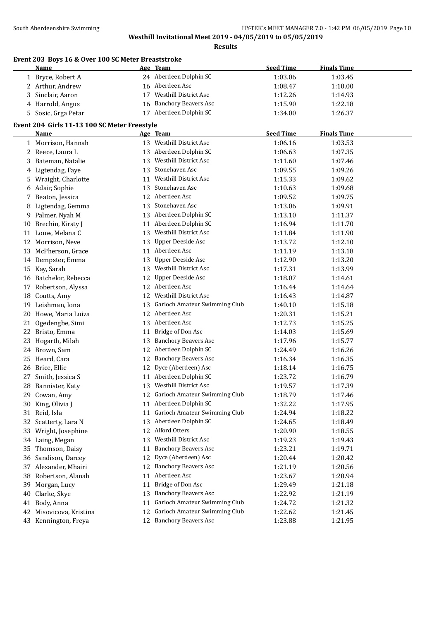|    | Event 203 Boys 16 & Over 100 SC Meter Breaststroke |    |                                                 |                  |                    |  |
|----|----------------------------------------------------|----|-------------------------------------------------|------------------|--------------------|--|
|    | <u>Name</u>                                        |    | Age Team<br>24 Aberdeen Dolphin SC              | <b>Seed Time</b> | <b>Finals Time</b> |  |
|    | 1 Bryce, Robert A                                  |    |                                                 | 1:03.06          | 1:03.45            |  |
|    | 2 Arthur, Andrew                                   |    | 16 Aberdeen Asc<br><b>Westhill District Asc</b> | 1:08.47          | 1:10.00            |  |
|    | 3 Sinclair, Aaron                                  | 17 |                                                 | 1:12.26          | 1:14.93            |  |
|    | 4 Harrold, Angus                                   | 16 | <b>Banchory Beavers Asc</b>                     | 1:15.90          | 1:22.18            |  |
|    | 5 Sosic, Grga Petar                                |    | 17 Aberdeen Dolphin SC                          | 1:34.00          | 1:26.37            |  |
|    | Event 204 Girls 11-13 100 SC Meter Freestyle       |    |                                                 |                  |                    |  |
|    | Name                                               |    | Age Team                                        | <b>Seed Time</b> | <b>Finals Time</b> |  |
|    | 1 Morrison, Hannah                                 |    | 13 Westhill District Asc                        | 1:06.16          | 1:03.53            |  |
|    | 2 Reece, Laura L                                   |    | 13 Aberdeen Dolphin SC                          | 1:06.63          | 1:07.35            |  |
|    | 3 Bateman, Natalie                                 |    | 13 Westhill District Asc                        | 1:11.60          | 1:07.46            |  |
|    | 4 Ligtendag, Faye                                  |    | 13 Stonehaven Asc                               | 1:09.55          | 1:09.26            |  |
|    | 5 Wraight, Charlotte                               |    | 11 Westhill District Asc                        | 1:15.33          | 1:09.62            |  |
|    | 6 Adair, Sophie                                    | 13 | Stonehaven Asc                                  | 1:10.63          | 1:09.68            |  |
|    | 7 Beaton, Jessica                                  |    | 12 Aberdeen Asc                                 | 1:09.52          | 1:09.75            |  |
|    | 8 Ligtendag, Gemma                                 |    | 13 Stonehaven Asc                               | 1:13.06          | 1:09.91            |  |
| 9. | Palmer, Nyah M                                     |    | 13 Aberdeen Dolphin SC                          | 1:13.10          | 1:11.37            |  |
| 10 | Brechin, Kirsty J                                  |    | 11 Aberdeen Dolphin SC                          | 1:16.94          | 1:11.70            |  |
|    | 11 Louw, Melana C                                  | 13 | Westhill District Asc                           | 1:11.84          | 1:11.90            |  |
|    | 12 Morrison, Neve                                  | 13 | Upper Deeside Asc                               | 1:13.72          | 1:12.10            |  |
|    | 13 McPherson, Grace                                |    | 11 Aberdeen Asc                                 | 1:11.19          | 1:13.18            |  |
|    | 14 Dempster, Emma                                  | 13 | Upper Deeside Asc                               | 1:12.90          | 1:13.20            |  |
|    | 15 Kay, Sarah                                      |    | 13 Westhill District Asc                        | 1:17.31          | 1:13.99            |  |
|    | 16 Batchelor, Rebecca                              | 12 | Upper Deeside Asc                               | 1:18.07          | 1:14.61            |  |
|    | 17 Robertson, Alyssa                               |    | 12 Aberdeen Asc                                 | 1:16.44          | 1:14.64            |  |
| 18 | Coutts, Amy                                        |    | 12 Westhill District Asc                        | 1:16.43          | 1:14.87            |  |
| 19 | Leishman, Iona                                     | 13 | Garioch Amateur Swimming Club                   | 1:40.10          | 1:15.18            |  |
| 20 | Howe, Maria Luiza                                  |    | 12 Aberdeen Asc                                 | 1:20.31          | 1:15.21            |  |
| 21 | Ogedengbe, Simi                                    |    | 13 Aberdeen Asc                                 | 1:12.73          | 1:15.25            |  |
|    | 22 Bristo, Emma                                    | 11 | Bridge of Don Asc                               | 1:14.03          | 1:15.69            |  |
|    | 23 Hogarth, Milah                                  | 13 | <b>Banchory Beavers Asc</b>                     | 1:17.96          | 1:15.77            |  |
| 24 | Brown, Sam                                         |    | 12 Aberdeen Dolphin SC                          | 1:24.49          | 1:16.26            |  |
|    | 25 Heard, Cara                                     |    | 12 Banchory Beavers Asc                         | 1:16.34          | 1:16.35            |  |
|    | 26 Brice, Ellie                                    |    | 12 Dyce (Aberdeen) Asc                          | 1:18.14          | 1:16.75            |  |
|    | 27 Smith, Jessica S                                |    | 11 Aberdeen Dolphin SC                          | 1:23.72          | 1:16.79            |  |
|    | 28 Bannister, Katy                                 |    | 13 Westhill District Asc                        | 1:19.57          | 1:17.39            |  |
|    | 29 Cowan, Amy                                      |    | 12 Garioch Amateur Swimming Club                | 1:18.79          | 1:17.46            |  |
|    | 30 King, Olivia J                                  |    | 11 Aberdeen Dolphin SC                          | 1:32.22          | 1:17.95            |  |
|    | 31 Reid, Isla                                      | 11 | Garioch Amateur Swimming Club                   | 1:24.94          | 1:18.22            |  |
|    | 32 Scatterty, Lara N                               |    | 13 Aberdeen Dolphin SC                          | 1:24.65          | 1:18.49            |  |
| 33 | Wright, Josephine                                  | 12 | Alford Otters                                   | 1:20.90          | 1:18.55            |  |
|    | 34 Laing, Megan                                    | 13 | Westhill District Asc                           | 1:19.23          | 1:19.43            |  |
|    | 35 Thomson, Daisy                                  | 11 | <b>Banchory Beavers Asc</b>                     | 1:23.21          | 1:19.71            |  |
|    | 36 Sandison, Darcey                                | 12 | Dyce (Aberdeen) Asc                             | 1:20.44          | 1:20.42            |  |
|    | 37 Alexander, Mhairi                               | 12 | <b>Banchory Beavers Asc</b>                     | 1:21.19          | 1:20.56            |  |
|    | 38 Robertson, Alanah                               | 11 | Aberdeen Asc                                    | 1:23.67          | 1:20.94            |  |
| 39 | Morgan, Lucy                                       | 11 | Bridge of Don Asc                               | 1:29.49          | 1:21.18            |  |
| 40 | Clarke, Skye                                       | 13 | <b>Banchory Beavers Asc</b>                     | 1:22.92          | 1:21.19            |  |
| 41 | Body, Anna                                         | 11 | Garioch Amateur Swimming Club                   | 1:24.72          | 1:21.32            |  |
|    | 42 Misovicova, Kristina                            | 12 | Garioch Amateur Swimming Club                   | 1:22.62          | 1:21.45            |  |
|    | 43 Kennington, Freya                               | 12 | <b>Banchory Beavers Asc</b>                     | 1:23.88          | 1:21.95            |  |
|    |                                                    |    |                                                 |                  |                    |  |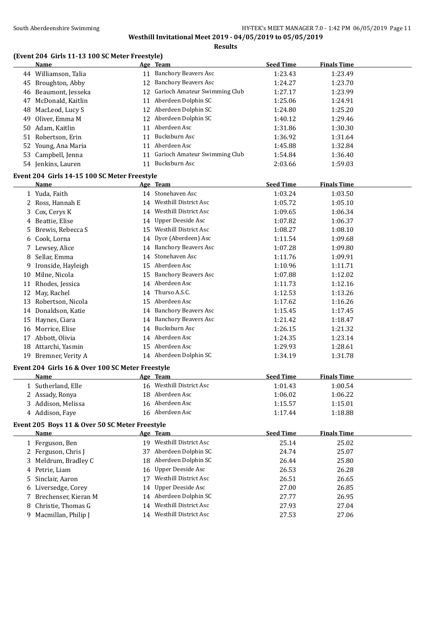### **Results**

#### **(Event 204 Girls 11-13 100 SC Meter Freestyle)**

|    | <b>Name</b>                                      |    | Age Team                         | <b>Seed Time</b> | <b>Finals Time</b> |  |
|----|--------------------------------------------------|----|----------------------------------|------------------|--------------------|--|
|    | 44 Williamson, Talia                             |    | 11 Banchory Beavers Asc          | 1:23.43          | 1:23.49            |  |
|    | 45 Broughton, Abby                               |    | 12 Banchory Beavers Asc          | 1:24.27          | 1:23.70            |  |
|    | 46 Beaumont, Jesseka                             |    | 12 Garioch Amateur Swimming Club | 1:27.17          | 1:23.99            |  |
|    | 47 McDonald, Kaitlin                             |    | 11 Aberdeen Dolphin SC           | 1:25.06          | 1:24.91            |  |
|    | 48 MacLeod, Lucy S                               |    | 12 Aberdeen Dolphin SC           | 1:24.80          | 1:25.20            |  |
|    | 49 Oliver, Emma M                                |    | 12 Aberdeen Dolphin SC           | 1:40.12          | 1:29.46            |  |
|    | 50 Adam, Kaitlin                                 |    | 11 Aberdeen Asc                  | 1:31.86          | 1:30.30            |  |
|    | 51 Robertson, Erin                               |    | 11 Bucksburn Asc                 | 1:36.92          | 1:31.64            |  |
|    | 52 Young, Ana Maria                              |    | 11 Aberdeen Asc                  | 1:45.88          | 1:32.84            |  |
|    | 53 Campbell, Jenna                               |    | 11 Garioch Amateur Swimming Club | 1:54.84          | 1:36.40            |  |
|    | 54 Jenkins, Lauren                               |    | 11 Bucksburn Asc                 | 2:03.66          | 1:59.03            |  |
|    |                                                  |    |                                  |                  |                    |  |
|    | Event 204 Girls 14-15 100 SC Meter Freestyle     |    |                                  |                  |                    |  |
|    | <b>Name</b>                                      |    | Age Team                         | <b>Seed Time</b> | <b>Finals Time</b> |  |
|    | 1 Yuda, Faith                                    |    | 14 Stonehaven Asc                | 1:03.24          | 1:03.50            |  |
|    | 2 Ross, Hannah E                                 |    | 14 Westhill District Asc         | 1:05.72          | 1:05.10            |  |
|    | 3 Cox, Cerys K                                   |    | 14 Westhill District Asc         | 1:09.65          | 1:06.34            |  |
|    | 4 Beattie, Elise                                 |    | 14 Upper Deeside Asc             | 1:07.82          | 1:06.37            |  |
| 5. | Brewis, Rebecca S                                |    | 15 Westhill District Asc         | 1:08.27          | 1:08.10            |  |
|    | 6 Cook, Lorna                                    |    | 14 Dyce (Aberdeen) Asc           | 1:11.54          | 1:09.68            |  |
|    | 7 Lewsey, Alice                                  |    | 14 Banchory Beavers Asc          | 1:07.28          | 1:09.80            |  |
|    | 8 Sellar, Emma                                   | 14 | Stonehaven Asc                   | 1:11.76          | 1:09.91            |  |
|    | 9 Ironside, Hayleigh                             |    | 15 Aberdeen Asc                  | 1:10.96          | 1:11.71            |  |
|    | 10 Milne, Nicola                                 |    | 15 Banchory Beavers Asc          | 1:07.88          | 1:12.02            |  |
|    | 11 Rhodes, Jessica                               |    | 14 Aberdeen Asc                  | 1:11.73          | 1:12.16            |  |
|    | 12 May, Rachel                                   | 14 | Thurso A.S.C.                    | 1:12.53          | 1:13.26            |  |
|    | 13 Robertson, Nicola                             |    | 15 Aberdeen Asc                  | 1:17.62          | 1:16.26            |  |
|    | 14 Donaldson, Katie                              |    | 14 Banchory Beavers Asc          | 1:15.45          | 1:17.45            |  |
|    | 15 Haynes, Ciara                                 |    | 14 Banchory Beavers Asc          | 1:21.42          | 1:18.47            |  |
|    | 16 Morrice, Elise                                |    | 14 Bucksburn Asc                 | 1:26.15          | 1:21.32            |  |
|    | 17 Abbott, Olivia                                |    | 14 Aberdeen Asc                  | 1:24.35          | 1:23.14            |  |
|    | 18 Attarchi, Yasmin                              |    | 15 Aberdeen Asc                  | 1:29.93          | 1:28.61            |  |
|    | 19 Bremner, Verity A                             |    | 14 Aberdeen Dolphin SC           | 1:34.19          | 1:31.78            |  |
|    | Event 204 Girls 16 & Over 100 SC Meter Freestyle |    |                                  |                  |                    |  |
|    | <u>Name</u>                                      |    | Age Team                         | <b>Seed Time</b> | <b>Finals Time</b> |  |
|    | 1 Sutherland, Elle                               |    | 16 Westhill District Asc         | 1:01.43          | 1:00.54            |  |
|    | 2 Assady, Ronya                                  |    | 18 Aberdeen Asc                  | 1:06.02          | 1:06.22            |  |
|    | 3 Addison, Melissa                               |    | 16 Aberdeen Asc                  | 1:15.57          | 1:15.01            |  |
|    | 4 Addison, Faye                                  |    | 16 Aberdeen Asc                  | 1:17.44          | 1:18.88            |  |
|    | Event 205 Boys 11 & Over 50 SC Meter Freestyle   |    |                                  |                  |                    |  |
|    | <b>Name</b>                                      |    | Age Team                         | <b>Seed Time</b> | <b>Finals Time</b> |  |
|    | 1 Ferguson, Ben                                  |    | 19 Westhill District Asc         | 25.14            | 25.02              |  |
|    | 2 Ferguson, Chris J                              |    | 37 Aberdeen Dolphin SC           | 24.74            | 25.07              |  |
|    | 3 Meldrum, Bradley C                             |    | 18 Aberdeen Dolphin SC           | 26.44            | 25.80              |  |
|    | 4 Petrie, Liam                                   |    | 16 Upper Deeside Asc             | 26.53            | 26.28              |  |
| 5. | Sinclair, Aaron                                  | 17 | Westhill District Asc            | 26.51            | 26.65              |  |
|    | 6 Liversedge, Corey                              | 14 | <b>Upper Deeside Asc</b>         | 27.00            | 26.85              |  |
|    | 7 Brechenser, Kieran M                           |    | 14 Aberdeen Dolphin SC           | 27.77            | 26.95              |  |
| 8  | Christie, Thomas G                               |    | 14 Westhill District Asc         | 27.93            | 27.04              |  |
|    | 9 Macmillan, Philip J                            |    | 14 Westhill District Asc         | 27.53            | 27.06              |  |
|    |                                                  |    |                                  |                  |                    |  |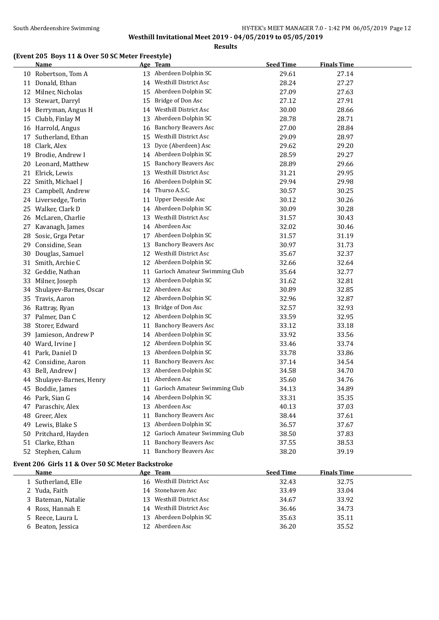**Results**

# **(Event 205 Boys 11 & Over 50 SC Meter Freestyle)**

|    | <b>Name</b>                                      |    | Age Team                      | <b>Seed Time</b> | <b>Finals Time</b> |
|----|--------------------------------------------------|----|-------------------------------|------------------|--------------------|
|    | 10 Robertson, Tom A                              |    | 13 Aberdeen Dolphin SC        | 29.61            | 27.14              |
|    | 11 Donald, Ethan                                 | 14 | Westhill District Asc         | 28.24            | 27.27              |
|    | 12 Milner, Nicholas                              | 15 | Aberdeen Dolphin SC           | 27.09            | 27.63              |
| 13 | Stewart, Darryl                                  | 15 | Bridge of Don Asc             | 27.12            | 27.91              |
|    | 14 Berryman, Angus H                             | 14 | Westhill District Asc         | 30.00            | 28.66              |
| 15 | Clubb, Finlay M                                  | 13 | Aberdeen Dolphin SC           | 28.78            | 28.71              |
|    | 16 Harrold, Angus                                | 16 | <b>Banchory Beavers Asc</b>   | 27.00            | 28.84              |
| 17 | Sutherland, Ethan                                | 15 | Westhill District Asc         | 29.09            | 28.97              |
| 18 | Clark, Alex                                      | 13 | Dyce (Aberdeen) Asc           | 29.62            | 29.20              |
| 19 | Brodie, Andrew I                                 | 14 | Aberdeen Dolphin SC           | 28.59            | 29.27              |
| 20 | Leonard, Matthew                                 | 15 | <b>Banchory Beavers Asc</b>   | 28.89            | 29.66              |
|    | 21 Elrick, Lewis                                 | 13 | Westhill District Asc         | 31.21            | 29.95              |
|    | 22 Smith, Michael J                              | 16 | Aberdeen Dolphin SC           | 29.94            | 29.98              |
| 23 | Campbell, Andrew                                 | 14 | Thurso A.S.C.                 | 30.57            | 30.25              |
|    | 24 Liversedge, Torin                             | 11 | <b>Upper Deeside Asc</b>      | 30.12            | 30.26              |
|    | 25 Walker, Clark D                               | 14 | Aberdeen Dolphin SC           | 30.09            | 30.28              |
| 26 | McLaren, Charlie                                 | 13 | Westhill District Asc         | 31.57            | 30.43              |
| 27 | Kavanagh, James                                  |    | 14 Aberdeen Asc               | 32.02            | 30.46              |
| 28 | Sosic, Grga Petar                                | 17 | Aberdeen Dolphin SC           | 31.57            | 31.19              |
| 29 | Considine, Sean                                  | 13 | <b>Banchory Beavers Asc</b>   | 30.97            | 31.73              |
| 30 | Douglas, Samuel                                  | 12 | <b>Westhill District Asc</b>  | 35.67            | 32.37              |
| 31 | Smith, Archie C                                  | 12 | Aberdeen Dolphin SC           | 32.66            | 32.64              |
|    | 32 Geddie, Nathan                                | 11 | Garioch Amateur Swimming Club | 35.64            | 32.77              |
| 33 | Milner, Joseph                                   | 13 | Aberdeen Dolphin SC           | 31.62            | 32.81              |
| 34 | Shulayev-Barnes, Oscar                           | 12 | Aberdeen Asc                  | 30.89            | 32.85              |
| 35 | Travis, Aaron                                    | 12 | Aberdeen Dolphin SC           | 32.96            | 32.87              |
| 36 | Rattray, Ryan                                    | 13 | Bridge of Don Asc             | 32.57            | 32.93              |
| 37 | Palmer, Dan C                                    | 12 | Aberdeen Dolphin SC           | 33.59            | 32.95              |
| 38 | Storer, Edward                                   | 11 | <b>Banchory Beavers Asc</b>   | 33.12            | 33.18              |
| 39 | Jamieson, Andrew P                               | 14 | Aberdeen Dolphin SC           | 33.92            | 33.56              |
| 40 | Ward, Irvine J                                   | 12 | Aberdeen Dolphin SC           | 33.46            | 33.74              |
| 41 | Park, Daniel D                                   | 13 | Aberdeen Dolphin SC           | 33.78            | 33.86              |
| 42 | Considine, Aaron                                 | 11 | <b>Banchory Beavers Asc</b>   | 37.14            | 34.54              |
| 43 | Bell, Andrew J                                   | 13 | Aberdeen Dolphin SC           | 34.58            | 34.70              |
| 44 | Shulayev-Barnes, Henry                           | 11 | Aberdeen Asc                  | 35.60            | 34.76              |
| 45 | Boddie, James                                    | 11 | Garioch Amateur Swimming Club | 34.13            | 34.89              |
|    | 46 Park, Sian G                                  |    | 14 Aberdeen Dolphin SC        | 33.31            | 35.35              |
|    | 47 Paraschiv, Alex                               |    | 13 Aberdeen Asc               | 40.13            | 37.03              |
| 48 | Greer, Alex                                      | 11 | <b>Banchory Beavers Asc</b>   | 38.44            | 37.61              |
| 49 | Lewis, Blake S                                   | 13 | Aberdeen Dolphin SC           | 36.57            | 37.67              |
|    | 50 Pritchard, Hayden                             | 12 | Garioch Amateur Swimming Club | 38.50            | 37.83              |
|    | 51 Clarke, Ethan                                 | 11 | <b>Banchory Beavers Asc</b>   | 37.55            | 38.53              |
|    | 52 Stephen, Calum                                | 11 | <b>Banchory Beavers Asc</b>   | 38.20            | 39.19              |
|    |                                                  |    |                               |                  |                    |
|    | Event 206 Girls 11 & Over 50 SC Meter Backstroke |    |                               |                  |                    |
|    | <u>Name</u>                                      |    | Age Team                      | <b>Seed Time</b> | <b>Finals Time</b> |
|    | 1 Sutherland, Elle                               |    | 16 Westhill District Asc      | 32.43            | 32.75              |
|    | 2 Yuda, Faith                                    |    | 14 Stonehaven Asc             | 33.49            | 33.04              |
| 3  | Bateman, Natalie                                 | 13 | Westhill District Asc         | 34.67            | 33.92              |
|    | 4 Ross, Hannah E                                 |    | 14 Westhill District Asc      | 36.46            | 34.73              |

5 Reece, Laura L 13 Aberdeen Dolphin SC 35.63 35.11 Beaton, Jessica 12 Aberdeen Asc 36.20 35.52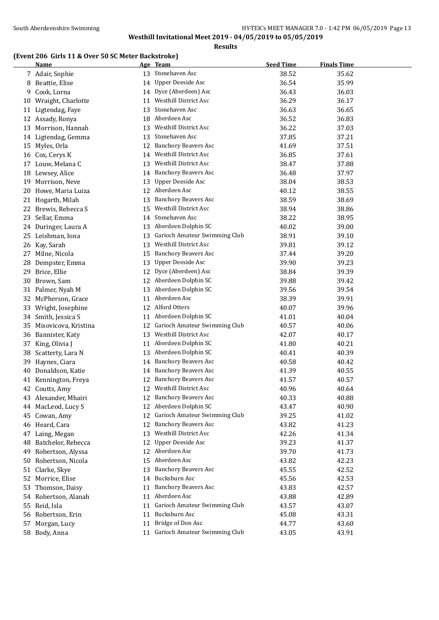# **(Event 206 Girls 11 & Over 50 SC Meter Backstroke)**

|    | <b>Name</b>          |    | Age Team                      | <b>Seed Time</b> | <b>Finals Time</b> |
|----|----------------------|----|-------------------------------|------------------|--------------------|
|    | 7 Adair, Sophie      | 13 | Stonehaven Asc                | 38.52            | 35.62              |
| 8  | Beattie, Elise       | 14 | <b>Upper Deeside Asc</b>      | 36.54            | 35.99              |
| 9. | Cook, Lorna          | 14 | Dyce (Aberdeen) Asc           | 36.43            | 36.03              |
| 10 | Wraight, Charlotte   | 11 | Westhill District Asc         | 36.29            | 36.17              |
| 11 | Ligtendag, Faye      | 13 | Stonehaven Asc                | 36.63            | 36.65              |
|    | 12 Assady, Ronya     | 18 | Aberdeen Asc                  | 36.52            | 36.83              |
| 13 | Morrison, Hannah     | 13 | <b>Westhill District Asc</b>  | 36.22            | 37.03              |
|    | 14 Ligtendag, Gemma  | 13 | Stonehaven Asc                | 37.85            | 37.21              |
| 15 | Myles, Orla          | 12 | <b>Banchory Beavers Asc</b>   | 41.69            | 37.51              |
| 16 | Cox, Cerys K         | 14 | <b>Westhill District Asc</b>  | 36.85            | 37.61              |
| 17 | Louw, Melana C       | 13 | Westhill District Asc         | 38.47            | 37.88              |
|    | 18 Lewsey, Alice     | 14 | <b>Banchory Beavers Asc</b>   | 36.48            | 37.97              |
| 19 | Morrison, Neve       | 13 | Upper Deeside Asc             | 38.04            | 38.53              |
| 20 | Howe, Maria Luiza    |    | 12 Aberdeen Asc               | 40.12            | 38.55              |
| 21 | Hogarth, Milah       | 13 | <b>Banchory Beavers Asc</b>   | 38.59            | 38.69              |
| 22 | Brewis, Rebecca S    | 15 | <b>Westhill District Asc</b>  | 38.94            | 38.86              |
| 23 | Sellar, Emma         | 14 | Stonehaven Asc                | 38.22            | 38.95              |
|    | 24 Duringer, Laura A |    | 13 Aberdeen Dolphin SC        | 40.02            | 39.00              |
|    | 25 Leishman, Iona    | 13 | Garioch Amateur Swimming Club | 38.91            | 39.10              |
|    | 26 Kay, Sarah        | 13 | <b>Westhill District Asc</b>  | 39.81            | 39.12              |
| 27 | Milne, Nicola        | 15 | <b>Banchory Beavers Asc</b>   | 37.44            | 39.20              |
| 28 | Dempster, Emma       | 13 | Upper Deeside Asc             | 39.90            | 39.23              |
| 29 | Brice, Ellie         | 12 | Dyce (Aberdeen) Asc           | 38.84            | 39.39              |
| 30 | Brown, Sam           |    | 12 Aberdeen Dolphin SC        | 39.88            | 39.42              |
|    | 31 Palmer, Nyah M    |    | 13 Aberdeen Dolphin SC        | 39.56            | 39.54              |
|    | 32 McPherson, Grace  | 11 | Aberdeen Asc                  | 38.39            | 39.91              |
|    | 33 Wright, Josephine | 12 | Alford Otters                 | 40.07            | 39.96              |
|    | 34 Smith, Jessica S  | 11 | Aberdeen Dolphin SC           | 41.01            | 40.04              |
| 35 | Misovicova, Kristina | 12 | Garioch Amateur Swimming Club | 40.57            | 40.06              |
|    | 36 Bannister, Katy   | 13 | Westhill District Asc         | 42.07            | 40.17              |
| 37 | King, Olivia J       | 11 | Aberdeen Dolphin SC           | 41.80            | 40.21              |
| 38 | Scatterty, Lara N    | 13 | Aberdeen Dolphin SC           | 40.41            | 40.39              |
| 39 | Haynes, Ciara        | 14 | <b>Banchory Beavers Asc</b>   | 40.58            | 40.42              |
| 40 | Donaldson, Katie     | 14 | <b>Banchory Beavers Asc</b>   | 41.39            | 40.55              |
| 41 | Kennington, Freya    | 12 | <b>Banchory Beavers Asc</b>   | 41.57            | 40.57              |
| 42 | Coutts, Amy          | 12 | <b>Westhill District Asc</b>  | 40.96            | 40.64              |
|    | 43 Alexander, Mhairi | 12 | <b>Banchory Beavers Asc</b>   | 40.33            | 40.88              |
| 44 | MacLeod, Lucy S      | 12 | Aberdeen Dolphin SC           | 43.47            | 40.90              |
| 45 | Cowan, Amy           | 12 | Garioch Amateur Swimming Club | 39.25            | 41.02              |
|    | 46 Heard, Cara       | 12 | <b>Banchory Beavers Asc</b>   | 43.82            | 41.23              |
| 47 | Laing, Megan         | 13 | Westhill District Asc         | 42.26            | 41.34              |
| 48 | Batchelor, Rebecca   | 12 | Upper Deeside Asc             | 39.23            | 41.37              |
| 49 | Robertson, Alyssa    |    | 12 Aberdeen Asc               | 39.70            | 41.73              |
| 50 | Robertson, Nicola    |    | 15 Aberdeen Asc               | 43.82            | 42.23              |
| 51 | Clarke, Skye         | 13 | <b>Banchory Beavers Asc</b>   | 45.55            | 42.52              |
| 52 | Morrice, Elise       |    | 14 Bucksburn Asc              | 45.56            | 42.53              |
| 53 | Thomson, Daisy       | 11 | <b>Banchory Beavers Asc</b>   | 43.83            | 42.57              |
|    | 54 Robertson, Alanah | 11 | Aberdeen Asc                  | 43.88            | 42.89              |
| 55 | Reid, Isla           | 11 | Garioch Amateur Swimming Club | 43.57            | 43.07              |
| 56 | Robertson, Erin      | 11 | Bucksburn Asc                 | 45.08            | 43.31              |
| 57 | Morgan, Lucy         | 11 | Bridge of Don Asc             | 44.77            | 43.60              |
|    | 58 Body, Anna        | 11 | Garioch Amateur Swimming Club | 43.05            | 43.91              |
|    |                      |    |                               |                  |                    |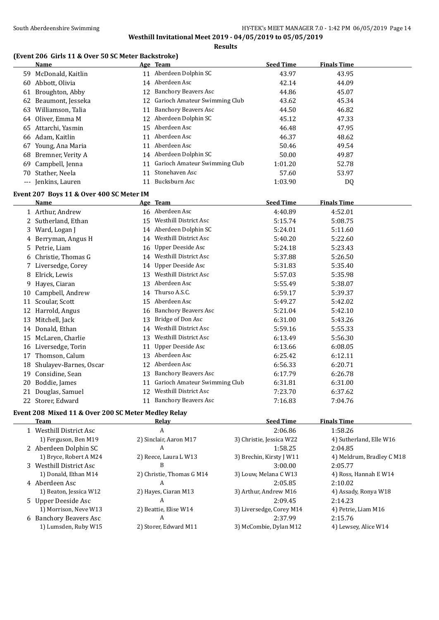# **(Event 206 Girls 11 & Over 50 SC Meter Backstroke)**

|    | <b>Name</b>                              |                 | Age Team                         | <b>Seed Time</b> | <b>Finals Time</b> |  |
|----|------------------------------------------|-----------------|----------------------------------|------------------|--------------------|--|
|    | 59 McDonald, Kaitlin                     |                 | 11 Aberdeen Dolphin SC           | 43.97            | 43.95              |  |
|    | 60 Abbott, Olivia                        |                 | 14 Aberdeen Asc                  | 42.14            | 44.09              |  |
|    | 61 Broughton, Abby                       |                 | 12 Banchory Beavers Asc          | 44.86            | 45.07              |  |
|    | 62 Beaumont, Jesseka                     |                 | 12 Garioch Amateur Swimming Club | 43.62            | 45.34              |  |
|    | 63 Williamson, Talia                     |                 | 11 Banchory Beavers Asc          | 44.50            | 46.82              |  |
|    | 64 Oliver, Emma M                        |                 | 12 Aberdeen Dolphin SC           | 45.12            | 47.33              |  |
|    | 65 Attarchi, Yasmin                      |                 | 15 Aberdeen Asc                  | 46.48            | 47.95              |  |
|    | 66 Adam, Kaitlin                         | 11              | Aberdeen Asc                     | 46.37            | 48.62              |  |
|    | 67 Young, Ana Maria                      |                 | 11 Aberdeen Asc                  | 50.46            | 49.54              |  |
|    | 68 Bremner, Verity A                     |                 | 14 Aberdeen Dolphin SC           | 50.00            | 49.87              |  |
| 69 | Campbell, Jenna                          | 11              | Garioch Amateur Swimming Club    | 1:01.20          | 52.78              |  |
|    | 70 Stather, Neela                        | 11              | Stonehaven Asc                   | 57.60            | 53.97              |  |
|    | --- Jenkins, Lauren                      | 11              | Bucksburn Asc                    | 1:03.90          | DQ                 |  |
|    | Event 207 Boys 11 & Over 400 SC Meter IM |                 |                                  |                  |                    |  |
|    | Name                                     |                 | Age Team                         | <b>Seed Time</b> | <b>Finals Time</b> |  |
|    | 1 Arthur, Andrew                         |                 | 16 Aberdeen Asc                  | 4:40.89          | 4:52.01            |  |
|    | 2 Sutherland, Ethan                      |                 | 15 Westhill District Asc         | 5:15.74          | 5:08.75            |  |
|    | 3 Ward, Logan J                          |                 | 14 Aberdeen Dolphin SC           | 5:24.01          | 5:11.60            |  |
|    | 4 Berryman, Angus H                      |                 | 14 Westhill District Asc         | 5:40.20          | 5:22.60            |  |
|    | 5 Petrie, Liam                           |                 | 16 Upper Deeside Asc             | 5:24.18          | 5:23.43            |  |
|    | 6 Christie, Thomas G                     |                 | 14 Westhill District Asc         | 5:37.88          | 5:26.50            |  |
|    | 7 Liversedge, Corey                      |                 | 14 Upper Deeside Asc             | 5:31.83          | 5:35.40            |  |
|    | 8 Elrick, Lewis                          |                 | 13 Westhill District Asc         | 5:57.03          | 5:35.98            |  |
| 9  | Hayes, Ciaran                            |                 | 13 Aberdeen Asc                  | 5:55.49          | 5:38.07            |  |
|    | 10 Campbell, Andrew                      |                 | 14 Thurso A.S.C.                 | 6:59.17          | 5:39.37            |  |
|    | 11 Scoular, Scott                        |                 | 15 Aberdeen Asc                  | 5:49.27          | 5:42.02            |  |
|    | 12 Harrold, Angus                        |                 | 16 Banchory Beavers Asc          | 5:21.04          | 5:42.10            |  |
|    | 13 Mitchell, Jack                        |                 | 13 Bridge of Don Asc             | 6:31.00          | 5:43.26            |  |
|    | 14 Donald, Ethan                         |                 | 14 Westhill District Asc         | 5:59.16          | 5:55.33            |  |
|    | 15 McLaren, Charlie                      | 13              | <b>Westhill District Asc</b>     | 6:13.49          | 5:56.30            |  |
|    | 16 Liversedge, Torin                     | 11              | Upper Deeside Asc                | 6:13.66          | 6:08.05            |  |
|    | 17 Thomson, Calum                        |                 | 13 Aberdeen Asc                  | 6:25.42          | 6:12.11            |  |
| 18 | Shulayev-Barnes, Oscar                   |                 | 12 Aberdeen Asc                  | 6:56.33          | 6:20.71            |  |
|    | 19 Considine, Sean                       |                 | 13 Banchory Beavers Asc          | 6:17.79          | 6:26.78            |  |
|    | 20 Boddie, James                         |                 | 11 Garioch Amateur Swimming Club | 6:31.81          | 6:31.00            |  |
|    | 21 Douglas, Samuel                       | 12 <sup>1</sup> | <b>Westhill District Asc</b>     | 7:23.70          | 6:37.62            |  |
|    | 22 Storer, Edward                        |                 | 11 Banchory Beavers Asc          | 7:16.83          | 7:04.76            |  |
|    |                                          |                 |                                  |                  |                    |  |

# **Event 208 Mixed 11 & Over 200 SC Meter Medley Relay**

| Team                             | Relay                     | <b>Seed Time</b>         | <b>Finals Time</b>        |
|----------------------------------|---------------------------|--------------------------|---------------------------|
| 1 Westhill District Asc          | A                         | 2:06.86                  | 1:58.26                   |
| 1) Ferguson, Ben M19             | 2) Sinclair, Aaron M17    | 3) Christie, Jessica W22 | 4) Sutherland, Elle W16   |
| 2 Aberdeen Dolphin SC            | A                         | 1:58.25                  | 2:04.85                   |
| 1) Bryce, Robert A M24           | 2) Reece, Laura L W13     | 3) Brechin, Kirsty J W11 | 4) Meldrum, Bradley C M18 |
| 3 Westhill District Asc          | B                         | 3:00.00                  | 2:05.77                   |
| 1) Donald, Ethan M14             | 2) Christie, Thomas G M14 | 3) Louw, Melana C W13    | 4) Ross, Hannah E W14     |
| 4 Aberdeen Asc                   | A                         | 2:05.85                  | 2:10.02                   |
| 1) Beaton, Jessica W12           | 2) Hayes, Ciaran M13      | 3) Arthur, Andrew M16    | 4) Assady, Ronya W18      |
| 5 Upper Deeside Asc              | A                         | 2:09.45                  | 2:14.23                   |
| 1) Morrison, Neve W13            | 2) Beattie, Elise W14     | 3) Liversedge, Corey M14 | 4) Petrie, Liam M16       |
| <b>Banchory Beavers Asc</b><br>6 | A                         | 2:37.99                  | 2:15.76                   |
| 1) Lumsden, Ruby W15             | 2) Storer, Edward M11     | 3) McCombie, Dylan M12   | 4) Lewsey, Alice W14      |
|                                  |                           |                          |                           |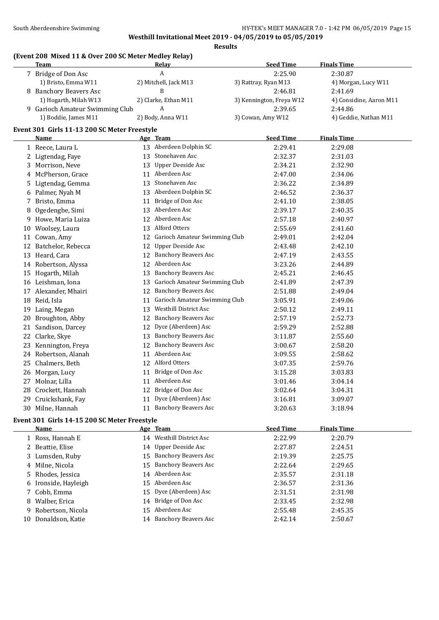$\mathbf{r}$ 

**Westhill Invitational Meet 2019 - 04/05/2019 to 05/05/2019 Results**

#### **(Event 208 Mixed 11 & Over 200 SC Meter Medley Relay)**

| Team                            | Relav                 | <b>Seed Time</b>         | <b>Finals Time</b>      |
|---------------------------------|-----------------------|--------------------------|-------------------------|
| 7 Bridge of Don Asc             | A                     | 2:25.90                  | 2:30.87                 |
| 1) Bristo, Emma W11             | 2) Mitchell, Jack M13 | 3) Rattray, Ryan M13     | 4) Morgan, Lucy W11     |
| 8 Banchory Beavers Asc          |                       | 2:46.81                  | 2:41.69                 |
| 1) Hogarth, Milah W13           | 2) Clarke, Ethan M11  | 3) Kennington, Freya W12 | 4) Considine, Aaron M11 |
| 9 Garioch Amateur Swimming Club | A                     | 2:39.65                  | 2:44.86                 |
| 1) Boddie, James M11            | 2) Body, Anna W11     | 3) Cowan, Amy W12        | 4) Geddie, Nathan M11   |

## **Event 301 Girls 11-13 200 SC Meter Freestyle**

|    | Name               |    | Age Team                      | <b>Seed Time</b> | <b>Finals Time</b> |
|----|--------------------|----|-------------------------------|------------------|--------------------|
|    | 1 Reece, Laura L   | 13 | Aberdeen Dolphin SC           | 2:29.41          | 2:29.08            |
| 2  | Ligtendag, Faye    | 13 | Stonehaven Asc                | 2:32.37          | 2:31.03            |
| 3  | Morrison, Neve     | 13 | <b>Upper Deeside Asc</b>      | 2:34.21          | 2:32.90            |
| 4  | McPherson, Grace   | 11 | Aberdeen Asc                  | 2:47.00          | 2:34.06            |
| 5. | Ligtendag, Gemma   | 13 | Stonehaven Asc                | 2:36.22          | 2:34.89            |
| 6  | Palmer, Nyah M     | 13 | Aberdeen Dolphin SC           | 2:46.52          | 2:36.37            |
|    | Bristo, Emma       | 11 | Bridge of Don Asc             | 2:41.10          | 2:38.05            |
| 8  | Ogedengbe, Simi    | 13 | Aberdeen Asc                  | 2:39.17          | 2:40.35            |
| 9  | Howe, Maria Luiza  | 12 | Aberdeen Asc                  | 2:57.18          | 2:40.97            |
| 10 | Woolsey, Laura     | 13 | Alford Otters                 | 2:55.69          | 2:41.60            |
| 11 | Cowan, Amy         | 12 | Garioch Amateur Swimming Club | 2:49.01          | 2:42.04            |
| 12 | Batchelor, Rebecca | 12 | <b>Upper Deeside Asc</b>      | 2:43.48          | 2:42.10            |
| 13 | Heard, Cara        | 12 | <b>Banchory Beavers Asc</b>   | 2:47.19          | 2:43.55            |
| 14 | Robertson, Alyssa  | 12 | Aberdeen Asc                  | 3:23.26          | 2:44.89            |
| 15 | Hogarth, Milah     | 13 | <b>Banchory Beavers Asc</b>   | 2:45.21          | 2:46.45            |
| 16 | Leishman, Iona     | 13 | Garioch Amateur Swimming Club | 2:41.89          | 2:47.39            |
|    | Alexander, Mhairi  | 12 | <b>Banchory Beavers Asc</b>   | 2:51.88          | 2:49.04            |
| 18 | Reid, Isla         | 11 | Garioch Amateur Swimming Club | 3:05.91          | 2:49.06            |
| 19 | Laing, Megan       | 13 | <b>Westhill District Asc</b>  | 2:50.12          | 2:49.11            |
| 20 | Broughton, Abby    | 12 | <b>Banchory Beavers Asc</b>   | 2:57.19          | 2:52.73            |
| 21 | Sandison, Darcey   | 12 | Dyce (Aberdeen) Asc           | 2:59.29          | 2:52.88            |
| 22 | Clarke, Skye       | 13 | <b>Banchory Beavers Asc</b>   | 3:11.87          | 2:55.60            |
| 23 | Kennington, Freya  | 12 | <b>Banchory Beavers Asc</b>   | 3:00.67          | 2:58.20            |
| 24 | Robertson, Alanah  | 11 | Aberdeen Asc                  | 3:09.55          | 2:58.62            |
| 25 | Chalmers, Beth     | 12 | Alford Otters                 | 3:07.35          | 2:59.76            |
| 26 | Morgan, Lucy       | 11 | Bridge of Don Asc             | 3:15.28          | 3:03.83            |
| 27 | Molnar, Lilla      | 11 | Aberdeen Asc                  | 3:01.46          | 3:04.14            |
| 28 | Crockett, Hannah   | 12 | Bridge of Don Asc             | 3:02.64          | 3:04.31            |
| 29 | Cruickshank, Fay   | 11 | Dyce (Aberdeen) Asc           | 3:16.81          | 3:09.07            |
| 30 | Milne, Hannah      | 11 | <b>Banchory Beavers Asc</b>   | 3:20.63          | 3:18.94            |

#### **Event 301 Girls 14-15 200 SC Meter Freestyle**

|    | <b>Name</b>          |    | Age Team                 | <b>Seed Time</b> | <b>Finals Time</b> |
|----|----------------------|----|--------------------------|------------------|--------------------|
|    | 1 Ross, Hannah E     |    | 14 Westhill District Asc | 2:22.99          | 2:20.79            |
|    | 2 Beattie, Elise     |    | 14 Upper Deeside Asc     | 2:27.87          | 2:24.51            |
|    | 3 Lumsden, Ruby      |    | 15 Banchory Beavers Asc  | 2:19.39          | 2:25.75            |
|    | 4 Milne, Nicola      |    | 15 Banchory Beavers Asc  | 2:22.64          | 2:29.65            |
|    | 5 Rhodes, Jessica    |    | 14 Aberdeen Asc          | 2:35.57          | 2:31.18            |
|    | 6 Ironside, Hayleigh |    | 15 Aberdeen Asc          | 2:36.57          | 2:31.36            |
|    | 7 Cobb, Emma         |    | 15 Dyce (Aberdeen) Asc   | 2:31.51          | 2:31.98            |
|    | 8 Walber, Erica      |    | 14 Bridge of Don Asc     | 2:33.45          | 2:32.98            |
|    | 9 Robertson, Nicola  |    | 15 Aberdeen Asc          | 2:55.48          | 2:45.35            |
| 10 | Donaldson, Katie     | 14 | Banchory Beavers Asc     | 2:42.14          | 2:50.67            |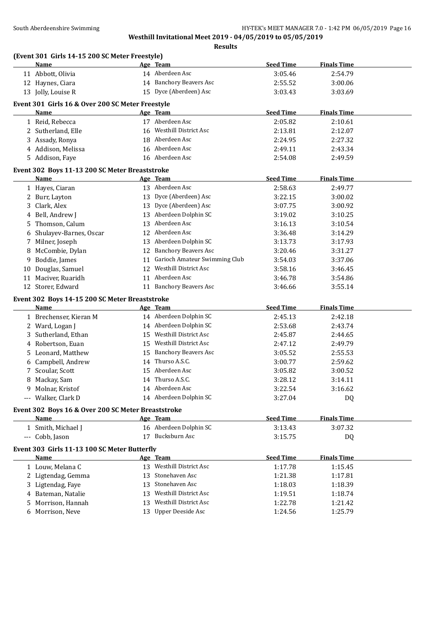# South Aberdeenshire Swimming **Example 2018** HY-TEK's MEET MANAGER 7.0 - 1:42 PM 06/05/2019 Page 16

# **Westhill Invitational Meet 2019 - 04/05/2019 to 05/05/2019**

**Results**

|    | (Event 301 Girls 14-15 200 SC Meter Freestyle)     |    |                               |                    |                    |
|----|----------------------------------------------------|----|-------------------------------|--------------------|--------------------|
|    | Name                                               |    | Age Team                      | <b>Seed Time</b>   | <b>Finals Time</b> |
|    | 11 Abbott, Olivia                                  |    | 14 Aberdeen Asc               | 3:05.46            | 2:54.79            |
|    | 12 Haynes, Ciara                                   |    | 14 Banchory Beavers Asc       | 2:55.52            | 3:00.06            |
|    | 13 Jolly, Louise R                                 |    | 15 Dyce (Aberdeen) Asc        | 3:03.43            | 3:03.69            |
|    | Event 301 Girls 16 & Over 200 SC Meter Freestyle   |    |                               |                    |                    |
|    | Name                                               |    | Age Team                      | <b>Seed Time</b>   | <b>Finals Time</b> |
|    | 1 Reid, Rebecca                                    |    | 17 Aberdeen Asc               | 2:05.82            | 2:10.61            |
|    | 2 Sutherland, Elle                                 |    | 16 Westhill District Asc      | 2:13.81            | 2:12.07            |
|    | 3 Assady, Ronya                                    |    | 18 Aberdeen Asc               | 2:24.95            | 2:27.32            |
|    | 4 Addison, Melissa                                 |    | 16 Aberdeen Asc               | 2:49.11            | 2:43.34            |
|    | 5 Addison, Faye                                    |    | 16 Aberdeen Asc               | 2:54.08            | 2:49.59            |
|    | Event 302 Boys 11-13 200 SC Meter Breaststroke     |    |                               |                    |                    |
|    | <b>Name</b>                                        |    | Age Team                      | <b>Seed Time</b>   | <b>Finals Time</b> |
|    | 1 Hayes, Ciaran                                    |    | 13 Aberdeen Asc               | 2:58.63            | 2:49.77            |
|    | 2 Burr, Layton                                     |    | 13 Dyce (Aberdeen) Asc        | 3:22.15            | 3:00.02            |
| 3  | Clark, Alex                                        |    | 13 Dyce (Aberdeen) Asc        | 3:07.75            | 3:00.92            |
| 4  | Bell, Andrew J                                     |    | 13 Aberdeen Dolphin SC        | 3:19.02            | 3:10.25            |
|    | Thomson, Calum                                     | 13 | Aberdeen Asc                  |                    |                    |
| 5. |                                                    | 12 | Aberdeen Asc                  | 3:16.13<br>3:36.48 | 3:10.54<br>3:14.29 |
|    | Shulayev-Barnes, Oscar                             |    | Aberdeen Dolphin SC           |                    |                    |
|    | 7 Milner, Joseph                                   | 13 |                               | 3:13.73            | 3:17.93            |
|    | 8 McCombie, Dylan                                  | 12 | <b>Banchory Beavers Asc</b>   | 3:20.46            | 3:31.27            |
|    | 9 Boddie, James                                    | 11 | Garioch Amateur Swimming Club | 3:54.03            | 3:37.06            |
| 10 | Douglas, Samuel                                    | 12 | <b>Westhill District Asc</b>  | 3:58.16            | 3:46.45            |
| 11 | Maciver, Ruaridh                                   |    | 11 Aberdeen Asc               | 3:46.78            | 3:54.86            |
|    | 12 Storer, Edward                                  |    | 11 Banchory Beavers Asc       | 3:46.66            | 3:55.14            |
|    | Event 302 Boys 14-15 200 SC Meter Breaststroke     |    |                               |                    |                    |
|    | Name                                               |    | Age Team                      | <b>Seed Time</b>   | <b>Finals Time</b> |
|    | 1 Brechenser, Kieran M                             |    | 14 Aberdeen Dolphin SC        | 2:45.13            | 2:42.18            |
|    | 2 Ward, Logan J                                    |    | 14 Aberdeen Dolphin SC        | 2:53.68            | 2:43.74            |
| 3  | Sutherland, Ethan                                  | 15 | Westhill District Asc         | 2:45.87            | 2:44.65            |
| 4  | Robertson, Euan                                    |    | 15 Westhill District Asc      | 2:47.12            | 2:49.79            |
| 5. | Leonard, Matthew                                   | 15 | <b>Banchory Beavers Asc</b>   | 3:05.52            | 2:55.53            |
| 6  | Campbell, Andrew                                   | 14 | Thurso A.S.C.                 | 3:00.77            | 2:59.62            |
|    | 7 Scoular, Scott                                   |    | 15 Aberdeen Asc               | 3:05.82            | 3:00.52            |
| 8  | Mackay, Sam                                        |    | 14 Thurso A.S.C.              | 3:28.12            | 3:14.11            |
|    | 9 Molnar, Kristof                                  |    | 14 Aberdeen Asc               | 3:22.54            | 3:16.62            |
|    | --- Walker, Clark D                                |    | 14 Aberdeen Dolphin SC        | 3:27.04            | DQ                 |
|    | Event 302 Boys 16 & Over 200 SC Meter Breaststroke |    |                               |                    |                    |
|    | Name                                               |    | Age Team                      | <b>Seed Time</b>   | <b>Finals Time</b> |
|    | 1 Smith, Michael J                                 |    | 16 Aberdeen Dolphin SC        | 3:13.43            | 3:07.32            |
|    | --- Cobb, Jason                                    |    | 17 Bucksburn Asc              | 3:15.75            | DQ                 |
|    |                                                    |    |                               |                    |                    |
|    | Event 303 Girls 11-13 100 SC Meter Butterfly       |    |                               |                    |                    |
|    | Name                                               |    | Age Team                      | <b>Seed Time</b>   | <b>Finals Time</b> |
|    | 1 Louw, Melana C                                   |    | 13 Westhill District Asc      | 1:17.78            | 1:15.45            |
|    | 2 Ligtendag, Gemma                                 | 13 | Stonehaven Asc                | 1:21.38            | 1:17.81            |
|    | 3 Ligtendag, Faye                                  | 13 | Stonehaven Asc                | 1:18.03            | 1:18.39            |
|    | 4 Bateman, Natalie                                 | 13 | Westhill District Asc         | 1:19.51            | 1:18.74            |
| 5  | Morrison, Hannah                                   | 13 | Westhill District Asc         | 1:22.78            | 1:21.42            |
|    | 6 Morrison, Neve                                   |    | 13 Upper Deeside Asc          | 1:24.56            | 1:25.79            |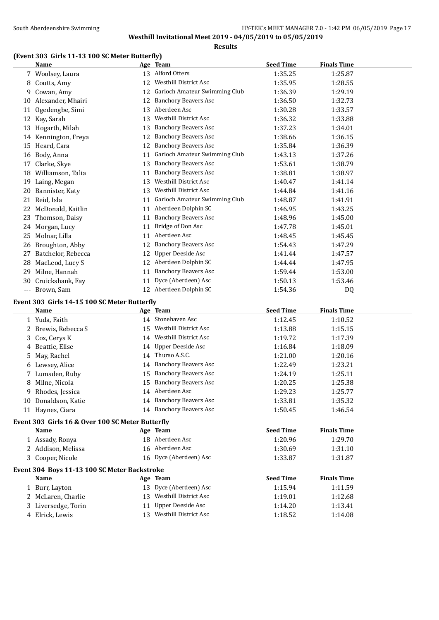# **(Event 303 Girls 11-13 100 SC Meter Butterfly)**

|    | Name                                             |    | Age Team                      | <b>Seed Time</b> | <b>Finals Time</b> |
|----|--------------------------------------------------|----|-------------------------------|------------------|--------------------|
|    | 7 Woolsey, Laura                                 |    | 13 Alford Otters              | 1:35.25          | 1:25.87            |
|    | 8 Coutts, Amy                                    | 12 | Westhill District Asc         | 1:35.95          | 1:28.55            |
|    | 9 Cowan, Amy                                     | 12 | Garioch Amateur Swimming Club | 1:36.39          | 1:29.19            |
| 10 | Alexander, Mhairi                                | 12 | <b>Banchory Beavers Asc</b>   | 1:36.50          | 1:32.73            |
| 11 | Ogedengbe, Simi                                  | 13 | Aberdeen Asc                  | 1:30.28          | 1:33.57            |
|    | 12 Kay, Sarah                                    | 13 | Westhill District Asc         | 1:36.32          | 1:33.88            |
|    | 13 Hogarth, Milah                                | 13 | <b>Banchory Beavers Asc</b>   | 1:37.23          | 1:34.01            |
|    | 14 Kennington, Freya                             | 12 | <b>Banchory Beavers Asc</b>   | 1:38.66          | 1:36.15            |
|    | 15 Heard, Cara                                   | 12 | <b>Banchory Beavers Asc</b>   | 1:35.84          | 1:36.39            |
|    | 16 Body, Anna                                    | 11 | Garioch Amateur Swimming Club | 1:43.13          | 1:37.26            |
| 17 | Clarke, Skye                                     | 13 | <b>Banchory Beavers Asc</b>   | 1:53.61          | 1:38.79            |
|    | 18 Williamson, Talia                             | 11 | <b>Banchory Beavers Asc</b>   | 1:38.81          | 1:38.97            |
|    | 19 Laing, Megan                                  |    | 13 Westhill District Asc      | 1:40.47          | 1:41.14            |
| 20 | Bannister, Katy                                  |    | 13 Westhill District Asc      | 1:44.84          | 1:41.16            |
| 21 | Reid, Isla                                       | 11 | Garioch Amateur Swimming Club | 1:48.87          | 1:41.91            |
|    | 22 McDonald, Kaitlin                             |    | 11 Aberdeen Dolphin SC        | 1:46.95          | 1:43.25            |
|    | 23 Thomson, Daisy                                | 11 | <b>Banchory Beavers Asc</b>   | 1:48.96          | 1:45.00            |
|    | 24 Morgan, Lucy                                  | 11 | Bridge of Don Asc             | 1:47.78          | 1:45.01            |
| 25 | Molnar, Lilla                                    | 11 | Aberdeen Asc                  | 1:48.45          | 1:45.45            |
|    | 26 Broughton, Abby                               | 12 | <b>Banchory Beavers Asc</b>   | 1:54.43          | 1:47.29            |
| 27 | Batchelor, Rebecca                               | 12 | <b>Upper Deeside Asc</b>      | 1:41.44          | 1:47.57            |
|    | 28 MacLeod, Lucy S                               | 12 | Aberdeen Dolphin SC           | 1:44.44          | 1:47.95            |
|    | 29 Milne, Hannah                                 | 11 | <b>Banchory Beavers Asc</b>   | 1:59.44          | 1:53.00            |
|    | 30 Cruickshank, Fay                              | 11 | Dyce (Aberdeen) Asc           | 1:50.13          | 1:53.46            |
|    | --- Brown, Sam                                   |    | 12 Aberdeen Dolphin SC        | 1:54.36          | DQ                 |
|    | Event 303 Girls 14-15 100 SC Meter Butterfly     |    |                               |                  |                    |
|    | <b>Name</b>                                      |    | Age Team                      | <b>Seed Time</b> | <b>Finals Time</b> |
|    | 1 Yuda, Faith                                    |    | 14 Stonehaven Asc             | 1:12.45          | 1:10.52            |
|    | 2 Brewis, Rebecca S                              |    | 15 Westhill District Asc      | 1:13.88          | 1:15.15            |
| 3  | Cox, Cerys K                                     |    | 14 Westhill District Asc      | 1:19.72          | 1:17.39            |
|    | 4 Beattie, Elise                                 | 14 | Upper Deeside Asc             | 1:16.84          | 1:18.09            |
| 5  | May, Rachel                                      |    | 14 Thurso A.S.C.              | 1:21.00          | 1:20.16            |
|    | 6 Lewsey, Alice                                  |    | 14 Banchory Beavers Asc       | 1:22.49          | 1:23.21            |
|    | 7 Lumsden, Ruby                                  | 15 | <b>Banchory Beavers Asc</b>   | 1:24.19          | 1:25.11            |
|    | 8 Milne, Nicola                                  |    | 15 Banchory Beavers Asc       | 1:20.25          | 1:25.38            |
|    | 9 Rhodes, Jessica                                |    | 14 Aberdeen Asc               | 1:29.23          | 1:25.77            |
|    | 10 Donaldson, Katie                              |    | 14 Banchory Beavers Asc       | 1:33.81          | 1:35.32            |
|    | 11 Haynes, Ciara                                 |    | 14 Banchory Beavers Asc       | 1:50.45          | 1:46.54            |
|    |                                                  |    |                               |                  |                    |
|    | Event 303 Girls 16 & Over 100 SC Meter Butterfly |    |                               |                  |                    |
|    | Name                                             |    | Age Team                      | <b>Seed Time</b> | <b>Finals Time</b> |
|    | 1 Assady, Ronya                                  |    | 18 Aberdeen Asc               | 1:20.96          | 1:29.70            |
|    | 2 Addison, Melissa                               |    | 16 Aberdeen Asc               | 1:30.69          | 1:31.10            |
|    | 3 Cooper, Nicole                                 |    | 16 Dyce (Aberdeen) Asc        | 1:33.87          | 1:31.87            |
|    | Event 304 Boys 11-13 100 SC Meter Backstroke     |    |                               |                  |                    |
|    | <b>Name</b>                                      |    | Age Team                      | <b>Seed Time</b> | <b>Finals Time</b> |
|    | 1 Burr, Layton                                   |    | 13 Dyce (Aberdeen) Asc        | 1:15.94          | 1:11.59            |
|    | 2 McLaren, Charlie                               |    | 13 Westhill District Asc      | 1:19.01          | 1:12.68            |
| 3  | Liversedge, Torin                                | 11 | <b>Upper Deeside Asc</b>      | 1:14.20          | 1:13.41            |
|    | 4 Elrick, Lewis                                  |    | 13 Westhill District Asc      | 1:18.52          | 1:14.08            |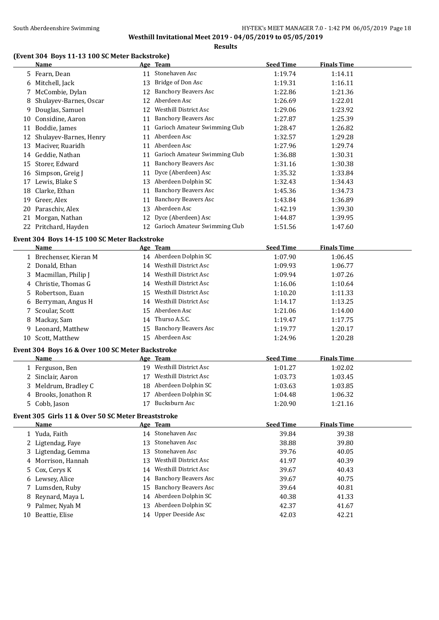#### **Results**

# **(Event 304 Boys 11-13 100 SC Meter Backstroke)**

|    | <b>Name</b>                                  |    | Age Team                         | <b>Seed Time</b> | <b>Finals Time</b> |  |
|----|----------------------------------------------|----|----------------------------------|------------------|--------------------|--|
|    | 5 Fearn, Dean                                |    | 11 Stonehaven Asc                | 1:19.74          | 1:14.11            |  |
| 6  | Mitchell, Jack                               | 13 | Bridge of Don Asc                | 1:19.31          | 1:16.11            |  |
| 7  | McCombie, Dylan                              | 12 | <b>Banchory Beavers Asc</b>      | 1:22.86          | 1:21.36            |  |
| 8  | Shulayev-Barnes, Oscar                       | 12 | Aberdeen Asc                     | 1:26.69          | 1:22.01            |  |
| 9  | Douglas, Samuel                              | 12 | <b>Westhill District Asc</b>     | 1:29.06          | 1:23.92            |  |
| 10 | Considine, Aaron                             | 11 | <b>Banchory Beavers Asc</b>      | 1:27.87          | 1:25.39            |  |
| 11 | Boddie, James                                | 11 | Garioch Amateur Swimming Club    | 1:28.47          | 1:26.82            |  |
| 12 | Shulayev-Barnes, Henry                       | 11 | Aberdeen Asc                     | 1:32.57          | 1:29.28            |  |
| 13 | Maciver, Ruaridh                             | 11 | Aberdeen Asc                     | 1:27.96          | 1:29.74            |  |
| 14 | Geddie, Nathan                               | 11 | Garioch Amateur Swimming Club    | 1:36.88          | 1:30.31            |  |
| 15 | Storer, Edward                               | 11 | <b>Banchory Beavers Asc</b>      | 1:31.16          | 1:30.38            |  |
| 16 | Simpson, Greig J                             | 11 | Dyce (Aberdeen) Asc              | 1:35.32          | 1:33.84            |  |
| 17 | Lewis, Blake S                               | 13 | Aberdeen Dolphin SC              | 1:32.43          | 1:34.43            |  |
| 18 | Clarke, Ethan                                | 11 | <b>Banchory Beavers Asc</b>      | 1:45.36          | 1:34.73            |  |
| 19 | Greer, Alex                                  | 11 | <b>Banchory Beavers Asc</b>      | 1:43.84          | 1:36.89            |  |
| 20 | Paraschiv, Alex                              | 13 | Aberdeen Asc                     | 1:42.19          | 1:39.30            |  |
| 21 | Morgan, Nathan                               | 12 | Dyce (Aberdeen) Asc              | 1:44.87          | 1:39.95            |  |
|    | 22 Pritchard, Hayden                         |    | 12 Garioch Amateur Swimming Club | 1:51.56          | 1:47.60            |  |
|    | Event 304 Boys 14-15 100 SC Meter Backstroke |    |                                  |                  |                    |  |
|    | Name                                         |    | Age Team                         | <b>Seed Time</b> | <b>Finals Time</b> |  |
|    | 1 Brechenser, Kieran M                       |    | 14 Aberdeen Dolphin SC           | 1:07.90          | 1:06.45            |  |
| 2  | Donald, Ethan                                | 14 | <b>Westhill District Asc</b>     | 1:09.93          | 1:06.77            |  |
| 3  | Macmillan, Philip J                          | 14 | <b>Westhill District Asc</b>     | 1:09.94          | 1:07.26            |  |
| 4  | Christie, Thomas G                           | 14 | <b>Westhill District Asc</b>     | 1:16.06          | 1:10.64            |  |
| 5  | Robertson, Euan                              | 15 | <b>Westhill District Asc</b>     | 1:10.20          | 1:11.33            |  |
| 6  | Berryman, Angus H                            | 14 | <b>Westhill District Asc</b>     | 1:14.17          | 1:13.25            |  |
| 7  | Scoular, Scott                               | 15 | Aberdeen Asc                     | 1:21.06          | 1:14.00            |  |
| 8  | Mackay, Sam                                  | 14 | Thurso A.S.C.                    | 1:19.47          | 1:17.75            |  |
| 9  | Leonard, Matthew                             | 15 | <b>Banchory Beavers Asc</b>      | 1:19.77          | 1:20.17            |  |
| 10 | Scott, Matthew                               | 15 | Aberdeen Asc                     | 1:24.96          | 1:20.28            |  |
|    |                                              |    |                                  |                  |                    |  |

## **Event 304 Boys 16 & Over 100 SC Meter Backstroke**

| Name                 | Age Team                    | <b>Seed Time</b> | <b>Finals Time</b> |  |
|----------------------|-----------------------------|------------------|--------------------|--|
| 1 Ferguson, Ben      | Westhill District Asc<br>19 | 1:01.27          | 1:02.02            |  |
| 2 Sinclair, Aaron    | Westhill District Asc       | 1:03.73          | 1:03.45            |  |
| 3 Meldrum, Bradley C | 18 Aberdeen Dolphin SC      | 1:03.63          | 1:03.85            |  |
| 4 Brooks, Jonathon R | Aberdeen Dolphin SC         | 1:04.48          | 1:06.32            |  |
| 5 Cobb, Jason        | Bucksburn Asc               | 1:20.90          | 1:21.16            |  |

#### **Event 305 Girls 11 & Over 50 SC Meter Breaststroke**

| Name               |     | Age Team                | <b>Seed Time</b> | <b>Finals Time</b> |
|--------------------|-----|-------------------------|------------------|--------------------|
| 1 Yuda, Faith      | 14  | Stonehaven Asc          | 39.84            | 39.38              |
| 2 Ligtendag, Faye  |     | 13 Stonehaven Asc       | 38.88            | 39.80              |
| 3 Ligtendag, Gemma |     | 13 Stonehaven Asc       | 39.76            | 40.05              |
| 4 Morrison, Hannah | 13. | Westhill District Asc   | 41.97            | 40.39              |
| 5 Cox, Cerys K     | 14  | Westhill District Asc   | 39.67            | 40.43              |
| 6 Lewsey, Alice    |     | 14 Banchory Beavers Asc | 39.67            | 40.75              |
| 7 Lumsden, Ruby    |     | 15 Banchory Beavers Asc | 39.64            | 40.81              |
| 8 Reynard, Maya L  |     | 14 Aberdeen Dolphin SC  | 40.38            | 41.33              |
| 9 Palmer, Nyah M   |     | 13 Aberdeen Dolphin SC  | 42.37            | 41.67              |
| 10 Beattie, Elise  |     | 14 Upper Deeside Asc    | 42.03            | 42.21              |
|                    |     |                         |                  |                    |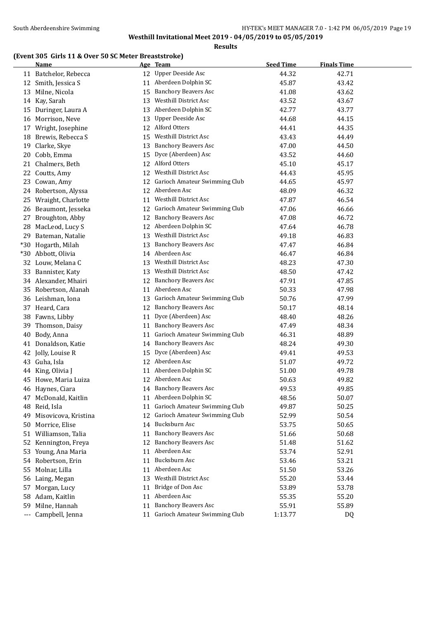# **(Event 305 Girls 11 & Over 50 SC Meter Breaststroke)**

|     | <b>Name</b>           |    | Age Team                      | <b>Seed Time</b> | <b>Finals Time</b> |
|-----|-----------------------|----|-------------------------------|------------------|--------------------|
|     | 11 Batchelor, Rebecca |    | 12 Upper Deeside Asc          | 44.32            | 42.71              |
|     | 12 Smith, Jessica S   | 11 | Aberdeen Dolphin SC           | 45.87            | 43.42              |
| 13  | Milne, Nicola         | 15 | <b>Banchory Beavers Asc</b>   | 41.08            | 43.62              |
|     | 14 Kay, Sarah         | 13 | <b>Westhill District Asc</b>  | 43.52            | 43.67              |
| 15  | Duringer, Laura A     | 13 | Aberdeen Dolphin SC           | 42.77            | 43.77              |
| 16  | Morrison, Neve        | 13 | Upper Deeside Asc             | 44.68            | 44.15              |
| 17  | Wright, Josephine     | 12 | Alford Otters                 | 44.41            | 44.35              |
| 18  | Brewis, Rebecca S     | 15 | Westhill District Asc         | 43.43            | 44.49              |
| 19  | Clarke, Skye          | 13 | <b>Banchory Beavers Asc</b>   | 47.00            | 44.50              |
| 20  | Cobb, Emma            | 15 | Dyce (Aberdeen) Asc           | 43.52            | 44.60              |
| 21  | Chalmers, Beth        | 12 | Alford Otters                 | 45.10            | 45.17              |
| 22  | Coutts, Amy           | 12 | <b>Westhill District Asc</b>  | 44.43            | 45.95              |
| 23  | Cowan, Amy            | 12 | Garioch Amateur Swimming Club | 44.65            | 45.97              |
|     | 24 Robertson, Alyssa  | 12 | Aberdeen Asc                  | 48.09            | 46.32              |
| 25  | Wraight, Charlotte    | 11 | Westhill District Asc         | 47.87            | 46.54              |
|     | 26 Beaumont, Jesseka  | 12 | Garioch Amateur Swimming Club | 47.06            | 46.66              |
| 27  | Broughton, Abby       | 12 | <b>Banchory Beavers Asc</b>   | 47.08            | 46.72              |
| 28  | MacLeod, Lucy S       |    | 12 Aberdeen Dolphin SC        | 47.64            | 46.78              |
| 29. | Bateman, Natalie      | 13 | Westhill District Asc         | 49.18            | 46.83              |
|     | *30 Hogarth, Milah    | 13 | <b>Banchory Beavers Asc</b>   | 47.47            | 46.84              |
|     | *30 Abbott, Olivia    |    | 14 Aberdeen Asc               | 46.47            | 46.84              |
|     | 32 Louw, Melana C     | 13 | Westhill District Asc         | 48.23            | 47.30              |
| 33  | Bannister, Katy       |    | 13 Westhill District Asc      | 48.50            | 47.42              |
|     | 34 Alexander, Mhairi  | 12 | <b>Banchory Beavers Asc</b>   | 47.91            | 47.85              |
|     | 35 Robertson, Alanah  | 11 | Aberdeen Asc                  | 50.33            | 47.98              |
|     | 36 Leishman, Iona     | 13 | Garioch Amateur Swimming Club | 50.76            | 47.99              |
|     | 37 Heard, Cara        | 12 | <b>Banchory Beavers Asc</b>   | 50.17            | 48.14              |
|     | 38 Fawns, Libby       | 11 | Dyce (Aberdeen) Asc           | 48.40            | 48.26              |
|     | 39 Thomson, Daisy     | 11 | <b>Banchory Beavers Asc</b>   | 47.49            | 48.34              |
|     | 40 Body, Anna         | 11 | Garioch Amateur Swimming Club | 46.31            | 48.89              |
|     | 41 Donaldson, Katie   | 14 | <b>Banchory Beavers Asc</b>   | 48.24            | 49.30              |
|     | 42 Jolly, Louise R    | 15 | Dyce (Aberdeen) Asc           | 49.41            | 49.53              |
| 43  | Guha, Isla            |    | 12 Aberdeen Asc               | 51.07            | 49.72              |
| 44  | King, Olivia J        | 11 | Aberdeen Dolphin SC           | 51.00            | 49.78              |
| 45  | Howe, Maria Luiza     |    | 12 Aberdeen Asc               | 50.63            | 49.82              |
|     | 46 Haynes, Ciara      |    | 14 Banchory Beavers Asc       | 49.53            | 49.85              |
|     | 47 McDonald, Kaitlin  | 11 | Aberdeen Dolphin SC           | 48.56            | 50.07              |
| 48  | Reid, Isla            | 11 | Garioch Amateur Swimming Club | 49.87            | 50.25              |
| 49  | Misovicova, Kristina  | 12 | Garioch Amateur Swimming Club | 52.99            | 50.54              |
| 50  | Morrice, Elise        | 14 | Bucksburn Asc                 | 53.75            | 50.65              |
| 51  | Williamson, Talia     | 11 | <b>Banchory Beavers Asc</b>   | 51.66            | 50.68              |
| 52  | Kennington, Freya     | 12 | <b>Banchory Beavers Asc</b>   | 51.48            | 51.62              |
| 53  | Young, Ana Maria      | 11 | Aberdeen Asc                  | 53.74            | 52.91              |
|     | 54 Robertson, Erin    | 11 | Bucksburn Asc                 | 53.46            | 53.21              |
| 55  | Molnar, Lilla         | 11 | Aberdeen Asc                  | 51.50            | 53.26              |
| 56  | Laing, Megan          | 13 | Westhill District Asc         | 55.20            | 53.44              |
| 57  | Morgan, Lucy          | 11 | Bridge of Don Asc             | 53.89            | 53.78              |
| 58  | Adam, Kaitlin         | 11 | Aberdeen Asc                  | 55.35            | 55.20              |
| 59  | Milne, Hannah         | 11 | <b>Banchory Beavers Asc</b>   | 55.91            | 55.89              |
| --- | Campbell, Jenna       | 11 | Garioch Amateur Swimming Club | 1:13.77          | DQ                 |
|     |                       |    |                               |                  |                    |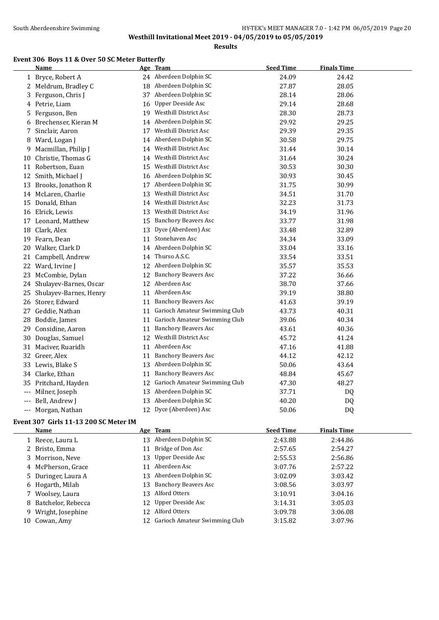#### South Aberdeenshire Swimming **Example 20** HY-TEK's MEET MANAGER 7.0 - 1:42 PM 06/05/2019 Page 20 **Westhill Invitational Meet 2019 - 04/05/2019 to 05/05/2019**

**Results**

#### **Event 306 Boys 11 & Over 50 SC Meter Butterfly**

|    | Name                      |    | Age Team                      | <b>Seed Time</b> | <b>Finals Time</b> |
|----|---------------------------|----|-------------------------------|------------------|--------------------|
|    | 1 Bryce, Robert A         |    | 24 Aberdeen Dolphin SC        | 24.09            | 24.42              |
|    | 2 Meldrum, Bradley C      |    | 18 Aberdeen Dolphin SC        | 27.87            | 28.05              |
| 3  | Ferguson, Chris J         |    | 37 Aberdeen Dolphin SC        | 28.14            | 28.06              |
|    | 4 Petrie, Liam            |    | 16 Upper Deeside Asc          | 29.14            | 28.68              |
| 5. | Ferguson, Ben             | 19 | Westhill District Asc         | 28.30            | 28.73              |
|    | 6 Brechenser, Kieran M    |    | 14 Aberdeen Dolphin SC        | 29.92            | 29.25              |
| 7  | Sinclair, Aaron           | 17 | <b>Westhill District Asc</b>  | 29.39            | 29.35              |
| 8  | Ward, Logan J             | 14 | Aberdeen Dolphin SC           | 30.58            | 29.75              |
| 9  | Macmillan, Philip J       | 14 | Westhill District Asc         | 31.44            | 30.14              |
| 10 | Christie, Thomas G        | 14 | <b>Westhill District Asc</b>  | 31.64            | 30.24              |
|    | 11 Robertson, Euan        | 15 | Westhill District Asc         | 30.53            | 30.30              |
|    | 12 Smith, Michael J       |    | 16 Aberdeen Dolphin SC        | 30.93            | 30.45              |
|    | 13 Brooks, Jonathon R     | 17 | Aberdeen Dolphin SC           | 31.75            | 30.99              |
|    | 14 McLaren, Charlie       | 13 | Westhill District Asc         | 34.51            | 31.70              |
|    | 15 Donald, Ethan          | 14 | Westhill District Asc         | 32.23            | 31.73              |
|    | 16 Elrick, Lewis          | 13 | Westhill District Asc         | 34.19            | 31.96              |
|    | 17 Leonard, Matthew       | 15 | <b>Banchory Beavers Asc</b>   | 33.77            | 31.98              |
| 18 | Clark, Alex               | 13 | Dyce (Aberdeen) Asc           | 33.48            | 32.89              |
|    | 19 Fearn, Dean            | 11 | Stonehaven Asc                | 34.34            | 33.09              |
| 20 | Walker, Clark D           |    | 14 Aberdeen Dolphin SC        | 33.04            | 33.16              |
| 21 | Campbell, Andrew          |    | 14 Thurso A.S.C.              | 33.54            | 33.51              |
|    | 22 Ward, Irvine J         |    | 12 Aberdeen Dolphin SC        | 35.57            | 35.53              |
|    | 23 McCombie, Dylan        |    | 12 Banchory Beavers Asc       | 37.22            | 36.66              |
|    | 24 Shulayev-Barnes, Oscar | 12 | Aberdeen Asc                  | 38.70            | 37.66              |
| 25 | Shulayev-Barnes, Henry    | 11 | Aberdeen Asc                  | 39.19            | 38.80              |
|    | 26 Storer, Edward         | 11 | <b>Banchory Beavers Asc</b>   | 41.63            | 39.19              |
| 27 | Geddie, Nathan            | 11 | Garioch Amateur Swimming Club | 43.73            | 40.31              |
| 28 | Boddie, James             | 11 | Garioch Amateur Swimming Club | 39.06            | 40.34              |
| 29 | Considine, Aaron          | 11 | <b>Banchory Beavers Asc</b>   | 43.61            | 40.36              |
| 30 | Douglas, Samuel           | 12 | <b>Westhill District Asc</b>  | 45.72            | 41.24              |
| 31 | Maciver, Ruaridh          | 11 | Aberdeen Asc                  | 47.16            | 41.88              |
|    | 32 Greer, Alex            | 11 | <b>Banchory Beavers Asc</b>   | 44.12            | 42.12              |
|    | 33 Lewis, Blake S         |    | 13 Aberdeen Dolphin SC        | 50.06            | 43.64              |
|    | 34 Clarke, Ethan          | 11 | <b>Banchory Beavers Asc</b>   | 48.84            | 45.67              |
|    | 35 Pritchard, Hayden      | 12 | Garioch Amateur Swimming Club | 47.30            | 48.27              |
|    | --- Milner, Joseph        | 13 | Aberdeen Dolphin SC           | 37.71            | <b>DQ</b>          |
|    | Bell, Andrew J            | 13 | Aberdeen Dolphin SC           | 40.20            | DQ                 |
|    | --- Morgan, Nathan        | 12 | Dyce (Aberdeen) Asc           | 50.06            | DQ                 |
|    |                           |    |                               |                  |                    |

# **Event 307 Girls 11-13 200 SC Meter IM**

| Name                 |     | Age Team                         | <b>Seed Time</b> | <b>Finals Time</b> |  |
|----------------------|-----|----------------------------------|------------------|--------------------|--|
| 1 Reece, Laura L     |     | 13 Aberdeen Dolphin SC           | 2:43.88          | 2:44.86            |  |
| 2 Bristo, Emma       |     | Bridge of Don Asc                | 2:57.65          | 2:54.27            |  |
| 3 Morrison, Neve     |     | 13 Upper Deeside Asc             | 2:55.53          | 2:56.86            |  |
| 4 McPherson, Grace   | 11  | Aberdeen Asc                     | 3:07.76          | 2:57.22            |  |
| 5 Duringer, Laura A  |     | 13 Aberdeen Dolphin SC           | 3:02.09          | 3:03.42            |  |
| 6 Hogarth, Milah     | 13  | Banchory Beavers Asc             | 3:08.56          | 3:03.97            |  |
| 7 Woolsey, Laura     | 13. | Alford Otters                    | 3:10.91          | 3:04.16            |  |
| 8 Batchelor, Rebecca |     | 12 Upper Deeside Asc             | 3:14.31          | 3:05.03            |  |
| 9 Wright, Josephine  | 12. | Alford Otters                    | 3:09.78          | 3:06.08            |  |
| 10 Cowan, Amy        |     | 12 Garioch Amateur Swimming Club | 3:15.82          | 3:07.96            |  |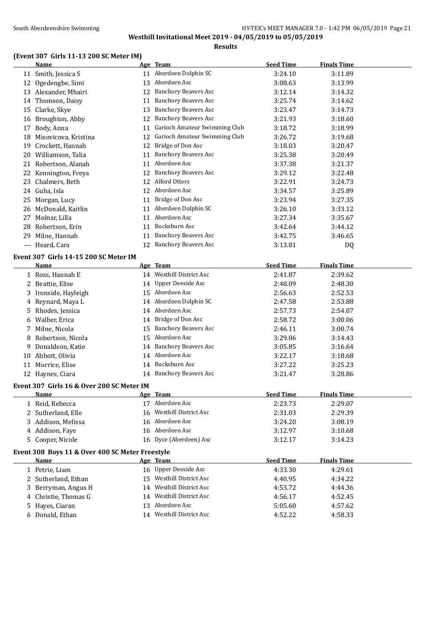**Results**

#### **(Event 307 Girls 11-13 200 SC Meter IM)**

|    | <b>Name</b>                                     |    | Age Team                      | <b>Seed Time</b> | <b>Finals Time</b> |
|----|-------------------------------------------------|----|-------------------------------|------------------|--------------------|
|    | 11 Smith, Jessica S                             |    | 11 Aberdeen Dolphin SC        | 3:24.10          | 3:11.89            |
| 12 | Ogedengbe, Simi                                 | 13 | Aberdeen Asc                  | 3:08.63          | 3:13.99            |
|    | 13 Alexander, Mhairi                            | 12 | <b>Banchory Beavers Asc</b>   | 3:12.14          | 3:14.32            |
|    | 14 Thomson, Daisy                               | 11 | <b>Banchory Beavers Asc</b>   | 3:25.74          | 3:14.62            |
| 15 | Clarke, Skye                                    | 13 | <b>Banchory Beavers Asc</b>   | 3:23.47          | 3:14.73            |
|    | 16 Broughton, Abby                              | 12 | <b>Banchory Beavers Asc</b>   | 3:21.93          | 3:18.60            |
| 17 | Body, Anna                                      | 11 | Garioch Amateur Swimming Club | 3:18.72          | 3:18.99            |
|    | 18 Misovicova, Kristina                         | 12 | Garioch Amateur Swimming Club | 3:26.72          | 3:19.68            |
|    | 19 Crockett, Hannah                             | 12 | Bridge of Don Asc             | 3:18.03          | 3:20.47            |
|    | 20 Williamson, Talia                            | 11 | <b>Banchory Beavers Asc</b>   | 3:25.38          | 3:20.49            |
|    | 21 Robertson, Alanah                            | 11 | Aberdeen Asc                  | 3:37.38          | 3:21.37            |
|    | 22 Kennington, Freya                            |    | 12 Banchory Beavers Asc       | 3:29.12          | 3:22.48            |
|    | 23 Chalmers, Beth                               |    | 12 Alford Otters              | 3:22.91          | 3:24.73            |
|    | 24 Guha, Isla                                   |    | 12 Aberdeen Asc               | 3:34.57          | 3:25.89            |
|    | 25 Morgan, Lucy                                 | 11 | Bridge of Don Asc             | 3:23.94          | 3:27.35            |
|    | 26 McDonald, Kaitlin                            |    | 11 Aberdeen Dolphin SC        | 3:26.10          | 3:33.12            |
|    | 27 Molnar, Lilla                                |    | 11 Aberdeen Asc               | 3:27.34          | 3:35.67            |
|    | 28 Robertson, Erin                              | 11 | Bucksburn Asc                 | 3:42.64          | 3:44.12            |
|    | 29 Milne, Hannah                                | 11 | <b>Banchory Beavers Asc</b>   | 3:42.75          | 3:46.65            |
|    | --- Heard, Cara                                 |    | 12 Banchory Beavers Asc       | 3:13.81          | DQ                 |
|    | Event 307 Girls 14-15 200 SC Meter IM           |    |                               |                  |                    |
|    | <b>Name</b>                                     |    | Age Team                      | <b>Seed Time</b> | <b>Finals Time</b> |
|    | 1 Ross, Hannah E                                |    | 14 Westhill District Asc      | 2:41.87          | 2:39.62            |
|    | 2 Beattie, Elise                                |    | 14 Upper Deeside Asc          | 2:48.09          | 2:48.30            |
|    | 3 Ironside, Hayleigh                            |    | 15 Aberdeen Asc               | 2:56.63          | 2:52.53            |
|    | 4 Reynard, Maya L                               |    | 14 Aberdeen Dolphin SC        | 2:47.58          | 2:53.88            |
| 5. | Rhodes, Jessica                                 |    | 14 Aberdeen Asc               | 2:57.73          | 2:54.07            |
|    | 6 Walber, Erica                                 | 14 | Bridge of Don Asc             | 2:58.72          | 3:00.06            |
|    | 7 Milne, Nicola                                 | 15 | <b>Banchory Beavers Asc</b>   | 2:46.11          | 3:00.74            |
| 8  | Robertson, Nicola                               | 15 | Aberdeen Asc                  | 3:29.86          | 3:14.43            |
| 9  | Donaldson, Katie                                | 14 | <b>Banchory Beavers Asc</b>   | 3:05.85          | 3:16.64            |
|    | 10 Abbott, Olivia                               | 14 | Aberdeen Asc                  | 3:22.17          | 3:18.68            |
|    | 11 Morrice, Elise                               | 14 | Bucksburn Asc                 | 3:27.22          | 3:25.23            |
|    | 12 Haynes, Ciara                                | 14 | <b>Banchory Beavers Asc</b>   | 3:21.47          | 3:28.86            |
|    |                                                 |    |                               |                  |                    |
|    | Event 307 Girls 16 & Over 200 SC Meter IM       |    |                               |                  |                    |
|    | <b>Name</b>                                     |    | Age Team<br>17 Aberdeen Asc   | <b>Seed Time</b> | <b>Finals Time</b> |
|    | 1 Reid, Rebecca                                 |    | 16 Westhill District Asc      | 2:23.73          | 2:29.07            |
|    | 2 Sutherland, Elle                              |    | 16 Aberdeen Asc               | 2:31.03          | 2:29.39            |
| 3  | Addison, Melissa                                |    | 16 Aberdeen Asc               | 3:24.20          | 3:08.19            |
|    | 4 Addison, Faye                                 |    |                               | 3:12.97          | 3:10.68            |
|    | 5 Cooper, Nicole                                |    | 16 Dyce (Aberdeen) Asc        | 3:12.17          | 3:14.23            |
|    | Event 308 Boys 11 & Over 400 SC Meter Freestyle |    |                               |                  |                    |
|    | <b>Name</b>                                     |    | <u>Age Team</u>               | <b>Seed Time</b> | <b>Finals Time</b> |
|    | 1 Petrie, Liam                                  |    | 16 Upper Deeside Asc          | 4:33.30          | 4:29.61            |
|    | 2 Sutherland, Ethan                             |    | 15 Westhill District Asc      | 4:40.95          | 4:34.22            |
|    | 3 Berryman, Angus H                             |    | 14 Westhill District Asc      | 4:53.72          | 4:44.36            |
|    | 4 Christie, Thomas G                            |    | 14 Westhill District Asc      | 4:56.17          | 4:52.45            |
|    | 5 Hayes, Ciaran                                 |    | 13 Aberdeen Asc               | 5:05.60          | 4:57.62            |
|    | 6 Donald, Ethan                                 |    | 14 Westhill District Asc      | 4:52.22          | 4:58.33            |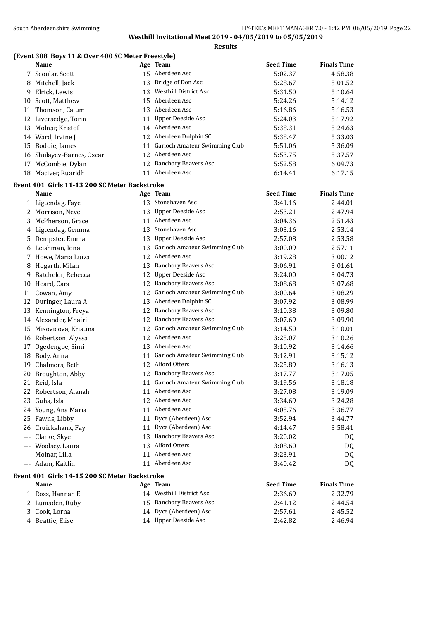**Results**

# **(Event 308 Boys 11 & Over 400 SC Meter Freestyle)**

|                     | <b>Name</b>                                   |    | Age Team                                                   | <b>Seed Time</b>   | <b>Finals Time</b> |
|---------------------|-----------------------------------------------|----|------------------------------------------------------------|--------------------|--------------------|
|                     | 7 Scoular, Scott                              |    | 15 Aberdeen Asc                                            | 5:02.37            | 4:58.38            |
|                     | 8 Mitchell, Jack                              | 13 | Bridge of Don Asc                                          | 5:28.67            | 5:01.52            |
|                     | 9 Elrick, Lewis                               | 13 | Westhill District Asc                                      | 5:31.50            | 5:10.64            |
|                     | 10 Scott, Matthew                             | 15 | Aberdeen Asc                                               | 5:24.26            | 5:14.12            |
| 11                  | Thomson, Calum                                | 13 | Aberdeen Asc                                               | 5:16.86            | 5:16.53            |
|                     | 12 Liversedge, Torin                          | 11 | Upper Deeside Asc                                          | 5:24.03            | 5:17.92            |
|                     | 13 Molnar, Kristof                            |    | 14 Aberdeen Asc                                            | 5:38.31            | 5:24.63            |
|                     | 14 Ward, Irvine J                             | 12 | Aberdeen Dolphin SC                                        | 5:38.47            | 5:33.03            |
|                     | 15 Boddie, James                              |    | 11 Garioch Amateur Swimming Club                           | 5:51.06            | 5:36.09            |
|                     | 16 Shulayev-Barnes, Oscar                     |    | 12 Aberdeen Asc                                            | 5:53.75            | 5:37.57            |
| 17                  | McCombie, Dylan                               |    | 12 Banchory Beavers Asc                                    | 5:52.58            | 6:09.73            |
|                     | 18 Maciver, Ruaridh                           |    | 11 Aberdeen Asc                                            | 6:14.41            | 6:17.15            |
|                     | Event 401 Girls 11-13 200 SC Meter Backstroke |    |                                                            |                    |                    |
|                     | Name                                          |    | Age Team                                                   | <b>Seed Time</b>   | <b>Finals Time</b> |
|                     | 1 Ligtendag, Faye                             |    | 13 Stonehaven Asc                                          | 3:41.16            | 2:44.01            |
|                     | 2 Morrison, Neve                              |    | 13 Upper Deeside Asc                                       | 2:53.21            | 2:47.94            |
|                     | 3 McPherson, Grace                            | 11 | Aberdeen Asc                                               | 3:04.36            | 2:51.43            |
|                     | 4 Ligtendag, Gemma                            | 13 | Stonehaven Asc                                             | 3:03.16            | 2:53.14            |
|                     | 5 Dempster, Emma                              | 13 | Upper Deeside Asc                                          | 2:57.08            | 2:53.58            |
|                     | 6 Leishman, Iona                              | 13 | Garioch Amateur Swimming Club                              | 3:00.09            | 2:57.11            |
|                     | 7 Howe, Maria Luiza                           | 12 | Aberdeen Asc                                               | 3:19.28            | 3:00.12            |
|                     |                                               |    | 13 Banchory Beavers Asc                                    | 3:06.91            |                    |
|                     | 8 Hogarth, Milah                              |    | <b>Upper Deeside Asc</b>                                   |                    | 3:01.61<br>3:04.73 |
|                     | 9 Batchelor, Rebecca<br>10 Heard, Cara        | 12 | 12 Banchory Beavers Asc                                    | 3:24.00<br>3:08.68 |                    |
|                     |                                               |    | Garioch Amateur Swimming Club                              |                    | 3:07.68            |
| 11                  | Cowan, Amy                                    | 12 |                                                            | 3:00.64            | 3:08.29            |
| 12                  | Duringer, Laura A                             | 13 | Aberdeen Dolphin SC                                        | 3:07.92            | 3:08.99            |
|                     | 13 Kennington, Freya                          | 12 | <b>Banchory Beavers Asc</b><br><b>Banchory Beavers Asc</b> | 3:10.38            | 3:09.80            |
|                     | 14 Alexander, Mhairi                          | 12 |                                                            | 3:07.69            | 3:09.90            |
|                     | 15 Misovicova, Kristina                       | 12 | Garioch Amateur Swimming Club<br>Aberdeen Asc              | 3:14.50            | 3:10.01            |
|                     | 16 Robertson, Alyssa                          | 12 | Aberdeen Asc                                               | 3:25.07            | 3:10.26            |
| 17                  | Ogedengbe, Simi                               | 13 | Garioch Amateur Swimming Club                              | 3:10.92            | 3:14.66            |
| 18                  | Body, Anna                                    | 11 |                                                            | 3:12.91            | 3:15.12            |
| 19                  | Chalmers, Beth                                | 12 | Alford Otters                                              | 3:25.89            | 3:16.13            |
|                     | 20 Broughton, Abby                            | 12 | <b>Banchory Beavers Asc</b>                                | 3:17.77            | 3:17.05            |
|                     | 21 Reid, Isla                                 |    | 11 Garioch Amateur Swimming Club                           | 3:19.56            | 3:18.18            |
|                     | 22 Robertson, Alanah                          |    | 11 Aberdeen Asc                                            | 3:27.08            | 3:19.09            |
|                     | 23 Guha, Isla                                 |    | 12 Aberdeen Asc                                            | 3:34.69            | 3:24.28            |
|                     | 24 Young, Ana Maria                           |    | 11 Aberdeen Asc                                            | 4:05.76            | 3:36.77            |
|                     | 25 Fawns, Libby                               | 11 | Dyce (Aberdeen) Asc                                        | 3:52.94            | 3:44.77            |
| 26                  | Cruickshank, Fay                              | 11 | Dyce (Aberdeen) Asc                                        | 4:14.47            | 3:58.41            |
| $---$               | Clarke, Skye                                  | 13 | <b>Banchory Beavers Asc</b>                                | 3:20.02            | DQ                 |
| $\qquad \qquad - -$ | Woolsey, Laura                                | 13 | Alford Otters                                              | 3:08.60            | DQ                 |
| $---$               | Molnar, Lilla                                 | 11 | Aberdeen Asc                                               | 3:23.91            | DQ                 |
|                     | --- Adam, Kaitlin                             |    | 11 Aberdeen Asc                                            | 3:40.42            | DQ                 |
|                     | Event 401 Girls 14-15 200 SC Meter Backstroke |    |                                                            |                    |                    |
|                     | <b>Name</b>                                   |    | Age Team                                                   | <b>Seed Time</b>   | <b>Finals Time</b> |
|                     | 1 Ross, Hannah E                              |    | 14 Westhill District Asc                                   | 2:36.69            | 2:32.79            |
|                     | 2 Lumsden, Ruby                               | 15 | <b>Banchory Beavers Asc</b>                                | 2:41.12            | 2:44.54            |
| 3                   | Cook, Lorna                                   | 14 | Dyce (Aberdeen) Asc                                        | 2:57.61            | 2:45.52            |
|                     | 4 Beattie, Elise                              |    | 14 Upper Deeside Asc                                       | 2:42.82            | 2:46.94            |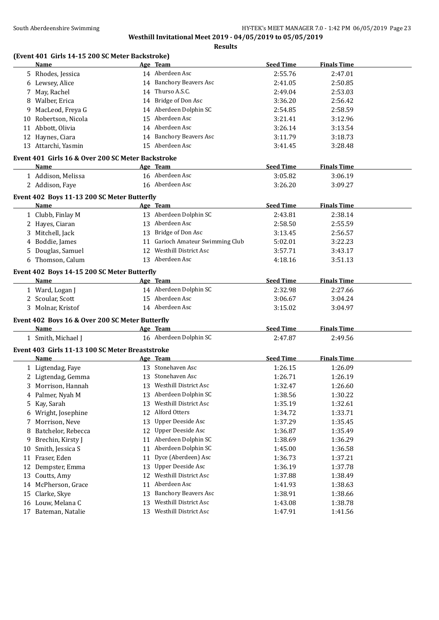**Results**

# **(Event 401 Girls 14-15 200 SC Meter Backstroke)**

|    | <b>Name</b>                                       |    | Age Team                         | <b>Seed Time</b> | <b>Finals Time</b> |  |
|----|---------------------------------------------------|----|----------------------------------|------------------|--------------------|--|
|    | 5 Rhodes, Jessica                                 |    | 14 Aberdeen Asc                  | 2:55.76          | 2:47.01            |  |
|    | 6 Lewsey, Alice                                   |    | 14 Banchory Beavers Asc          | 2:41.05          | 2:50.85            |  |
|    | 7 May, Rachel                                     | 14 | Thurso A.S.C.                    | 2:49.04          | 2:53.03            |  |
| 8  | Walber, Erica                                     |    | 14 Bridge of Don Asc             | 3:36.20          | 2:56.42            |  |
| 9  | MacLeod, Freya G                                  |    | 14 Aberdeen Dolphin SC           | 2:54.85          | 2:58.59            |  |
| 10 | Robertson, Nicola                                 | 15 | Aberdeen Asc                     | 3:21.41          | 3:12.96            |  |
| 11 | Abbott, Olivia                                    |    | 14 Aberdeen Asc                  | 3:26.14          | 3:13.54            |  |
|    | 12 Haynes, Ciara                                  |    | 14 Banchory Beavers Asc          | 3:11.79          | 3:18.73            |  |
|    | 13 Attarchi, Yasmin                               |    | 15 Aberdeen Asc                  | 3:41.45          | 3:28.48            |  |
|    | Event 401 Girls 16 & Over 200 SC Meter Backstroke |    |                                  |                  |                    |  |
|    | Name                                              |    | Age Team                         | <b>Seed Time</b> | <b>Finals Time</b> |  |
|    | 1 Addison, Melissa                                |    | 16 Aberdeen Asc                  | 3:05.82          | 3:06.19            |  |
|    | 2 Addison, Faye                                   |    | 16 Aberdeen Asc                  | 3:26.20          | 3:09.27            |  |
|    |                                                   |    |                                  |                  |                    |  |
|    | Event 402 Boys 11-13 200 SC Meter Butterfly       |    |                                  |                  |                    |  |
|    | <b>Name</b>                                       |    | Age Team                         | <b>Seed Time</b> | <b>Finals Time</b> |  |
|    | 1 Clubb, Finlay M                                 |    | 13 Aberdeen Dolphin SC           | 2:43.81          | 2:38.14            |  |
|    | 2 Hayes, Ciaran                                   |    | 13 Aberdeen Asc                  | 2:58.50          | 2:55.59            |  |
|    | 3 Mitchell, Jack                                  |    | 13 Bridge of Don Asc             | 3:13.45          | 2:56.57            |  |
|    | 4 Boddie, James                                   |    | 11 Garioch Amateur Swimming Club | 5:02.01          | 3:22.23            |  |
|    | 5 Douglas, Samuel                                 |    | 12 Westhill District Asc         | 3:57.71          | 3:43.17            |  |
|    | 6 Thomson, Calum                                  |    | 13 Aberdeen Asc                  | 4:18.16          | 3:51.13            |  |
|    | Event 402 Boys 14-15 200 SC Meter Butterfly       |    |                                  |                  |                    |  |
|    | Name                                              |    | Age Team                         | <b>Seed Time</b> | <b>Finals Time</b> |  |
|    | 1 Ward, Logan J                                   |    | 14 Aberdeen Dolphin SC           | 2:32.98          | 2:27.66            |  |
|    | 2 Scoular, Scott                                  |    | 15 Aberdeen Asc                  | 3:06.67          | 3:04.24            |  |
|    | 3 Molnar, Kristof                                 |    | 14 Aberdeen Asc                  | 3:15.02          | 3:04.97            |  |
|    | Event 402 Boys 16 & Over 200 SC Meter Butterfly   |    |                                  |                  |                    |  |
|    | Name                                              |    | Age Team                         | <b>Seed Time</b> | <b>Finals Time</b> |  |
|    | 1 Smith, Michael J                                |    | 16 Aberdeen Dolphin SC           | 2:47.87          | 2:49.56            |  |
|    |                                                   |    |                                  |                  |                    |  |
|    | Event 403 Girls 11-13 100 SC Meter Breaststroke   |    |                                  |                  |                    |  |
|    | Name                                              |    | Age Team                         | <b>Seed Time</b> | <b>Finals Time</b> |  |
|    | 1 Ligtendag, Faye                                 |    | 13 Stonehaven Asc                | 1:26.15          | 1:26.09            |  |
|    | 2 Ligtendag, Gemma                                |    | 13 Stonehaven Asc                | 1:26.71          | 1:26.19            |  |
|    | 3 Morrison, Hannah                                |    | 13 Westhill District Asc         | 1:32.47          | 1:26.60            |  |
| 4  | Palmer, Nyah M                                    |    | 13 Aberdeen Dolphin SC           | 1:38.56          | 1:30.22            |  |
| 5. | Kay, Sarah                                        | 13 | Westhill District Asc            | 1:35.19          | 1:32.61            |  |
| 6  | Wright, Josephine                                 | 12 | Alford Otters                    | 1:34.72          | 1:33.71            |  |
| 7  | Morrison, Neve                                    | 13 | Upper Deeside Asc                | 1:37.29          | 1:35.45            |  |
| 8  | Batchelor, Rebecca                                | 12 | <b>Upper Deeside Asc</b>         | 1:36.87          | 1:35.49            |  |
| 9  | Brechin, Kirsty J                                 | 11 | Aberdeen Dolphin SC              | 1:38.69          | 1:36.29            |  |
| 10 | Smith, Jessica S                                  | 11 | Aberdeen Dolphin SC              | 1:45.00          | 1:36.58            |  |
| 11 | Fraser, Eden                                      | 11 | Dyce (Aberdeen) Asc              | 1:36.73          | 1:37.21            |  |
| 12 | Dempster, Emma                                    | 13 | Upper Deeside Asc                | 1:36.19          | 1:37.78            |  |
| 13 | Coutts, Amy                                       | 12 | <b>Westhill District Asc</b>     | 1:37.88          | 1:38.49            |  |
| 14 | McPherson, Grace                                  | 11 | Aberdeen Asc                     | 1:41.93          | 1:38.63            |  |
| 15 | Clarke, Skye                                      | 13 | <b>Banchory Beavers Asc</b>      | 1:38.91          | 1:38.66            |  |
| 16 | Louw, Melana C                                    | 13 | Westhill District Asc            | 1:43.08          | 1:38.78            |  |
|    | 17 Bateman, Natalie                               |    | 13 Westhill District Asc         | 1:47.91          | 1:41.56            |  |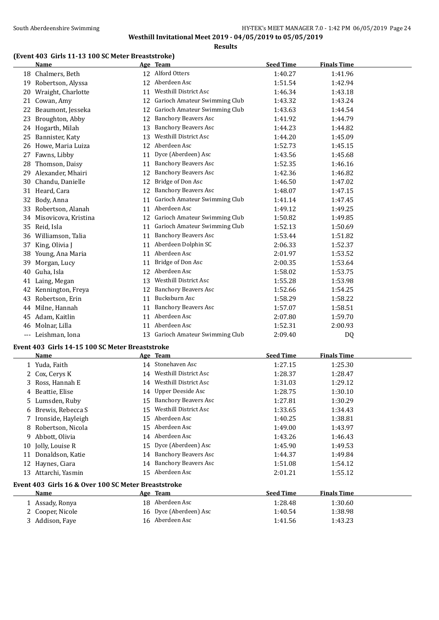#### **(Event 403 Girls 11-13 100 SC Meter Breaststroke)**

|   | <b>Name</b>                                     |    | Age Team                         | <b>Seed Time</b> | <b>Finals Time</b> |  |
|---|-------------------------------------------------|----|----------------------------------|------------------|--------------------|--|
|   | 18 Chalmers, Beth                               |    | 12 Alford Otters                 | 1:40.27          | 1:41.96            |  |
|   | 19 Robertson, Alyssa                            |    | 12 Aberdeen Asc                  | 1:51.54          | 1:42.94            |  |
|   | 20 Wraight, Charlotte                           |    | 11 Westhill District Asc         | 1:46.34          | 1:43.18            |  |
|   | 21 Cowan, Amy                                   |    | 12 Garioch Amateur Swimming Club | 1:43.32          | 1:43.24            |  |
|   | 22 Beaumont, Jesseka                            |    | 12 Garioch Amateur Swimming Club | 1:43.63          | 1:44.54            |  |
|   | 23 Broughton, Abby                              |    | 12 Banchory Beavers Asc          | 1:41.92          | 1:44.79            |  |
|   | 24 Hogarth, Milah                               |    | 13 Banchory Beavers Asc          | 1:44.23          | 1:44.82            |  |
|   | 25 Bannister, Katy                              | 13 | Westhill District Asc            | 1:44.20          | 1:45.09            |  |
|   | 26 Howe, Maria Luiza                            |    | 12 Aberdeen Asc                  | 1:52.73          | 1:45.15            |  |
|   | 27 Fawns, Libby                                 |    | 11 Dyce (Aberdeen) Asc           | 1:43.56          | 1:45.68            |  |
|   | 28 Thomson, Daisy                               |    | 11 Banchory Beavers Asc          | 1:52.35          | 1:46.16            |  |
|   | 29 Alexander, Mhairi                            |    | 12 Banchory Beavers Asc          | 1:42.36          | 1:46.82            |  |
|   | 30 Chandu, Danielle                             |    | 12 Bridge of Don Asc             | 1:46.50          | 1:47.02            |  |
|   | 31 Heard, Cara                                  |    | 12 Banchory Beavers Asc          | 1:48.07          | 1:47.15            |  |
|   | 32 Body, Anna                                   |    | 11 Garioch Amateur Swimming Club | 1:41.14          | 1:47.45            |  |
|   | 33 Robertson, Alanah                            |    | 11 Aberdeen Asc                  | 1:49.12          | 1:49.25            |  |
|   | 34 Misovicova, Kristina                         |    | 12 Garioch Amateur Swimming Club | 1:50.82          | 1:49.85            |  |
|   | 35 Reid, Isla                                   |    | 11 Garioch Amateur Swimming Club | 1:52.13          | 1:50.69            |  |
|   | 36 Williamson, Talia                            |    | 11 Banchory Beavers Asc          | 1:53.44          | 1:51.82            |  |
|   | 37 King, Olivia J                               |    | 11 Aberdeen Dolphin SC           | 2:06.33          | 1:52.37            |  |
|   | 38 Young, Ana Maria                             |    | 11 Aberdeen Asc                  | 2:01.97          | 1:53.52            |  |
|   | 39 Morgan, Lucy                                 |    | 11 Bridge of Don Asc             | 2:00.35          | 1:53.64            |  |
|   | 40 Guha, Isla                                   |    | 12 Aberdeen Asc                  | 1:58.02          | 1:53.75            |  |
|   | 41 Laing, Megan                                 |    | 13 Westhill District Asc         | 1:55.28          | 1:53.98            |  |
|   | 42 Kennington, Freya                            |    | 12 Banchory Beavers Asc          | 1:52.66          | 1:54.25            |  |
|   | 43 Robertson, Erin                              |    | 11 Bucksburn Asc                 | 1:58.29          | 1:58.22            |  |
|   | 44 Milne, Hannah                                |    | 11 Banchory Beavers Asc          | 1:57.07          | 1:58.51            |  |
|   | 45 Adam, Kaitlin                                |    | 11 Aberdeen Asc                  | 2:07.80          | 1:59.70            |  |
|   | 46 Molnar, Lilla                                |    | 11 Aberdeen Asc                  | 1:52.31          | 2:00.93            |  |
|   | --- Leishman, Iona                              |    | 13 Garioch Amateur Swimming Club | 2:09.40          | DQ                 |  |
|   | Event 403 Girls 14-15 100 SC Meter Breaststroke |    |                                  |                  |                    |  |
|   | Name                                            |    | <u>Age Team</u>                  | <b>Seed Time</b> | <b>Finals Time</b> |  |
|   | 1 Yuda, Faith                                   |    | 14 Stonehaven Asc                | 1:27.15          | 1:25.30            |  |
|   | 2 Cox, Cerys K                                  |    | 14 Westhill District Asc         | 1:28.37          | 1:28.47            |  |
|   | 3 Ross, Hannah E                                |    | 14 Westhill District Asc         | 1:31.03          | 1:29.12            |  |
|   | 4 Beattie, Elise                                |    | 14 Upper Deeside Asc             | 1:28.75          | 1:30.10            |  |
|   | 5 Lumsden, Ruby                                 |    | 15 Banchory Beavers Asc          | 1:27.81          | 1:30.29            |  |
|   | 6 Brewis, Rebecca S                             | 15 | Westhill District Asc            | 1:33.65          | 1:34.43            |  |
|   | 7 Ironside, Hayleigh                            |    | 15 Aberdeen Asc                  | 1:40.25          | 1:38.81            |  |
| 8 | Robertson, Nicola                               | 15 | Aberdeen Asc                     | 1:49.00          | 1:43.97            |  |
| 9 | Abbott, Olivia                                  |    | 14 Aberdeen Asc                  | 1:43.26          | 1:46.43            |  |

|    | <b>Name</b>                                         |    | Age Team                    | <b>Seed Time</b> | <b>Finals Time</b> |  |
|----|-----------------------------------------------------|----|-----------------------------|------------------|--------------------|--|
|    | 1 Yuda, Faith                                       |    | 14 Stonehaven Asc           | 1:27.15          | 1:25.30            |  |
|    | 2 Cox, Cerys K                                      | 14 | Westhill District Asc       | 1:28.37          | 1:28.47            |  |
|    | 3 Ross, Hannah E                                    |    | 14 Westhill District Asc    | 1:31.03          | 1:29.12            |  |
|    | 4 Beattie, Elise                                    |    | 14 Upper Deeside Asc        | 1:28.75          | 1:30.10            |  |
|    | 5 Lumsden, Ruby                                     | 15 | <b>Banchory Beavers Asc</b> | 1:27.81          | 1:30.29            |  |
|    | 6 Brewis, Rebecca S                                 | 15 | Westhill District Asc       | 1:33.65          | 1:34.43            |  |
|    | 7 Ironside, Hayleigh                                | 15 | Aberdeen Asc                | 1:40.25          | 1:38.81            |  |
|    | 8 Robertson, Nicola                                 | 15 | Aberdeen Asc                | 1:49.00          | 1:43.97            |  |
|    | 9 Abbott, Olivia                                    |    | 14 Aberdeen Asc             | 1:43.26          | 1:46.43            |  |
| 10 | Jolly, Louise R                                     |    | 15 Dyce (Aberdeen) Asc      | 1:45.90          | 1:49.53            |  |
| 11 | Donaldson, Katie                                    | 14 | Banchory Beavers Asc        | 1:44.37          | 1:49.84            |  |
|    | 12 Haynes, Ciara                                    | 14 | <b>Banchory Beavers Asc</b> | 1:51.08          | 1:54.12            |  |
| 13 | Attarchi, Yasmin                                    | 15 | Aberdeen Asc                | 2:01.21          | 1:55.12            |  |
|    | Event 403 Girls 16 & Over 100 SC Meter Breaststroke |    |                             |                  |                    |  |
|    | Name                                                |    | Age Team                    | <b>Seed Time</b> | <b>Finals Time</b> |  |
|    | 1 Assady, Ronya                                     |    | 18 Aberdeen Asc             | 1:28.48          | 1:30.60            |  |
|    | 2 Cooper, Nicole                                    |    | 16 Dyce (Aberdeen) Asc      | 1:40.54          | 1:38.98            |  |
|    | 3 Addison, Faye                                     |    | 16 Aberdeen Asc             | 1:41.56          | 1:43.23            |  |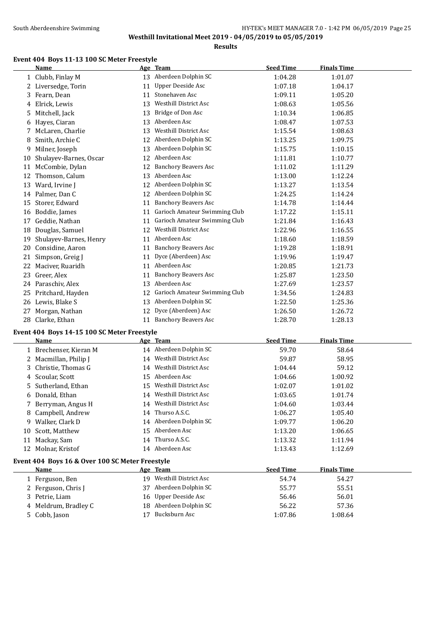## South Aberdeenshire Swimming Supering HY-TEK's MEET MANAGER 7.0 - 1:42 PM 06/05/2019 Page 25 **Westhill Invitational Meet 2019 - 04/05/2019 to 05/05/2019**

**Results**

# **Event 404 Boys 11-13 100 SC Meter Freestyle**<br>Name Age Team

|    | Name                   |    | Age Team                      | <b>Seed Time</b> | <b>Finals Time</b> |  |
|----|------------------------|----|-------------------------------|------------------|--------------------|--|
|    | 1 Clubb, Finlay M      |    | 13 Aberdeen Dolphin SC        | 1:04.28          | 1:01.07            |  |
|    | 2 Liversedge, Torin    | 11 | <b>Upper Deeside Asc</b>      | 1:07.18          | 1:04.17            |  |
|    | 3 Fearn, Dean          | 11 | Stonehaven Asc                | 1:09.11          | 1:05.20            |  |
| 4  | Elrick, Lewis          | 13 | <b>Westhill District Asc</b>  | 1:08.63          | 1:05.56            |  |
| 5  | Mitchell, Jack         | 13 | Bridge of Don Asc             | 1:10.34          | 1:06.85            |  |
| 6  | Hayes, Ciaran          | 13 | Aberdeen Asc                  | 1:08.47          | 1:07.53            |  |
|    | McLaren, Charlie       | 13 | <b>Westhill District Asc</b>  | 1:15.54          | 1:08.63            |  |
| 8  | Smith, Archie C        | 12 | Aberdeen Dolphin SC           | 1:13.25          | 1:09.75            |  |
| 9  | Milner, Joseph         | 13 | Aberdeen Dolphin SC           | 1:15.75          | 1:10.15            |  |
| 10 | Shulayev-Barnes, Oscar | 12 | Aberdeen Asc                  | 1:11.81          | 1:10.77            |  |
| 11 | McCombie, Dylan        | 12 | <b>Banchory Beavers Asc</b>   | 1:11.02          | 1:11.29            |  |
| 12 | Thomson, Calum         | 13 | Aberdeen Asc                  | 1:13.00          | 1:12.24            |  |
| 13 | Ward, Irvine J         | 12 | Aberdeen Dolphin SC           | 1:13.27          | 1:13.54            |  |
|    | 14 Palmer, Dan C       | 12 | Aberdeen Dolphin SC           | 1:24.25          | 1:14.24            |  |
| 15 | Storer, Edward         | 11 | <b>Banchory Beavers Asc</b>   | 1:14.78          | 1:14.44            |  |
| 16 | Boddie, James          | 11 | Garioch Amateur Swimming Club | 1:17.22          | 1:15.11            |  |
| 17 | Geddie, Nathan         | 11 | Garioch Amateur Swimming Club | 1:21.84          | 1:16.43            |  |
| 18 | Douglas, Samuel        | 12 | <b>Westhill District Asc</b>  | 1:22.96          | 1:16.55            |  |
| 19 | Shulayev-Barnes, Henry | 11 | Aberdeen Asc                  | 1:18.60          | 1:18.59            |  |
| 20 | Considine, Aaron       | 11 | <b>Banchory Beavers Asc</b>   | 1:19.28          | 1:18.91            |  |
| 21 | Simpson, Greig J       | 11 | Dyce (Aberdeen) Asc           | 1:19.96          | 1:19.47            |  |
| 22 | Maciver, Ruaridh       | 11 | Aberdeen Asc                  | 1:20.85          | 1:21.73            |  |
| 23 | Greer, Alex            | 11 | <b>Banchory Beavers Asc</b>   | 1:25.87          | 1:23.50            |  |
|    | 24 Paraschiv, Alex     | 13 | Aberdeen Asc                  | 1:27.69          | 1:23.57            |  |
| 25 | Pritchard, Hayden      | 12 | Garioch Amateur Swimming Club | 1:34.56          | 1:24.83            |  |
|    | 26 Lewis, Blake S      | 13 | Aberdeen Dolphin SC           | 1:22.50          | 1:25.36            |  |
| 27 | Morgan, Nathan         | 12 | Dyce (Aberdeen) Asc           | 1:26.50          | 1:26.72            |  |
| 28 | Clarke, Ethan          | 11 | <b>Banchory Beavers Asc</b>   | 1:28.70          | 1:28.13            |  |

#### **Event 404 Boys 14-15 100 SC Meter Freestyle**

|    | Name                                            |    | Age Team                     | <b>Seed Time</b> | <b>Finals Time</b> |
|----|-------------------------------------------------|----|------------------------------|------------------|--------------------|
|    | 1 Brechenser, Kieran M                          |    | 14 Aberdeen Dolphin SC       | 59.70            | 58.64              |
|    | 2 Macmillan, Philip J                           | 14 | Westhill District Asc        | 59.87            | 58.95              |
| 3  | Christie, Thomas G                              | 14 | <b>Westhill District Asc</b> | 1:04.44          | 59.12              |
| 4  | Scoular, Scott                                  | 15 | Aberdeen Asc                 | 1:04.66          | 1:00.92            |
| 5. | Sutherland, Ethan                               | 15 | Westhill District Asc        | 1:02.07          | 1:01.02            |
| 6  | Donald, Ethan                                   | 14 | Westhill District Asc        | 1:03.65          | 1:01.74            |
|    | Berryman, Angus H                               | 14 | Westhill District Asc        | 1:04.60          | 1:03.44            |
| 8  | Campbell, Andrew                                | 14 | Thurso A.S.C.                | 1:06.27          | 1:05.40            |
| 9. | Walker, Clark D                                 |    | 14 Aberdeen Dolphin SC       | 1:09.77          | 1:06.20            |
| 10 | Scott, Matthew                                  | 15 | Aberdeen Asc                 | 1:13.20          | 1:06.65            |
| 11 | Mackay, Sam                                     | 14 | Thurso A.S.C.                | 1:13.32          | 1:11.94            |
| 12 | Molnar, Kristof                                 | 14 | Aberdeen Asc                 | 1:13.43          | 1:12.69            |
|    | Event 404 Boys 16 & Over 100 SC Meter Freestyle |    |                              |                  |                    |
|    | Name                                            |    | Age Team                     | <b>Seed Time</b> | <b>Finals Time</b> |
|    | 1 Ferguson, Ben                                 | 19 | <b>Westhill District Asc</b> | 54.74            | 54.27              |
|    | 2 Ferguson, Chris J                             | 37 | Aberdeen Dolphin SC          | 55.77            | 55.51              |
|    | 3 Petrie, Liam                                  | 16 | Upper Deeside Asc            | 56.46            | 56.01              |
|    | 4 Meldrum, Bradley C                            | 18 | Aberdeen Dolphin SC          | 56.22            | 57.36              |
|    | 5 Cobb, Jason                                   |    | Bucksburn Asc                | 1:07.86          | 1:08.64            |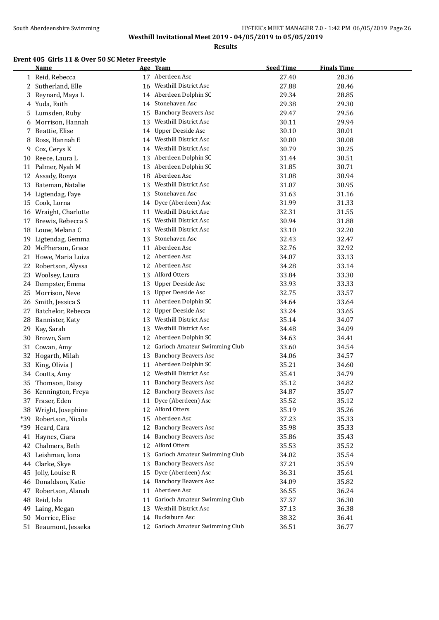**Results**

#### **Event 405 Girls 11 & Over 50 SC Meter Freestyle**

|       | <b>Name</b>          |    | Age Team                         | <b>Seed Time</b> | <b>Finals Time</b> |
|-------|----------------------|----|----------------------------------|------------------|--------------------|
|       | 1 Reid, Rebecca      |    | 17 Aberdeen Asc                  | 27.40            | 28.36              |
|       | 2 Sutherland, Elle   | 16 | <b>Westhill District Asc</b>     | 27.88            | 28.46              |
| 3     | Reynard, Maya L      |    | 14 Aberdeen Dolphin SC           | 29.34            | 28.85              |
| 4     | Yuda, Faith          | 14 | Stonehaven Asc                   | 29.38            | 29.30              |
| 5     | Lumsden, Ruby        | 15 | <b>Banchory Beavers Asc</b>      | 29.47            | 29.56              |
| 6     | Morrison, Hannah     | 13 | Westhill District Asc            | 30.11            | 29.94              |
| 7     | Beattie, Elise       | 14 | Upper Deeside Asc                | 30.10            | 30.01              |
| 8     | Ross, Hannah E       | 14 | Westhill District Asc            | 30.00            | 30.08              |
| 9     | Cox, Cerys K         | 14 | Westhill District Asc            | 30.79            | 30.25              |
| 10    | Reece, Laura L       | 13 | Aberdeen Dolphin SC              | 31.44            | 30.51              |
| 11    | Palmer, Nyah M       | 13 | Aberdeen Dolphin SC              | 31.85            | 30.71              |
| 12    | Assady, Ronya        | 18 | Aberdeen Asc                     | 31.08            | 30.94              |
| 13    | Bateman, Natalie     | 13 | <b>Westhill District Asc</b>     | 31.07            | 30.95              |
| 14    | Ligtendag, Faye      | 13 | Stonehaven Asc                   | 31.63            | 31.16              |
| 15    | Cook, Lorna          | 14 | Dyce (Aberdeen) Asc              | 31.99            | 31.33              |
| 16    | Wraight, Charlotte   | 11 | Westhill District Asc            | 32.31            | 31.55              |
| 17    | Brewis, Rebecca S    | 15 | Westhill District Asc            | 30.94            | 31.88              |
| 18    | Louw, Melana C       | 13 | Westhill District Asc            | 33.10            | 32.20              |
| 19    | Ligtendag, Gemma     | 13 | Stonehaven Asc                   | 32.43            | 32.47              |
| 20    | McPherson, Grace     | 11 | Aberdeen Asc                     | 32.76            | 32.92              |
| 21    | Howe, Maria Luiza    |    | 12 Aberdeen Asc                  | 34.07            | 33.13              |
| 22    | Robertson, Alyssa    |    | 12 Aberdeen Asc                  | 34.28            | 33.14              |
| 23    | Woolsey, Laura       |    | 13 Alford Otters                 | 33.84            | 33.30              |
| 24    | Dempster, Emma       | 13 | <b>Upper Deeside Asc</b>         | 33.93            | 33.33              |
| 25    | Morrison, Neve       | 13 | <b>Upper Deeside Asc</b>         | 32.75            | 33.57              |
| 26    | Smith, Jessica S     | 11 | Aberdeen Dolphin SC              | 34.64            | 33.64              |
| 27    | Batchelor, Rebecca   | 12 | <b>Upper Deeside Asc</b>         | 33.24            | 33.65              |
| 28    | Bannister, Katy      | 13 | Westhill District Asc            | 35.14            | 34.07              |
| 29    | Kay, Sarah           | 13 | Westhill District Asc            | 34.48            | 34.09              |
| 30    | Brown, Sam           | 12 | Aberdeen Dolphin SC              | 34.63            | 34.41              |
|       | 31 Cowan, Amy        | 12 | Garioch Amateur Swimming Club    | 33.60            | 34.54              |
|       | 32 Hogarth, Milah    | 13 | <b>Banchory Beavers Asc</b>      | 34.06            | 34.57              |
| 33    | King, Olivia J       | 11 | Aberdeen Dolphin SC              | 35.21            | 34.60              |
|       | 34 Coutts, Amy       | 12 | Westhill District Asc            | 35.41            | 34.79              |
| 35    | Thomson, Daisy       | 11 | <b>Banchory Beavers Asc</b>      | 35.12            | 34.82              |
|       | 36 Kennington, Freya |    | 12 Banchory Beavers Asc          | 34.87            | 35.07              |
|       | 37 Fraser, Eden      |    | 11 Dyce (Aberdeen) Asc           | 35.52            | 35.12              |
| 38    | Wright, Josephine    | 12 | Alford Otters                    | 35.19            | 35.26              |
| *39   | Robertson, Nicola    | 15 | Aberdeen Asc                     | 37.23            | 35.33              |
| $*39$ | Heard, Cara          | 12 | <b>Banchory Beavers Asc</b>      | 35.98            | 35.33              |
|       | 41 Haynes, Ciara     | 14 | <b>Banchory Beavers Asc</b>      | 35.86            | 35.43              |
| 42    | Chalmers, Beth       | 12 | Alford Otters                    | 35.53            | 35.52              |
| 43    | Leishman, Iona       | 13 | Garioch Amateur Swimming Club    | 34.02            | 35.54              |
|       | 44 Clarke, Skye      | 13 | <b>Banchory Beavers Asc</b>      | 37.21            | 35.59              |
| 45    | Jolly, Louise R      | 15 | Dyce (Aberdeen) Asc              | 36.31            | 35.61              |
|       | 46 Donaldson, Katie  | 14 | <b>Banchory Beavers Asc</b>      | 34.09            | 35.82              |
|       | 47 Robertson, Alanah | 11 | Aberdeen Asc                     | 36.55            | 36.24              |
| 48    | Reid, Isla           | 11 | Garioch Amateur Swimming Club    | 37.37            | 36.30              |
| 49    | Laing, Megan         | 13 | Westhill District Asc            | 37.13            | 36.38              |
|       | 50 Morrice, Elise    |    | 14 Bucksburn Asc                 | 38.32            | 36.41              |
|       | 51 Beaumont, Jesseka |    | 12 Garioch Amateur Swimming Club | 36.51            | 36.77              |
|       |                      |    |                                  |                  |                    |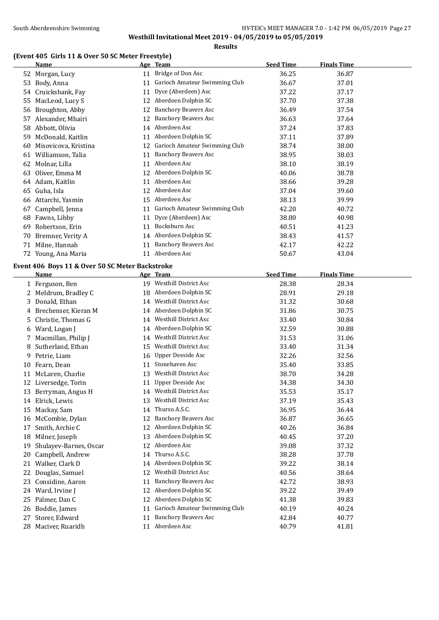**Results**

#### **(Event 405 Girls 11 & Over 50 SC Meter Freestyle)**

|    | Name                                            |    | Age Team                         | <b>Seed Time</b> | <b>Finals Time</b> |  |
|----|-------------------------------------------------|----|----------------------------------|------------------|--------------------|--|
|    | 52 Morgan, Lucy                                 |    | 11 Bridge of Don Asc             | 36.25            | 36.87              |  |
|    | 53 Body, Anna                                   |    | 11 Garioch Amateur Swimming Club | 36.67            | 37.01              |  |
|    | 54 Cruickshank, Fay                             | 11 | Dyce (Aberdeen) Asc              | 37.22            | 37.17              |  |
| 55 | MacLeod, Lucy S                                 |    | 12 Aberdeen Dolphin SC           | 37.70            | 37.38              |  |
|    | 56 Broughton, Abby                              |    | 12 Banchory Beavers Asc          | 36.49            | 37.54              |  |
|    | 57 Alexander, Mhairi                            | 12 | <b>Banchory Beavers Asc</b>      | 36.63            | 37.64              |  |
|    | 58 Abbott, Olivia                               |    | 14 Aberdeen Asc                  | 37.24            | 37.83              |  |
|    | 59 McDonald, Kaitlin                            | 11 | Aberdeen Dolphin SC              | 37.11            | 37.89              |  |
| 60 | Misovicova, Kristina                            | 12 | Garioch Amateur Swimming Club    | 38.74            | 38.00              |  |
|    | 61 Williamson, Talia                            | 11 | <b>Banchory Beavers Asc</b>      | 38.95            | 38.03              |  |
|    | 62 Molnar, Lilla                                |    | 11 Aberdeen Asc                  | 38.10            | 38.19              |  |
|    | 63 Oliver, Emma M                               | 12 | Aberdeen Dolphin SC              | 40.06            | 38.78              |  |
|    | 64 Adam, Kaitlin                                | 11 | Aberdeen Asc                     | 38.66            | 39.28              |  |
|    | 65 Guha, Isla                                   |    | 12 Aberdeen Asc                  | 37.04            | 39.60              |  |
|    | 66 Attarchi, Yasmin                             |    | 15 Aberdeen Asc                  | 38.13            | 39.99              |  |
|    | 67 Campbell, Jenna                              |    | 11 Garioch Amateur Swimming Club | 42.20            | 40.72              |  |
|    | 68 Fawns, Libby                                 |    | 11 Dyce (Aberdeen) Asc           | 38.80            | 40.98              |  |
|    | 69 Robertson, Erin                              | 11 | Bucksburn Asc                    | 40.51            | 41.23              |  |
|    | 70 Bremner, Verity A                            |    | 14 Aberdeen Dolphin SC           | 38.43            | 41.57              |  |
| 71 | Milne, Hannah                                   |    | 11 Banchory Beavers Asc          | 42.17            | 42.22              |  |
|    | 72 Young, Ana Maria                             | 11 | Aberdeen Asc                     | 50.67            | 43.04              |  |
|    |                                                 |    |                                  |                  |                    |  |
|    | Event 406 Boys 11 & Over 50 SC Meter Backstroke |    |                                  |                  |                    |  |
|    | <b>Name</b>                                     |    | Age Team                         | <b>Seed Time</b> | <b>Finals Time</b> |  |
|    | 1 Ferguson, Ben                                 |    | 19 Westhill District Asc         | 28.38            | 28.34              |  |
|    | 2 Meldrum, Bradley C                            | 18 | Aberdeen Dolphin SC              | 28.91            | 29.18              |  |
| 3  | Donald, Ethan                                   | 14 | Westhill District Asc            | 31.32            | 30.68              |  |
| 4  | Brechenser, Kieran M                            | 14 | Aberdeen Dolphin SC              | 31.86            | 30.75              |  |
| 5  | Christie, Thomas G                              | 14 | Westhill District Asc            | 33.40            | 30.84              |  |
| 6  | Ward, Logan J                                   | 14 | Aberdeen Dolphin SC              | 32.59            | 30.88              |  |
| 7. | Macmillan, Philip J                             | 14 | Westhill District Asc            | 31.53            | 31.06              |  |
| 8  | Sutherland, Ethan                               | 15 | <b>Westhill District Asc</b>     | 33.40            | 31.34              |  |
|    | 9 Petrie, Liam                                  | 16 | Upper Deeside Asc                | 32.26            | 32.56              |  |
|    | 10 Fearn, Dean                                  | 11 | Stonehaven Asc                   | 35.40            | 33.85              |  |
| 11 | McLaren, Charlie                                | 13 | Westhill District Asc            | 38.70            | 34.28              |  |
|    | 12 Liversedge, Torin                            |    | 11 Upper Deeside Asc             | 34.38            | 34.30              |  |
|    | 13 Berryman, Angus H                            | 14 | Westhill District Asc            | 35.53            | 35.17              |  |
|    | 14 Elrick, Lewis                                | 13 | <b>Westhill District Asc</b>     | 37.19            | 35.43              |  |
| 15 | Mackay, Sam                                     | 14 | Thurso A.S.C.                    | 36.95            | 36.44              |  |
|    | 16 McCombie, Dylan                              | 12 | <b>Banchory Beavers Asc</b>      | 36.87            | 36.65              |  |
| 17 | Smith, Archie C                                 | 12 | Aberdeen Dolphin SC              | 40.26            | 36.84              |  |
| 18 | Milner, Joseph                                  | 13 | Aberdeen Dolphin SC              | 40.45            | 37.20              |  |
| 19 | Shulayev-Barnes, Oscar                          | 12 | Aberdeen Asc                     | 39.08            | 37.32              |  |
| 20 | Campbell, Andrew                                | 14 | Thurso A.S.C.                    | 38.28            | 37.78              |  |
| 21 | Walker, Clark D                                 | 14 | Aberdeen Dolphin SC              | 39.22            | 38.14              |  |
| 22 | Douglas, Samuel                                 | 12 | Westhill District Asc            | 40.56            | 38.64              |  |
| 23 | Considine, Aaron                                | 11 | <b>Banchory Beavers Asc</b>      | 42.72            | 38.93              |  |
| 24 | Ward, Irvine J                                  | 12 | Aberdeen Dolphin SC              | 39.22            | 39.49              |  |
| 25 | Palmer, Dan C                                   | 12 | Aberdeen Dolphin SC              | 41.38            | 39.83              |  |
| 26 | Boddie, James                                   | 11 | Garioch Amateur Swimming Club    | 40.19            | 40.24              |  |
| 27 | Storer, Edward                                  | 11 | <b>Banchory Beavers Asc</b>      | 42.84            | 40.77              |  |
|    | 28 Maciver, Ruaridh                             |    | 11 Aberdeen Asc                  | 40.79            | 41.81              |  |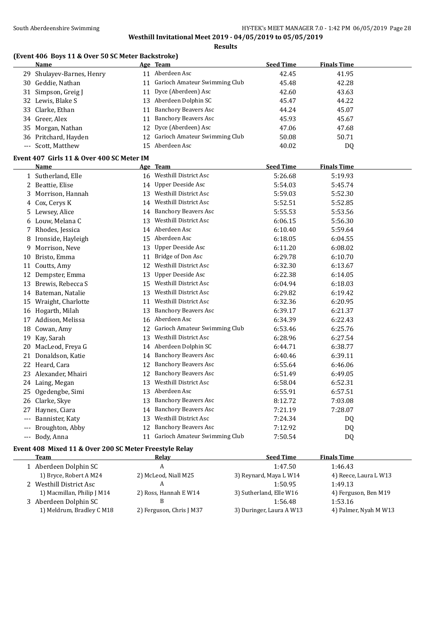#### **(Event 406 Boys 11 & Over 50 SC Meter Backstroke)**

| <b>Name</b>               |     | Age Team                         | <b>Seed Time</b> | <b>Finals Time</b> |
|---------------------------|-----|----------------------------------|------------------|--------------------|
| 29 Shulayev-Barnes, Henry | 11  | Aberdeen Asc                     | 42.45            | 41.95              |
| 30 Geddie, Nathan         |     | Garioch Amateur Swimming Club    | 45.48            | 42.28              |
| 31 Simpson, Greig J       |     | 11 Dyce (Aberdeen) Asc           | 42.60            | 43.63              |
| 32 Lewis, Blake S         |     | 13 Aberdeen Dolphin SC           | 45.47            | 44.22              |
| 33 Clarke, Ethan          | 11  | Banchory Beavers Asc             | 44.24            | 45.07              |
| 34 Greer, Alex            | 11  | Banchory Beavers Asc             | 45.93            | 45.67              |
| 35 Morgan, Nathan         |     | 12 Dyce (Aberdeen) Asc           | 47.06            | 47.68              |
| 36 Pritchard, Hayden      |     | 12 Garioch Amateur Swimming Club | 50.08            | 50.71              |
| --- Scott, Matthew        | 15. | Aberdeen Asc                     | 40.02            | DQ                 |

# **Event 407 Girls 11 & Over 400 SC Meter IM**

|     | Name               |    | Age Team                      | <b>Seed Time</b> | <b>Finals Time</b> |
|-----|--------------------|----|-------------------------------|------------------|--------------------|
|     | 1 Sutherland, Elle |    | 16 Westhill District Asc      | 5:26.68          | 5:19.93            |
| 2   | Beattie, Elise     | 14 | <b>Upper Deeside Asc</b>      | 5:54.03          | 5:45.74            |
| 3   | Morrison, Hannah   | 13 | <b>Westhill District Asc</b>  | 5:59.03          | 5:52.30            |
| 4   | Cox, Cerys K       | 14 | <b>Westhill District Asc</b>  | 5:52.51          | 5:52.85            |
| 5.  | Lewsey, Alice      | 14 | <b>Banchory Beavers Asc</b>   | 5:55.53          | 5:53.56            |
| 6   | Louw, Melana C     | 13 | Westhill District Asc         | 6:06.15          | 5:56.30            |
| 7   | Rhodes, Jessica    | 14 | Aberdeen Asc                  | 6:10.40          | 5:59.64            |
| 8   | Ironside, Hayleigh | 15 | Aberdeen Asc                  | 6:18.05          | 6:04.55            |
| 9   | Morrison, Neve     | 13 | <b>Upper Deeside Asc</b>      | 6:11.20          | 6:08.02            |
| 10  | Bristo, Emma       | 11 | Bridge of Don Asc             | 6:29.78          | 6:10.70            |
| 11  | Coutts, Amy        | 12 | <b>Westhill District Asc</b>  | 6:32.30          | 6:13.67            |
| 12  | Dempster, Emma     | 13 | <b>Upper Deeside Asc</b>      | 6:22.38          | 6:14.05            |
| 13  | Brewis, Rebecca S  | 15 | <b>Westhill District Asc</b>  | 6:04.94          | 6:18.03            |
| 14  | Bateman, Natalie   | 13 | <b>Westhill District Asc</b>  | 6:29.82          | 6:19.42            |
| 15  | Wraight, Charlotte | 11 | Westhill District Asc         | 6:32.36          | 6:20.95            |
| 16  | Hogarth, Milah     | 13 | <b>Banchory Beavers Asc</b>   | 6:39.17          | 6:21.37            |
| 17  | Addison, Melissa   | 16 | Aberdeen Asc                  | 6:34.39          | 6:22.43            |
| 18  | Cowan, Amy         | 12 | Garioch Amateur Swimming Club | 6:53.46          | 6:25.76            |
| 19  | Kay, Sarah         | 13 | <b>Westhill District Asc</b>  | 6:28.96          | 6:27.54            |
| 20  | MacLeod, Freya G   | 14 | Aberdeen Dolphin SC           | 6:44.71          | 6:38.77            |
| 21  | Donaldson, Katie   | 14 | <b>Banchory Beavers Asc</b>   | 6:40.46          | 6:39.11            |
| 22  | Heard, Cara        | 12 | <b>Banchory Beavers Asc</b>   | 6:55.64          | 6:46.06            |
| 23  | Alexander, Mhairi  | 12 | <b>Banchory Beavers Asc</b>   | 6:51.49          | 6:49.05            |
| 24  | Laing, Megan       | 13 | <b>Westhill District Asc</b>  | 6:58.04          | 6:52.31            |
| 25  | Ogedengbe, Simi    | 13 | Aberdeen Asc                  | 6:55.91          | 6:57.51            |
| 26  | Clarke, Skye       | 13 | <b>Banchory Beavers Asc</b>   | 8:12.72          | 7:03.08            |
| 27  | Haynes, Ciara      | 14 | <b>Banchory Beavers Asc</b>   | 7:21.19          | 7:28.07            |
| --- | Bannister, Katy    | 13 | <b>Westhill District Asc</b>  | 7:24.34          | DQ                 |
| --- | Broughton, Abby    | 12 | <b>Banchory Beavers Asc</b>   | 7:12.92          | DQ                 |
| --- | Body, Anna         | 11 | Garioch Amateur Swimming Club | 7:50.54          | D <sub>Q</sub>     |

#### **Event 408 Mixed 11 & Over 200 SC Meter Freestyle Relay**

| Team                       | Relav                    | <b>Seed Time</b>         | <b>Finals Time</b>    |
|----------------------------|--------------------------|--------------------------|-----------------------|
| 1 Aberdeen Dolphin SC      |                          | 1:47.50                  | 1:46.43               |
| 1) Bryce, Robert A M24     | 2) McLeod, Niall M25     | 3) Reynard, Maya L W14   | 4) Reece, Laura L W13 |
| 2 Westhill District Asc    |                          | 1:50.95                  | 1:49.13               |
| 1) Macmillan, Philip J M14 | 2) Ross, Hannah E W14    | 3) Sutherland, Elle W16  | 4) Ferguson, Ben M19  |
| 3 Aberdeen Dolphin SC      |                          | 1:56.48                  | 1:53.16               |
| 1) Meldrum, Bradley C M18  | 2) Ferguson, Chris J M37 | 3) Duringer, Laura A W13 | 4) Palmer, Nyah M W13 |